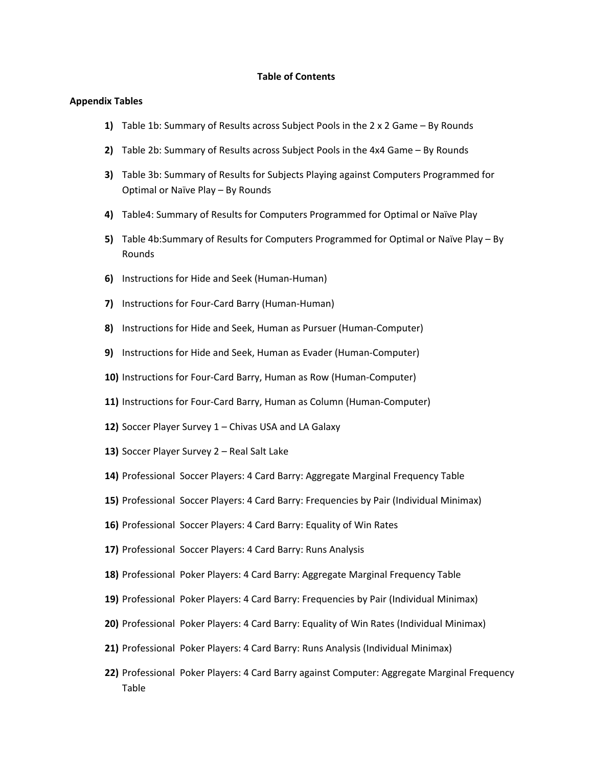#### **Table of Contents**

#### **Appendix Tables**

- **1)** Table 1b: Summary of Results across Subject Pools in the 2 x 2 Game By Rounds
- **2)** Table 2b: Summary of Results across Subject Pools in the 4x4 Game By Rounds
- **3)** Table 3b: Summary of Results for Subjects Playing against Computers Programmed for Optimal or Naïve Play – By Rounds
- **4)** Table4: Summary of Results for Computers Programmed for Optimal or Naïve Play
- **5)** Table 4b:Summary of Results for Computers Programmed for Optimal or Naïve Play By Rounds
- **6)** Instructions for Hide and Seek (Human‐Human)
- **7)** Instructions for Four‐Card Barry (Human‐Human)
- **8)** Instructions for Hide and Seek, Human as Pursuer (Human‐Computer)
- **9)** Instructions for Hide and Seek, Human as Evader (Human‐Computer)
- **10)** Instructions for Four‐Card Barry, Human as Row (Human‐Computer)
- 11) Instructions for Four-Card Barry, Human as Column (Human-Computer)
- **12)** Soccer Player Survey 1 Chivas USA and LA Galaxy
- **13)** Soccer Player Survey 2 Real Salt Lake
- **14)** Professional Soccer Players: 4 Card Barry: Aggregate Marginal Frequency Table
- **15)** Professional Soccer Players: 4 Card Barry: Frequencies by Pair (Individual Minimax)
- **16)** Professional Soccer Players: 4 Card Barry: Equality of Win Rates
- **17)** Professional Soccer Players: 4 Card Barry: Runs Analysis
- **18)** Professional Poker Players: 4 Card Barry: Aggregate Marginal Frequency Table
- **19)** Professional Poker Players: 4 Card Barry: Frequencies by Pair (Individual Minimax)
- **20)** Professional Poker Players: 4 Card Barry: Equality of Win Rates (Individual Minimax)
- **21)** Professional Poker Players: 4 Card Barry: Runs Analysis (Individual Minimax)
- **22)** Professional Poker Players: 4 Card Barry against Computer: Aggregate Marginal Frequency Table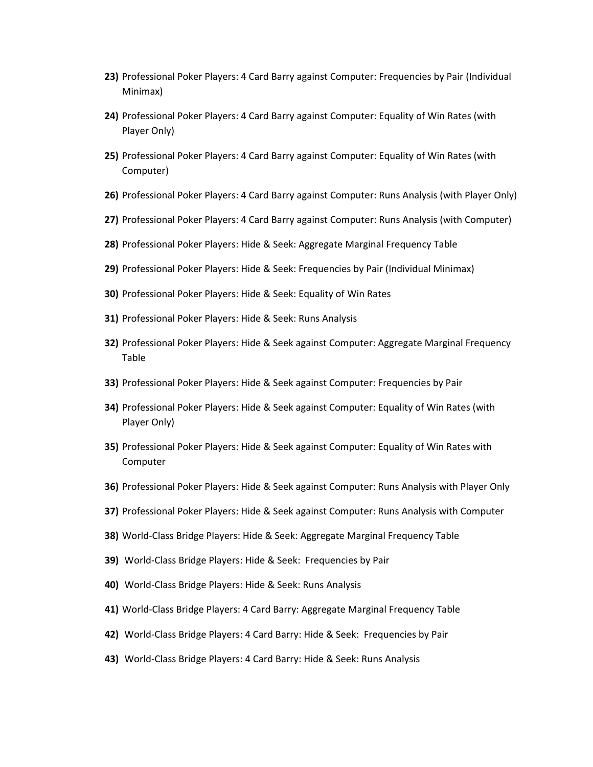- **23)** Professional Poker Players: 4 Card Barry against Computer: Frequencies by Pair (Individual Minimax)
- **24)** Professional Poker Players: 4 Card Barry against Computer: Equality of Win Rates (with Player Only)
- **25)** Professional Poker Players: 4 Card Barry against Computer: Equality of Win Rates (with Computer)
- **26)** Professional Poker Players: 4 Card Barry against Computer: Runs Analysis (with Player Only)
- **27)** Professional Poker Players: 4 Card Barry against Computer: Runs Analysis (with Computer)
- **28)** Professional Poker Players: Hide & Seek: Aggregate Marginal Frequency Table
- **29)** Professional Poker Players: Hide & Seek: Frequencies by Pair (Individual Minimax)
- **30)** Professional Poker Players: Hide & Seek: Equality of Win Rates
- **31)** Professional Poker Players: Hide & Seek: Runs Analysis
- **32)** Professional Poker Players: Hide & Seek against Computer: Aggregate Marginal Frequency Table
- **33)** Professional Poker Players: Hide & Seek against Computer: Frequencies by Pair
- **34)** Professional Poker Players: Hide & Seek against Computer: Equality of Win Rates (with Player Only)
- **35)** Professional Poker Players: Hide & Seek against Computer: Equality of Win Rates with Computer
- **36)** Professional Poker Players: Hide & Seek against Computer: Runs Analysis with Player Only
- **37)** Professional Poker Players: Hide & Seek against Computer: Runs Analysis with Computer
- **38)** World‐Class Bridge Players: Hide & Seek: Aggregate Marginal Frequency Table
- **39)** World‐Class Bridge Players: Hide & Seek: Frequencies by Pair
- **40)** World‐Class Bridge Players: Hide & Seek: Runs Analysis
- **41)** World‐Class Bridge Players: 4 Card Barry: Aggregate Marginal Frequency Table
- **42)** World‐Class Bridge Players: 4 Card Barry: Hide & Seek: Frequencies by Pair
- **43)** World‐Class Bridge Players: 4 Card Barry: Hide & Seek: Runs Analysis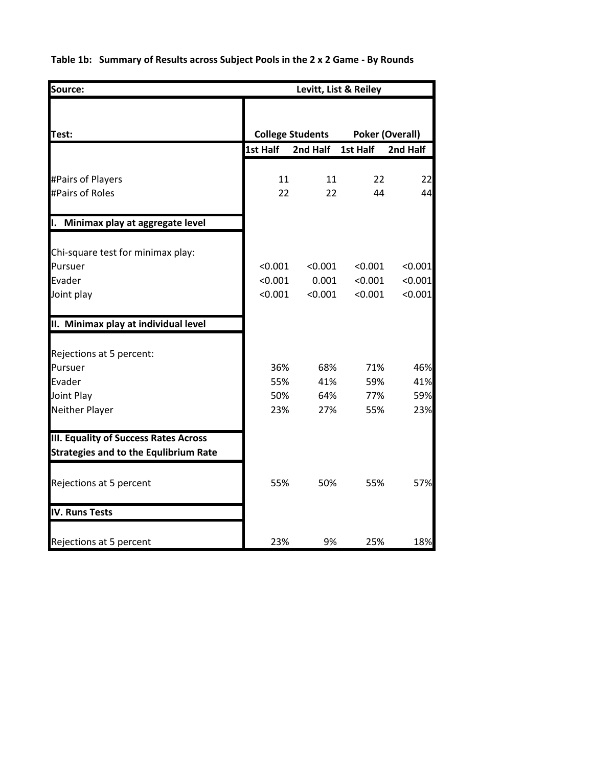**Table 1b: Summary of Results across Subject Pools in the 2 x 2 Game ‐ By Rounds**

| Source:                                                                                      |          | Levitt, List & Reiley   |          |                        |  |  |  |
|----------------------------------------------------------------------------------------------|----------|-------------------------|----------|------------------------|--|--|--|
| Test:                                                                                        |          | <b>College Students</b> |          | <b>Poker (Overall)</b> |  |  |  |
|                                                                                              | 1st Half | 2nd Half                | 1st Half | 2nd Half               |  |  |  |
|                                                                                              |          |                         |          |                        |  |  |  |
| #Pairs of Players                                                                            | 11       | 11                      | 22       | 22                     |  |  |  |
| #Pairs of Roles                                                                              | 22       | 22                      | 44       | 44                     |  |  |  |
| I. Minimax play at aggregate level                                                           |          |                         |          |                        |  |  |  |
| Chi-square test for minimax play:                                                            |          |                         |          |                        |  |  |  |
| Pursuer                                                                                      | < 0.001  | < 0.001                 | < 0.001  | < 0.001                |  |  |  |
| Evader                                                                                       | < 0.001  | 0.001                   | < 0.001  | < 0.001                |  |  |  |
| Joint play                                                                                   | < 0.001  | < 0.001                 | < 0.001  | < 0.001                |  |  |  |
| II. Minimax play at individual level                                                         |          |                         |          |                        |  |  |  |
| Rejections at 5 percent:                                                                     |          |                         |          |                        |  |  |  |
| Pursuer                                                                                      | 36%      | 68%                     | 71%      | 46%                    |  |  |  |
| Evader                                                                                       | 55%      | 41%                     | 59%      | 41%                    |  |  |  |
| Joint Play                                                                                   | 50%      | 64%                     | 77%      | 59%                    |  |  |  |
| <b>Neither Player</b>                                                                        | 23%      | 27%                     | 55%      | 23%                    |  |  |  |
| <b>III. Equality of Success Rates Across</b><br><b>Strategies and to the Equlibrium Rate</b> |          |                         |          |                        |  |  |  |
| Rejections at 5 percent                                                                      | 55%      | 50%                     | 55%      | 57%                    |  |  |  |
| <b>IV. Runs Tests</b>                                                                        |          |                         |          |                        |  |  |  |
| Rejections at 5 percent                                                                      | 23%      | 9%                      | 25%      | 18%                    |  |  |  |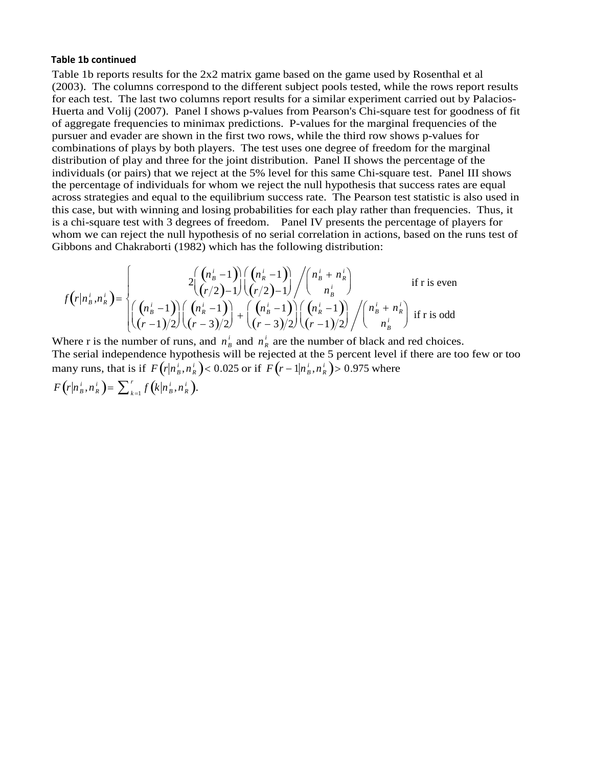#### **Table 1b continued**

Table 1b reports results for the 2x2 matrix game based on the game used by Rosenthal et al (2003). The columns correspond to the different subject pools tested, while the rows report results for each test. The last two columns report results for a similar experiment carried out by Palacios-Huerta and Volij (2007). Panel I shows p-values from Pearson's Chi-square test for goodness of fit of aggregate frequencies to minimax predictions. P-values for the marginal frequencies of the pursuer and evader are shown in the first two rows, while the third row shows p-values for combinations of plays by both players. The test uses one degree of freedom for the marginal distribution of play and three for the joint distribution. Panel II shows the percentage of the individuals (or pairs) that we reject at the 5% level for this same Chi-square test. Panel III shows the percentage of individuals for whom we reject the null hypothesis that success rates are equal across strategies and equal to the equilibrium success rate. The Pearson test statistic is also used in this case, but with winning and losing probabilities for each play rather than frequencies. Thus, it is a chi-square test with 3 degrees of freedom. Panel IV presents the percentage of players for whom we can reject the null hypothesis of no serial correlation in actions, based on the runs test of Gibbons and Chakraborti (1982) which has the following distribution:

$$
f(r|n_b^i, n_R^i) = \begin{cases} 2\binom{(n_b^i - 1)}{(r/2) - 1}\binom{(n_b^i - 1)}{(r/2) - 1} \binom{n_b^i + n_R^i}{n_B^i} & \text{if r is even} \\ \binom{(n_b^i - 1)}{(r-1)/2}\binom{(n_b^i - 1)}{(r-3)/2} + \binom{(n_b^i - 1)}{(r-3)/2}\binom{(n_b^i - 1)}{(r-1)/2} \binom{n_b^i + n_R^i}{n_B^i} & \text{if r is odd} \end{cases}
$$

Where r is the number of runs, and  $n_B^i$  and  $n_R^i$  are the number of black and red choices. The serial independence hypothesis will be rejected at the 5 percent level if there are too few or too many runs, that is if  $F(r|n_{B}^{i}, n_{R}^{i}) < 0.025$  or if  $F(r-1|n_{B}^{i}, n_{R}^{i}) > 0.975$  where  $F(r|n_B^i, n_R^i) = \sum_{k=1}^r f(k|n_B^i, n_R^i).$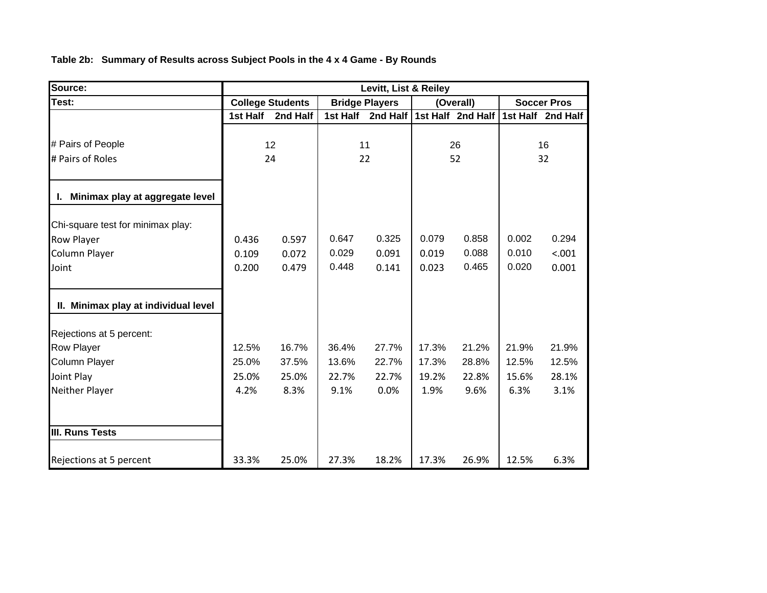**Table 2b: Summary of Results across Subject Pools in the 4 x 4 Game - By Rounds**

| Source:                              | Levitt, List & Reiley |                         |                       |          |       |                   |       |                    |
|--------------------------------------|-----------------------|-------------------------|-----------------------|----------|-------|-------------------|-------|--------------------|
| Test:                                |                       | <b>College Students</b> | <b>Bridge Players</b> |          |       | (Overall)         |       | <b>Soccer Pros</b> |
|                                      | 1st Half              | 2nd Half                | 1st Half              | 2nd Half |       | 1st Half 2nd Half |       | 1st Half 2nd Half  |
|                                      |                       |                         |                       |          |       |                   |       |                    |
| # Pairs of People                    |                       | 12                      |                       | 11       |       | 26                |       | 16                 |
| # Pairs of Roles                     |                       | 24                      |                       | 22       |       | 52                |       | 32                 |
| I. Minimax play at aggregate level   |                       |                         |                       |          |       |                   |       |                    |
|                                      |                       |                         |                       |          |       |                   |       |                    |
| Chi-square test for minimax play:    |                       |                         |                       |          |       |                   |       |                    |
| Row Player                           | 0.436                 | 0.597                   | 0.647                 | 0.325    | 0.079 | 0.858             | 0.002 | 0.294              |
| Column Player                        | 0.109                 | 0.072                   | 0.029                 | 0.091    | 0.019 | 0.088             | 0.010 | < .001             |
| Joint                                | 0.200                 | 0.479                   | 0.448                 | 0.141    | 0.023 | 0.465             | 0.020 | 0.001              |
| II. Minimax play at individual level |                       |                         |                       |          |       |                   |       |                    |
| Rejections at 5 percent:             |                       |                         |                       |          |       |                   |       |                    |
| <b>Row Player</b>                    | 12.5%                 | 16.7%                   | 36.4%                 | 27.7%    | 17.3% | 21.2%             | 21.9% | 21.9%              |
| Column Player                        | 25.0%                 | 37.5%                   | 13.6%                 | 22.7%    | 17.3% | 28.8%             | 12.5% | 12.5%              |
| Joint Play                           | 25.0%                 | 25.0%                   | 22.7%                 | 22.7%    | 19.2% | 22.8%             | 15.6% | 28.1%              |
| Neither Player                       | 4.2%                  | 8.3%                    | 9.1%                  | 0.0%     | 1.9%  | 9.6%              | 6.3%  | 3.1%               |
|                                      |                       |                         |                       |          |       |                   |       |                    |
| <b>III. Runs Tests</b>               |                       |                         |                       |          |       |                   |       |                    |
| Rejections at 5 percent              | 33.3%                 | 25.0%                   | 27.3%                 | 18.2%    | 17.3% | 26.9%             | 12.5% | 6.3%               |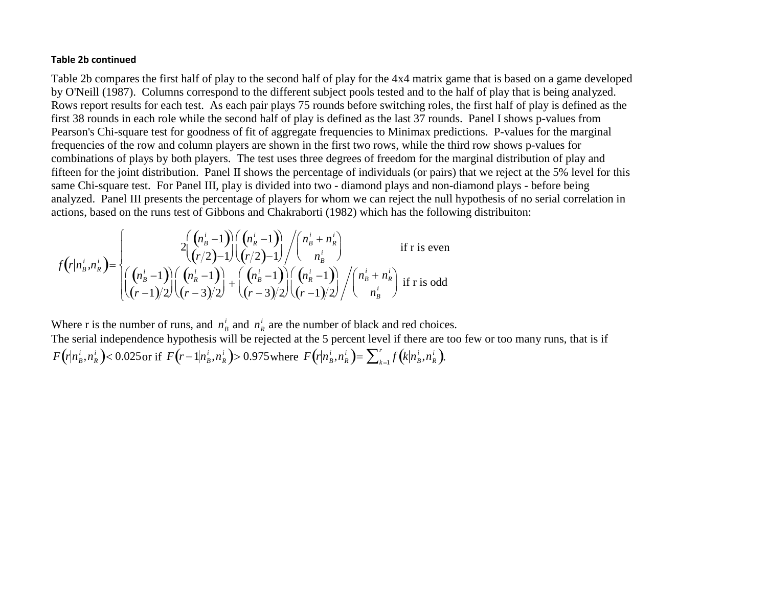#### **Table 2b continued**

Table 2b compares the first half of play to the second half of play for the 4x4 matrix game that is based on a game developed by O'Neill (1987). Columns correspond to the different subject pools tested and to the half of play that is being analyzed. Rows report results for each test. As each pair plays 75 rounds before switching roles, the first half of play is defined as the first 38 rounds in each role while the second half of play is defined as the last 37 rounds. Panel I shows p-values from Pearson's Chi-square test for goodness of fit of aggregate frequencies to Minimax predictions. P-values for the marginal frequencies of the row and column players are shown in the first two rows, while the third row shows p-values for combinations of plays by both players. The test uses three degrees of freedom for the marginal distribution of play and fifteen for the joint distribution. Panel II shows the percentage of individuals (or pairs) that we reject at the 5% level for this same Chi-square test. For Panel III, play is divided into two - diamond plays and non-diamond plays - before being analyzed. Panel III presents the percentage of players for whom we can reject the null hypothesis of no serial correlation in actions, based on the runs test of Gibbons and Chakraborti (1982) which has the following distribuiton:

$$
f(r|n_b^i, n_k^i) = \begin{cases} 2\binom{(n_b^i - 1)}{(r/2) - 1}\binom{(n_b^i - 1)}{(r/2) - 1} \binom{n_b^i + n_b^i}{n_b^i} & \text{if r is even} \\ \binom{(n_b^i - 1)}{(r-1)/2}\binom{(n_b^i - 1)}{(r-3)/2} + \binom{(n_b^i - 1)}{(r-3)/2}\binom{(n_b^i - 1)}{(r-1)/2} \binom{n_b^i + n_b^i}{n_b^i} & \text{if r is odd} \end{cases}
$$

Where r is the number of runs, and  $n_B^i$  and  $n_R^i$  are the number of black and red choices.

 The serial independence hypothesis will be rejected at the 5 percent level if there are too few or too many runs, that is if  $F(r|n_B^{\mu})$  $i_B^i, n_R^i$  $\left(r|n_{\scriptscriptstyle B}^i,n_{\scriptscriptstyle R}^i\right)$ < 0.025 or if  $F\left(r-1|n_{\scriptscriptstyle B}^i\right)$  $i_B^i, n_R^i$  $\left(r - 1 | n^i_{\scriptscriptstyle B}, n^i_{\scriptscriptstyle R}\right)$ > 0.975 where  $F\!\left(r | n^i_{\scriptscriptstyle B}\right)$  $i_B^i, n_R^i$  $\left(r|n_{\scriptscriptstyle B}^i,n_{\scriptscriptstyle R}^i\right)=\sum_{k=1}^r f\!\left(k|n_{\scriptscriptstyle B}^i\right)$  $i_B^i, n_R^i$  $\int\limits_{k=1}^r f\!\left(\!k\big| n^i_{B},n^i_{R}\right)\!\right)$  $\sum_{k=1}^{r} f(k|n_{B}^{i},n_{R}^{i}).$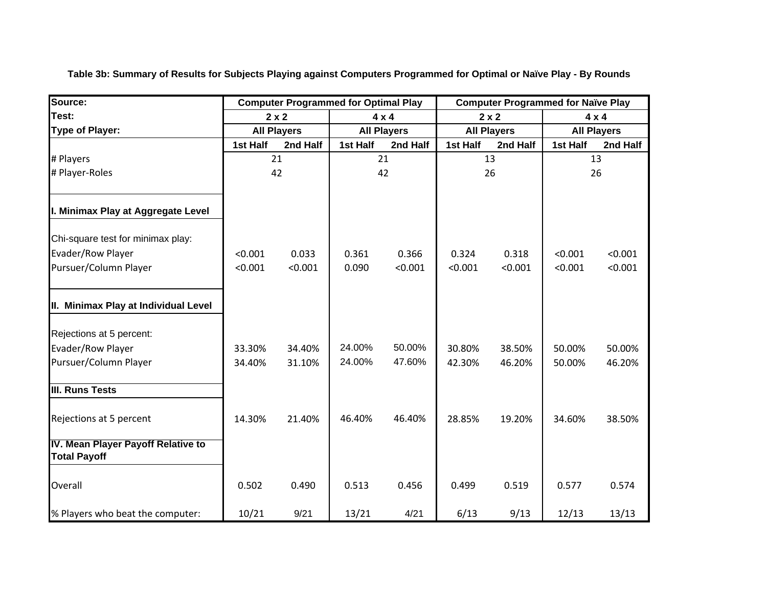| Source:                                                   | <b>Computer Programmed for Optimal Play</b> |                    |          |                    |                    |              | <b>Computer Programmed for Naïve Play</b> |              |  |
|-----------------------------------------------------------|---------------------------------------------|--------------------|----------|--------------------|--------------------|--------------|-------------------------------------------|--------------|--|
| Test:                                                     |                                             | $2 \times 2$       |          | $4 \times 4$       |                    | $2 \times 2$ |                                           | $4 \times 4$ |  |
| <b>Type of Player:</b>                                    |                                             | <b>All Players</b> |          | <b>All Players</b> | <b>All Players</b> |              | <b>All Players</b>                        |              |  |
|                                                           | 1st Half                                    | 2nd Half           | 1st Half | 2nd Half           | 1st Half           | 2nd Half     | 1st Half                                  | 2nd Half     |  |
| # Players                                                 |                                             | 21                 |          | 21                 |                    | 13           |                                           | 13           |  |
| # Player-Roles                                            |                                             | 42                 |          | 42                 |                    | 26           |                                           | 26           |  |
| I. Minimax Play at Aggregate Level                        |                                             |                    |          |                    |                    |              |                                           |              |  |
| Chi-square test for minimax play:                         |                                             |                    |          |                    |                    |              |                                           |              |  |
| Evader/Row Player                                         | < 0.001                                     | 0.033              | 0.361    | 0.366              | 0.324              | 0.318        | < 0.001                                   | < 0.001      |  |
| Pursuer/Column Player                                     | < 0.001                                     | < 0.001            | 0.090    | < 0.001            | < 0.001            | < 0.001      | < 0.001                                   | < 0.001      |  |
| II. Minimax Play at Individual Level                      |                                             |                    |          |                    |                    |              |                                           |              |  |
| Rejections at 5 percent:                                  |                                             |                    |          |                    |                    |              |                                           |              |  |
| Evader/Row Player                                         | 33.30%                                      | 34.40%             | 24.00%   | 50.00%             | 30.80%             | 38.50%       | 50.00%                                    | 50.00%       |  |
| Pursuer/Column Player                                     | 34.40%                                      | 31.10%             | 24.00%   | 47.60%             | 42.30%             | 46.20%       | 50.00%                                    | 46.20%       |  |
| <b>III. Runs Tests</b>                                    |                                             |                    |          |                    |                    |              |                                           |              |  |
| Rejections at 5 percent                                   | 14.30%                                      | 21.40%             | 46.40%   | 46.40%             | 28.85%             | 19.20%       | 34.60%                                    | 38.50%       |  |
| IV. Mean Player Payoff Relative to<br><b>Total Payoff</b> |                                             |                    |          |                    |                    |              |                                           |              |  |
| Overall                                                   | 0.502                                       | 0.490              | 0.513    | 0.456              | 0.499              | 0.519        | 0.577                                     | 0.574        |  |
| % Players who beat the computer:                          | 10/21                                       | 9/21               | 13/21    | 4/21               | 6/13               | 9/13         | 12/13                                     | 13/13        |  |

**Table 3b: Summary of Results for Subjects Playing against Computers Programmed for Optimal or Naïve Play - By Rounds**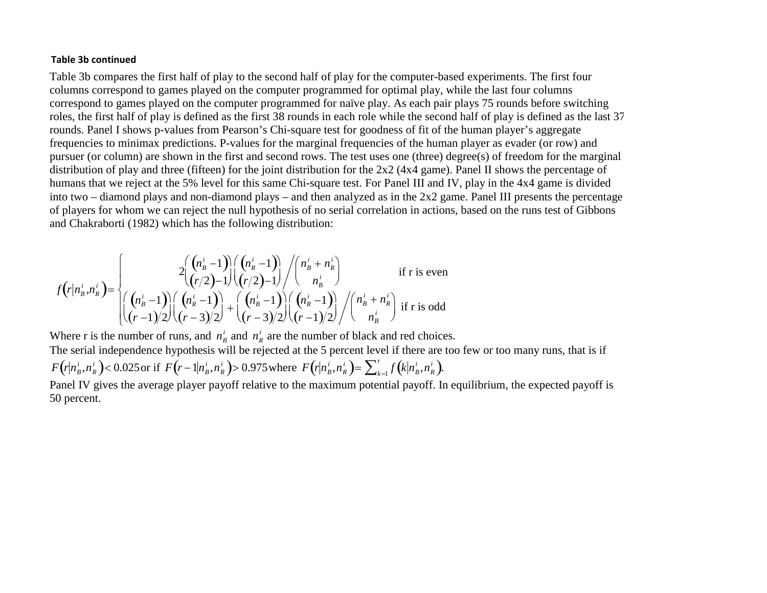### **Table 3b continued**

Table 3b compares the first half of play to the second half of play for the computer-based experiments. The first four columns correspond to games played on the computer programmed for optimal play, while the last four columns correspond to games played on the computer programmed for naïve play. As each pair plays 75 rounds before switching roles, the first half of play is defined as the first 38 rounds in each role while the second half of play is defined as the last 37 rounds. Panel I shows p-values from Pearson's Chi-square test for goodness of fit of the human player's aggregate frequencies to minimax predictions. P-values for the marginal frequencies of the human player as evader (or row) and pursuer (or column) are shown in the first and second rows. The test uses one (three) degree(s) of freedom for the marginal distribution of play and three (fifteen) for the joint distribution for the 2x2 (4x4 game). Panel II shows the percentage of humans that we reject at the 5% level for this same Chi-square test. For Panel III and IV, play in the 4x4 game is divided into two – diamond plays and non-diamond plays – and then analyzed as in the 2x2 game. Panel III presents the percentage of players for whom we can reject the null hypothesis of no serial correlation in actions, based on the runs test of Gibbons and Chakraborti (1982) which has the following distribution:

$$
f(r|n_h^i, n_R^i) = \begin{cases} 2\left(\binom{n_h^i - 1}{r/2} - 1\right) \binom{n_h^i - 1}{r/2 - 1} \binom{n_h^i + n_R^i}{n_B^i} & \text{if r is even} \\ \left(\binom{n_h^i - 1}{r/2} - 1\right) \binom{n_h^i - 1}{r/2} + \left(\binom{n_h^i - 1}{r/2} - 1\right) \binom{n_h^i + n_R^i}{r/2} & \text{if r is odd} \\ \left(\binom{n_h^i - 1}{r/2} - 1\right) \binom{n_h^i - 1}{r/2} \binom{n_h^i - 1}{r/2} \binom{n_h^i + n_R^i}{r/2} & \text{if r is odd} \end{cases}
$$

Where r is the number of runs, and  $n_R^i$  and  $n_R^i$  are the number of black and red choices. The serial independence hypothesis will be rejected at the 5 percent level if there are too few or too many runs, that is if  $F(r|n_B^i, n_R^i)$  < 0.025 or if  $F(r-1|n_B^i, n_R^i)$  > 0.975 where  $F(r|n_B^i, n_R^i) = \sum_{k=1}^r f(k|n_B^i, n_R^i)$ .

Panel IV gives the average player payoff relative to the maximum potential payoff. In equilibrium, the expected payoff is 50 percent.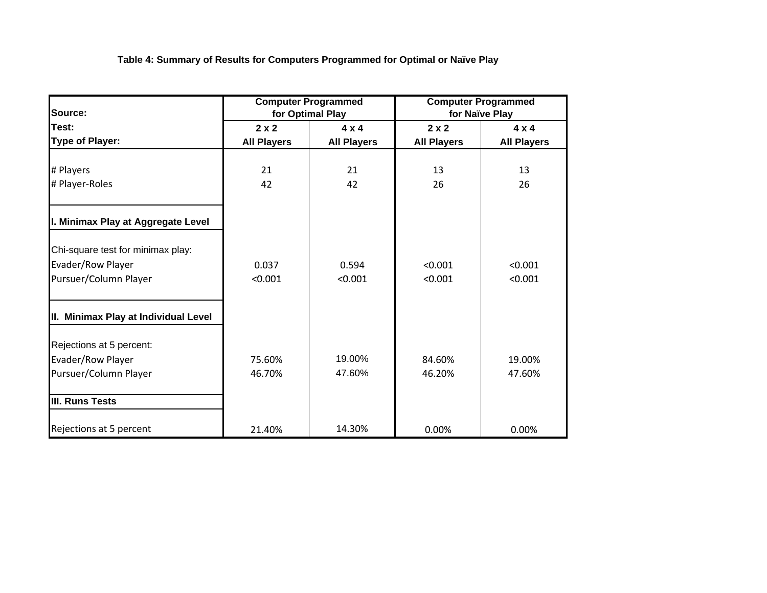**Table 4: Summary of Results for Computers Programmed for Optimal or Naïve Play**

| Source:                              |                                                                          | <b>Computer Programmed</b><br>for Optimal Play | <b>Computer Programmed</b><br>for Naïve Play |                    |  |
|--------------------------------------|--------------------------------------------------------------------------|------------------------------------------------|----------------------------------------------|--------------------|--|
| Test:                                | $2 \times 2$<br>$4 \times 4$<br><b>All Players</b><br><b>All Players</b> |                                                | $2 \times 2$                                 | $4 \times 4$       |  |
| Type of Player:                      |                                                                          |                                                | <b>All Players</b>                           | <b>All Players</b> |  |
| # Players                            | 21                                                                       | 21                                             | 13                                           | 13                 |  |
| # Player-Roles                       | 42                                                                       | 42                                             | 26                                           | 26                 |  |
| I. Minimax Play at Aggregate Level   |                                                                          |                                                |                                              |                    |  |
| Chi-square test for minimax play:    |                                                                          |                                                |                                              |                    |  |
| Evader/Row Player                    | 0.037                                                                    | 0.594                                          | < 0.001                                      | < 0.001            |  |
| Pursuer/Column Player                | < 0.001                                                                  | < 0.001                                        | < 0.001                                      | < 0.001            |  |
| II. Minimax Play at Individual Level |                                                                          |                                                |                                              |                    |  |
| Rejections at 5 percent:             |                                                                          |                                                |                                              |                    |  |
| Evader/Row Player                    | 75.60%                                                                   | 19.00%                                         | 84.60%                                       | 19.00%             |  |
| Pursuer/Column Player                | 46.70%                                                                   | 47.60%                                         | 46.20%                                       | 47.60%             |  |
| <b>III. Runs Tests</b>               |                                                                          |                                                |                                              |                    |  |
| Rejections at 5 percent              | 21.40%                                                                   | 14.30%                                         | 0.00%                                        | 0.00%              |  |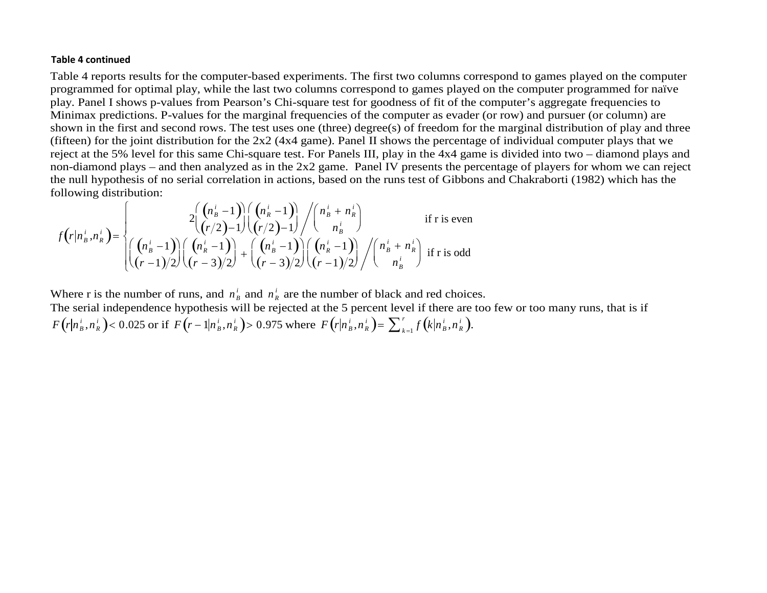#### **Table4 continued**

Table 4 reports results for the computer-based experiments. The first two columns correspond to games played on the computer programmed for optimal play, while the last two columns correspond to games played on the computer programmed for naïve play. Panel I shows p-values from Pearson's Chi-square test for goodness of fit of the computer's aggregate frequencies to Minimax predictions. P-values for the marginal frequencies of the computer as evader (or row) and pursuer (or column) are shown in the first and second rows. The test uses one (three) degree(s) of freedom for the marginal distribution of play and three (fifteen) for the joint distribution for the 2x2 (4x4 game). Panel II shows the percentage of individual computer plays that we reject at the 5% level for this same Chi-square test. For Panels III, play in the 4x4 game is divided into two – diamond plays and non-diamond plays – and then analyzed as in the 2x2 game. Panel IV presents the percentage of players for whom we can reject the null hypothesis of no serial correlation in actions, based on the runs test of Gibbons and Chakraborti (1982) which has the following distribution:

$$
f(r|n_b^i, n_R^i) = \begin{cases} 2\binom{(n_b^i - 1)}{(r/2) - 1} \binom{(n_b^i - 1)}{(r/2) - 1} \binom{n_b^i + n_R^i}{n_B^i} & \text{if r is even} \\ \binom{(n_b^i - 1)}{(r-1)/2} \binom{(n_b^i - 1)}{(r-3)/2} + \binom{(n_b^i - 1)}{(r-3)/2} \binom{(n_b^i - 1)}{(r-1)/2} \binom{n_b^i + n_R^i}{n_B^i} & \text{if r is odd} \end{cases}
$$

Where r is the number of runs, and  $n_B^i$  and  $n_R^i$  are the number of black and red choices. The serial independence hypothesis will be rejected at the 5 percent level if there are too few or too many runs, that is if  $F\left(r|n_{\ B}^{'}\right)$  $\frac{i}{B}$ ,  $n_R^i$  $\left( r\vert n_{\scriptscriptstyle B}^{\scriptscriptstyle i},n_{\scriptscriptstyle R}^{\scriptscriptstyle i} \right)$ < 0.025 or if  $\,F\left( r-1\vert n_{\scriptscriptstyle B}^{\scriptscriptstyle i} \right)$  $\frac{i}{B}$ ,  $n_R^i$  $\left(r - 1 | n_{\scriptscriptstyle B}^{\scriptscriptstyle i}, n_{\scriptscriptstyle R}^{\scriptscriptstyle i} \right)$ > 0.975 where  $F\left(r | n_{\scriptscriptstyle B}^{\scriptscriptstyle i} \right)$  $\frac{i}{B}$ ,  $n_R^i$  $\left(r|n_{\,B}^{\,i},n_{\,R}^{\,i}\right)=\sum\nolimits_{\,k=1}^{r}f\left(k|n_{\,B}^{\,i}\right)$  $\frac{i}{B}$ ,  $n_R^i$  $\int\limits_{k = 1}^r {f\left( {k|{n_B^i},{n_R^i}} \right)}$  $\sum_{k=1}^{r} f(k|n_{B}^{i},n_{R}^{i}).$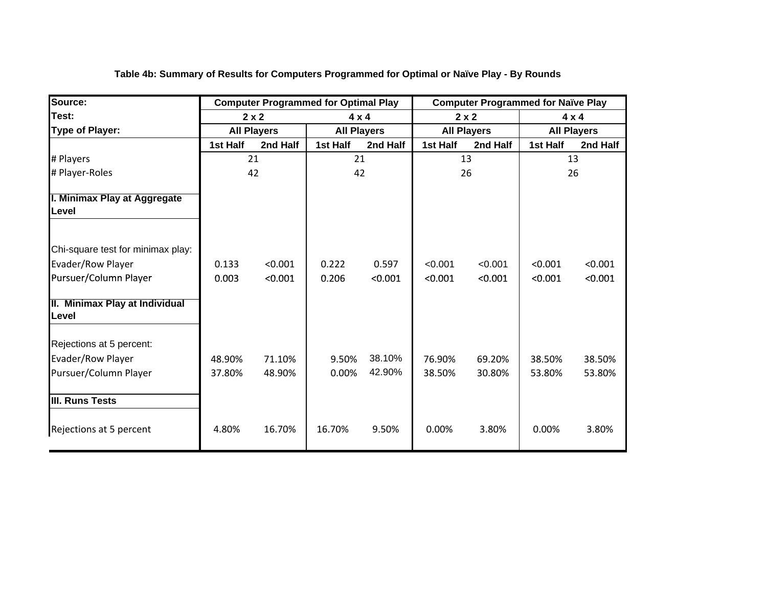| Source:                                                | <b>Computer Programmed for Optimal Play</b> |                    |          |                    |              | <b>Computer Programmed for Naïve Play</b> |                    |          |
|--------------------------------------------------------|---------------------------------------------|--------------------|----------|--------------------|--------------|-------------------------------------------|--------------------|----------|
| Test:                                                  |                                             | $2 \times 2$       |          | $4 \times 4$       | $2 \times 2$ |                                           | $4 \times 4$       |          |
| <b>Type of Player:</b>                                 |                                             | <b>All Players</b> |          | <b>All Players</b> |              | <b>All Players</b>                        | <b>All Players</b> |          |
|                                                        | 1st Half                                    | 2nd Half           | 1st Half | 2nd Half           | 1st Half     | 2nd Half                                  | 1st Half           | 2nd Half |
| # Players                                              |                                             | 21                 |          | 21                 |              | 13                                        | 13                 |          |
| # Player-Roles                                         |                                             | 42                 |          | 42                 |              | 26                                        |                    | 26       |
| I. Minimax Play at Aggregate<br>Level                  |                                             |                    |          |                    |              |                                           |                    |          |
| Chi-square test for minimax play:<br>Evader/Row Player | 0.133                                       | < 0.001            | 0.222    | 0.597              | < 0.001      | < 0.001                                   | < 0.001            | < 0.001  |
| Pursuer/Column Player                                  | 0.003                                       | < 0.001            | 0.206    | < 0.001            | < 0.001      | < 0.001                                   | < 0.001            | < 0.001  |
| II. Minimax Play at Individual<br><b>Level</b>         |                                             |                    |          |                    |              |                                           |                    |          |
| Rejections at 5 percent:                               |                                             |                    |          |                    |              |                                           |                    |          |
| Evader/Row Player                                      | 48.90%                                      | 71.10%             | 9.50%    | 38.10%             | 76.90%       | 69.20%                                    | 38.50%             | 38.50%   |
| Pursuer/Column Player                                  | 37.80%                                      | 48.90%             | 0.00%    | 42.90%             | 38.50%       | 30.80%                                    | 53.80%             | 53.80%   |
| III. Runs Tests                                        |                                             |                    |          |                    |              |                                           |                    |          |
| Rejections at 5 percent                                | 4.80%                                       | 16.70%             | 16.70%   | 9.50%              | 0.00%        | 3.80%                                     | 0.00%              | 3.80%    |

**Table 4b: Summary of Results for Computers Programmed for Optimal or Naïve Play - By Rounds**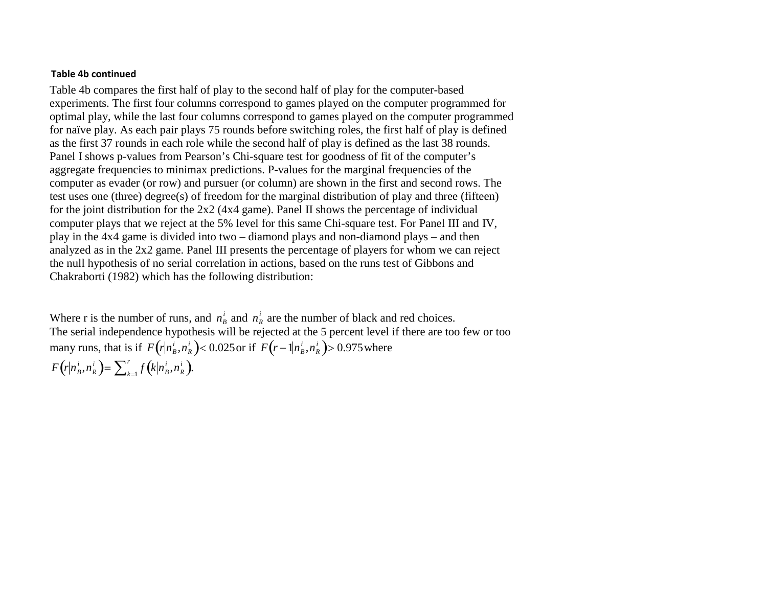#### **Table 4b continued**

Table 4b compares the first half of play to the second half of play for the computer-based experiments. The first four columns correspond to games played on the computer programmed for optimal play, while the last four columns correspond to games played on the computer programmed for naïve play. As each pair plays 75 rounds before switching roles, the first half of play is defined as the first 37 rounds in each role while the second half of play is defined as the last 38 rounds. Panel I shows p-values from Pearson's Chi-square test for goodness of fit of the computer's aggregate frequencies to minimax predictions. P-values for the marginal frequencies of the computer as evader (or row) and pursuer (or column) are shown in the first and second rows. The test uses one (three) degree(s) of freedom for the marginal distribution of play and three (fifteen) for the joint distribution for the 2x2 (4x4 game). Panel II shows the percentage of individual computer plays that we reject at the 5% level for this same Chi-square test. For Panel III and IV, play in the 4x4 game is divided into two – diamond plays and non-diamond plays – and then analyzed as in the 2x2 game. Panel III presents the percentage of players for whom we can reject the null hypothesis of no serial correlation in actions, based on the runs test of Gibbons and Chakraborti (1982) which has the following distribution:

Where r is the number of runs, and  $n<sub>B</sub><sup>i</sup>$  and  $n<sub>B</sub><sup>i</sup>$  are the number of black and red choices. The serial independence hypothesis will be rejected at the 5 percent level if there are too few or too many runs, that is if  $F(r|n_B^i, n_R^i) < 0.025$  or if  $F(r-1|n_B^i, n_R^i) > 0.975$  where  $F(r|n_B^i, n_R^i) = \sum_{k=1}^r f(k|n_B^i, n_R^i).$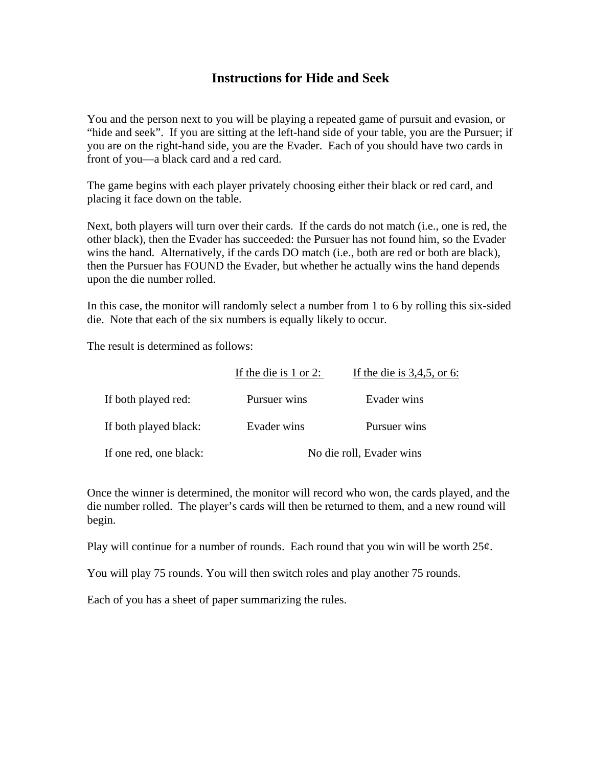## **Instructions for Hide and Seek**

You and the person next to you will be playing a repeated game of pursuit and evasion, or "hide and seek". If you are sitting at the left-hand side of your table, you are the Pursuer; if you are on the right-hand side, you are the Evader. Each of you should have two cards in front of you—a black card and a red card.

The game begins with each player privately choosing either their black or red card, and placing it face down on the table.

Next, both players will turn over their cards. If the cards do not match (i.e., one is red, the other black), then the Evader has succeeded: the Pursuer has not found him, so the Evader wins the hand. Alternatively, if the cards DO match (i.e., both are red or both are black), then the Pursuer has FOUND the Evader, but whether he actually wins the hand depends upon the die number rolled.

In this case, the monitor will randomly select a number from 1 to 6 by rolling this six-sided die. Note that each of the six numbers is equally likely to occur.

The result is determined as follows:

|                        | If the die is $1$ or $2$ : | If the die is $3,4,5$ , or 6: |
|------------------------|----------------------------|-------------------------------|
| If both played red:    | Pursuer wins               | Evader wins                   |
| If both played black:  | Evader wins                | Pursuer wins                  |
| If one red, one black: |                            | No die roll, Evader wins      |

Once the winner is determined, the monitor will record who won, the cards played, and the die number rolled. The player's cards will then be returned to them, and a new round will begin.

Play will continue for a number of rounds. Each round that you win will be worth  $25¢$ .

You will play 75 rounds. You will then switch roles and play another 75 rounds.

Each of you has a sheet of paper summarizing the rules.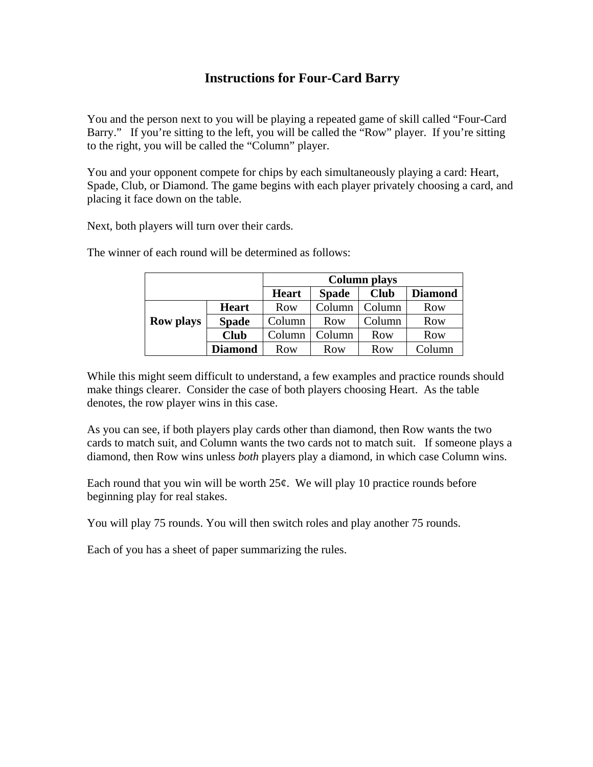# **Instructions for Four-Card Barry**

You and the person next to you will be playing a repeated game of skill called "Four-Card Barry." If you're sitting to the left, you will be called the "Row" player. If you're sitting to the right, you will be called the "Column" player.

You and your opponent compete for chips by each simultaneously playing a card: Heart, Spade, Club, or Diamond. The game begins with each player privately choosing a card, and placing it face down on the table.

Next, both players will turn over their cards.

|                  |                | <b>Column plays</b> |              |             |                |  |  |
|------------------|----------------|---------------------|--------------|-------------|----------------|--|--|
|                  |                | <b>Heart</b>        | <b>Spade</b> | <b>Club</b> | <b>Diamond</b> |  |  |
|                  | <b>Heart</b>   | Row                 | Column       | Column      | Row            |  |  |
| <b>Row plays</b> | <b>Spade</b>   | Column              | Row          | Column      | Row            |  |  |
|                  | <b>Club</b>    | Column              | Column       | Row         | Row            |  |  |
|                  | <b>Diamond</b> | Row                 | Row          | Row         | 'olumn         |  |  |

The winner of each round will be determined as follows:

While this might seem difficult to understand, a few examples and practice rounds should make things clearer. Consider the case of both players choosing Heart. As the table denotes, the row player wins in this case.

As you can see, if both players play cards other than diamond, then Row wants the two cards to match suit, and Column wants the two cards not to match suit. If someone plays a diamond, then Row wins unless *both* players play a diamond, in which case Column wins.

Each round that you win will be worth  $25¢$ . We will play 10 practice rounds before beginning play for real stakes.

You will play 75 rounds. You will then switch roles and play another 75 rounds.

Each of you has a sheet of paper summarizing the rules.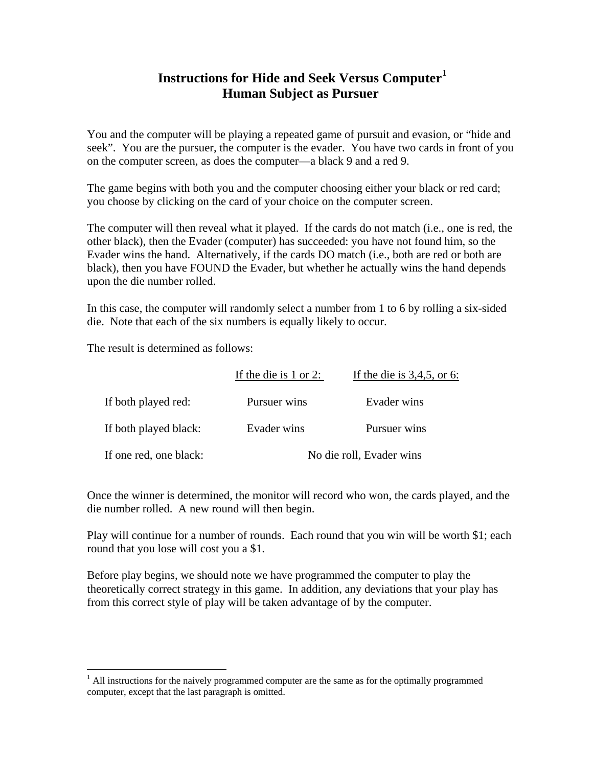# **Instructions for Hide and Seek Versus Computer[1](#page-14-0) Human Subject as Pursuer**

You and the computer will be playing a repeated game of pursuit and evasion, or "hide and seek". You are the pursuer, the computer is the evader. You have two cards in front of you on the computer screen, as does the computer—a black 9 and a red 9.

The game begins with both you and the computer choosing either your black or red card; you choose by clicking on the card of your choice on the computer screen.

The computer will then reveal what it played. If the cards do not match (i.e., one is red, the other black), then the Evader (computer) has succeeded: you have not found him, so the Evader wins the hand. Alternatively, if the cards DO match (i.e., both are red or both are black), then you have FOUND the Evader, but whether he actually wins the hand depends upon the die number rolled.

In this case, the computer will randomly select a number from 1 to 6 by rolling a six-sided die. Note that each of the six numbers is equally likely to occur.

The result is determined as follows:

1

|                        | If the die is $1$ or $2$ : | If the die is $3,4,5$ , or 6: |
|------------------------|----------------------------|-------------------------------|
| If both played red:    | Pursuer wins               | Evader wins                   |
| If both played black:  | Evader wins                | Pursuer wins                  |
| If one red, one black: |                            | No die roll, Evader wins      |

Once the winner is determined, the monitor will record who won, the cards played, and the die number rolled. A new round will then begin.

Play will continue for a number of rounds. Each round that you win will be worth \$1; each round that you lose will cost you a \$1.

<span id="page-14-0"></span> $<sup>1</sup>$  All instructions for the naively programmed computer are the same as for the optimally programmed</sup> computer, except that the last paragraph is omitted.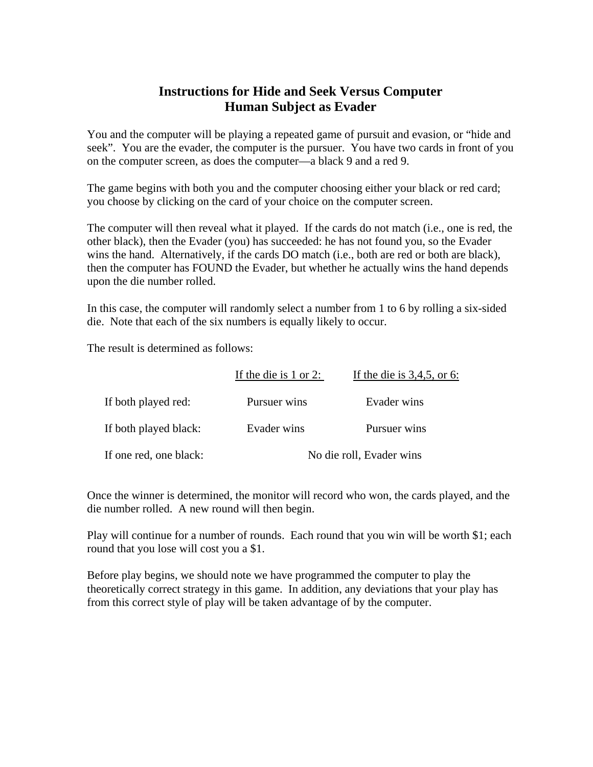# **Instructions for Hide and Seek Versus Computer Human Subject as Evader**

You and the computer will be playing a repeated game of pursuit and evasion, or "hide and seek". You are the evader, the computer is the pursuer. You have two cards in front of you on the computer screen, as does the computer—a black 9 and a red 9.

The game begins with both you and the computer choosing either your black or red card; you choose by clicking on the card of your choice on the computer screen.

The computer will then reveal what it played. If the cards do not match (i.e., one is red, the other black), then the Evader (you) has succeeded: he has not found you, so the Evader wins the hand. Alternatively, if the cards DO match (i.e., both are red or both are black), then the computer has FOUND the Evader, but whether he actually wins the hand depends upon the die number rolled.

In this case, the computer will randomly select a number from 1 to 6 by rolling a six-sided die. Note that each of the six numbers is equally likely to occur.

The result is determined as follows:

|                        | If the die is $1$ or $2$ : | If the die is $3,4,5$ , or 6: |
|------------------------|----------------------------|-------------------------------|
| If both played red:    | Pursuer wins               | Evader wins                   |
| If both played black:  | Evader wins                | Pursuer wins                  |
| If one red, one black: |                            | No die roll, Evader wins      |

Once the winner is determined, the monitor will record who won, the cards played, and the die number rolled. A new round will then begin.

Play will continue for a number of rounds. Each round that you win will be worth \$1; each round that you lose will cost you a \$1.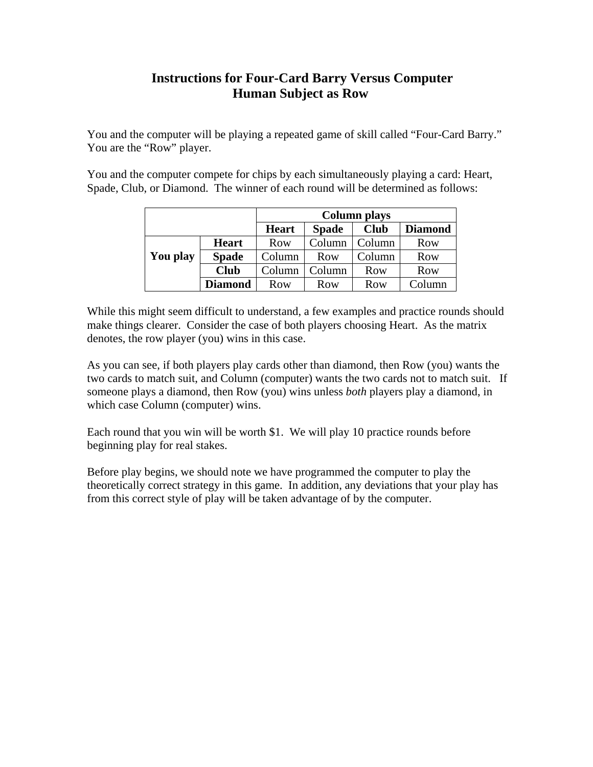# **Instructions for Four-Card Barry Versus Computer Human Subject as Row**

You and the computer will be playing a repeated game of skill called "Four-Card Barry." You are the "Row" player.

You and the computer compete for chips by each simultaneously playing a card: Heart, Spade, Club, or Diamond. The winner of each round will be determined as follows:

|          |                | <b>Column plays</b> |              |             |                |  |  |
|----------|----------------|---------------------|--------------|-------------|----------------|--|--|
|          |                | <b>Heart</b>        | <b>Spade</b> | <b>Club</b> | <b>Diamond</b> |  |  |
|          | <b>Heart</b>   | Row                 | Column       | Column      | Row            |  |  |
| You play | <b>Spade</b>   | Column              | Row          | Column      | Row            |  |  |
|          | <b>Club</b>    | Column              | Column       | Row         | Row            |  |  |
|          | <b>Diamond</b> | Row                 | Row          | Row         | Column         |  |  |

While this might seem difficult to understand, a few examples and practice rounds should make things clearer. Consider the case of both players choosing Heart. As the matrix denotes, the row player (you) wins in this case.

As you can see, if both players play cards other than diamond, then Row (you) wants the two cards to match suit, and Column (computer) wants the two cards not to match suit. If someone plays a diamond, then Row (you) wins unless *both* players play a diamond, in which case Column (computer) wins.

Each round that you win will be worth \$1. We will play 10 practice rounds before beginning play for real stakes.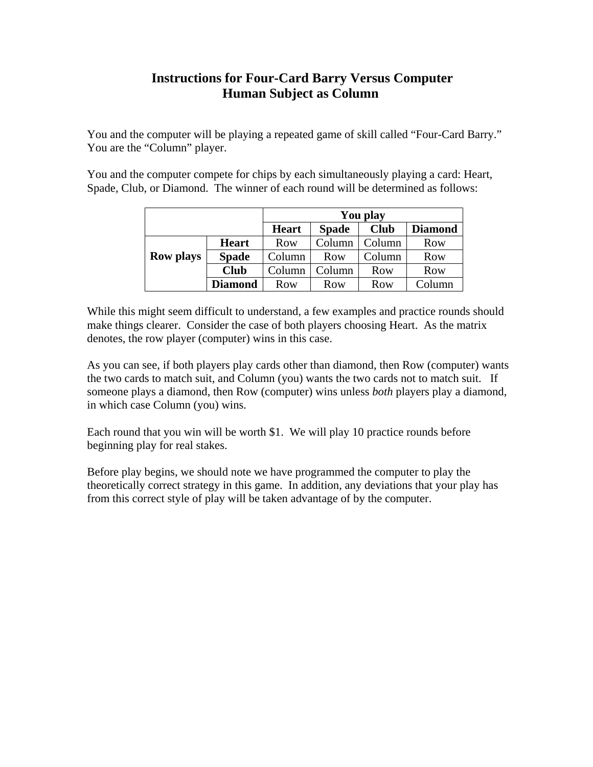# **Instructions for Four-Card Barry Versus Computer Human Subject as Column**

You and the computer will be playing a repeated game of skill called "Four-Card Barry." You are the "Column" player.

You and the computer compete for chips by each simultaneously playing a card: Heart, Spade, Club, or Diamond. The winner of each round will be determined as follows:

|                  |                | You play     |              |             |                |  |  |
|------------------|----------------|--------------|--------------|-------------|----------------|--|--|
|                  |                | <b>Heart</b> | <b>Spade</b> | <b>Club</b> | <b>Diamond</b> |  |  |
|                  | <b>Heart</b>   | Row          | Column       | Column      | Row            |  |  |
| <b>Row plays</b> | <b>Spade</b>   | Column       | Row          | Column      | <b>Row</b>     |  |  |
|                  | <b>Club</b>    | Column       | Column       | Row         | <b>Row</b>     |  |  |
|                  | <b>Diamond</b> | Row          | Row          | Row         | Column         |  |  |

While this might seem difficult to understand, a few examples and practice rounds should make things clearer. Consider the case of both players choosing Heart. As the matrix denotes, the row player (computer) wins in this case.

As you can see, if both players play cards other than diamond, then Row (computer) wants the two cards to match suit, and Column (you) wants the two cards not to match suit. If someone plays a diamond, then Row (computer) wins unless *both* players play a diamond, in which case Column (you) wins.

Each round that you win will be worth \$1. We will play 10 practice rounds before beginning play for real stakes.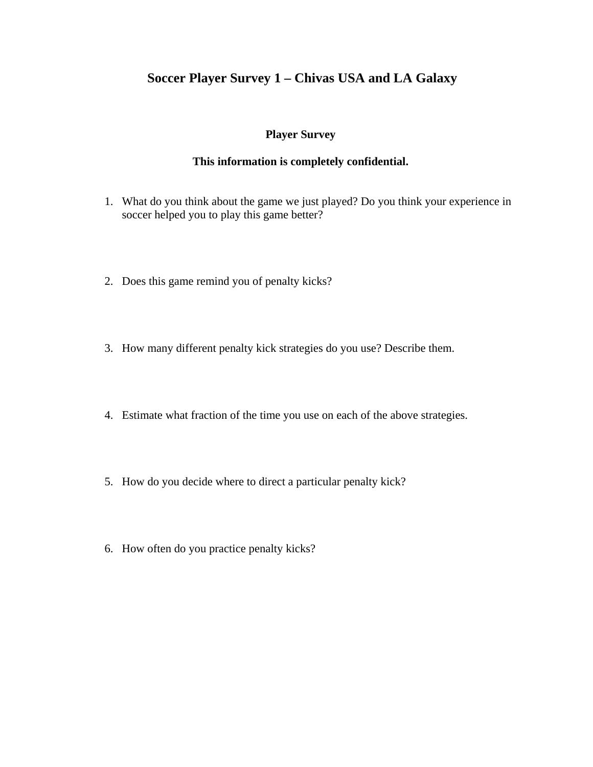# **Soccer Player Survey 1 – Chivas USA and LA Galaxy**

## **Player Survey**

## **This information is completely confidential.**

- 1. What do you think about the game we just played? Do you think your experience in soccer helped you to play this game better?
- 2. Does this game remind you of penalty kicks?
- 3. How many different penalty kick strategies do you use? Describe them.
- 4. Estimate what fraction of the time you use on each of the above strategies.
- 5. How do you decide where to direct a particular penalty kick?
- 6. How often do you practice penalty kicks?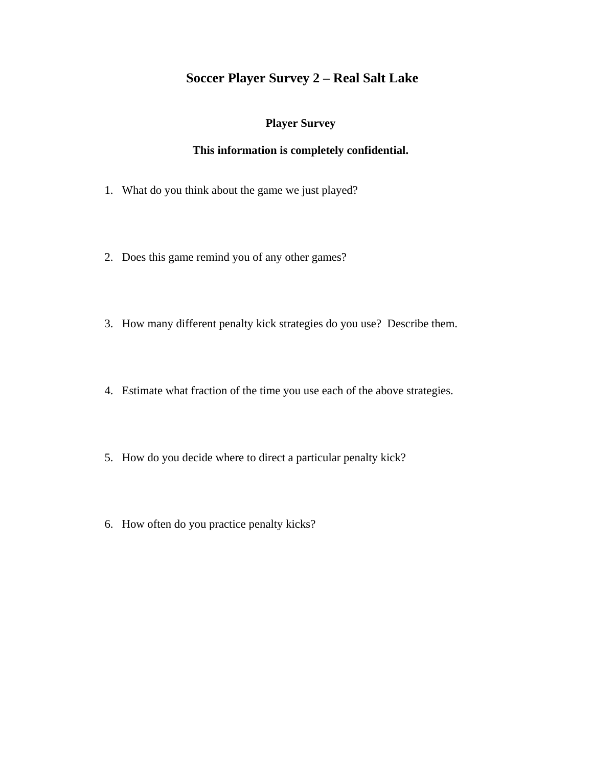# **Soccer Player Survey 2 – Real Salt Lake**

### **Player Survey**

### **This information is completely confidential.**

- 1. What do you think about the game we just played?
- 2. Does this game remind you of any other games?
- 3. How many different penalty kick strategies do you use? Describe them.
- 4. Estimate what fraction of the time you use each of the above strategies.
- 5. How do you decide where to direct a particular penalty kick?
- 6. How often do you practice penalty kicks?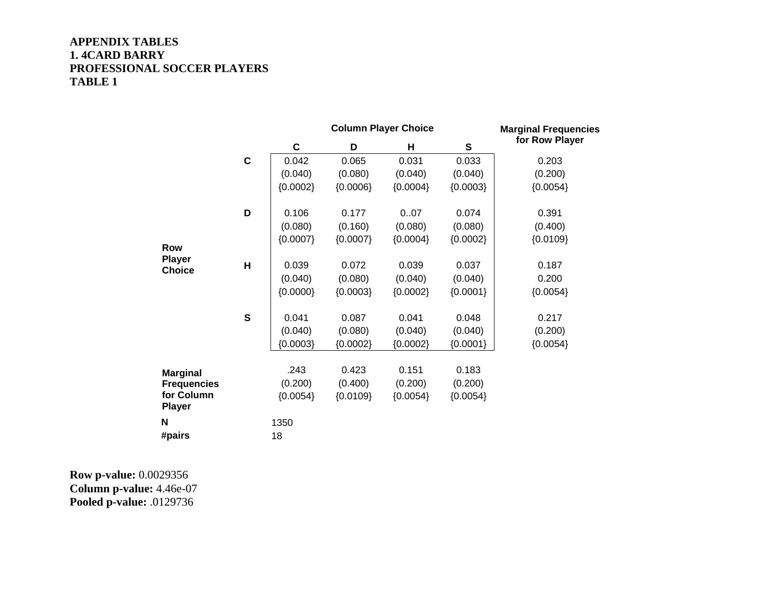### **APPENDIX TABLES 1. 4CARD BARRY PROFESSIONAL SOCCER PLAYERS TABLE 1**

|                                                   |                         |            | <b>Column Player Choice</b> | <b>Marginal Frequencies</b> |            |                |
|---------------------------------------------------|-------------------------|------------|-----------------------------|-----------------------------|------------|----------------|
|                                                   |                         | C          | D                           | Н                           | ${\bf S}$  | for Row Player |
|                                                   | $\mathbf c$             | 0.042      | 0.065                       | 0.031                       | 0.033      | 0.203          |
|                                                   |                         | (0.040)    | (0.080)                     | (0.040)                     | (0.040)    | (0.200)        |
|                                                   |                         | ${0.0002}$ | ${0.0006}$                  | ${0.0004}$                  | ${0.0003}$ | ${0.0054}$     |
|                                                   | D                       | 0.106      | 0.177                       | 0.07                        | 0.074      | 0.391          |
|                                                   |                         | (0.080)    | (0.160)                     | (0.080)                     | (0.080)    | (0.400)        |
| <b>Row</b>                                        |                         | ${0.0007}$ | ${0.0007}$                  | ${0.0004}$                  | ${0.0002}$ | ${0.0109}$     |
| <b>Player</b><br><b>Choice</b>                    | $\overline{\mathsf{H}}$ | 0.039      | 0.072                       | 0.039                       | 0.037      | 0.187          |
|                                                   |                         | (0.040)    | (0.080)                     | (0.040)                     | (0.040)    | 0.200          |
|                                                   |                         | ${0.0000}$ | ${0.0003}$                  | ${0.0002}$                  | ${0.0001}$ | ${0.0054}$     |
|                                                   | $\mathbf S$             | 0.041      | 0.087                       | 0.041                       | 0.048      | 0.217          |
|                                                   |                         | (0.040)    | (0.080)                     | (0.040)                     | (0.040)    | (0.200)        |
|                                                   |                         | ${0.0003}$ | ${0.0002}$                  | ${0.0002}$                  | ${0.0001}$ | ${0.0054}$     |
|                                                   |                         | .243       | 0.423                       | 0.151                       | 0.183      |                |
| <b>Marginal</b>                                   |                         | (0.200)    | (0.400)                     | (0.200)                     | (0.200)    |                |
| <b>Frequencies</b><br>for Column<br><b>Player</b> |                         | ${0.0054}$ | ${0.0109}$                  | ${0.0054}$                  | ${0.0054}$ |                |
| N                                                 |                         | 1350       |                             |                             |            |                |
| #pairs                                            |                         | 18         |                             |                             |            |                |

**Row p-value:** 0.0029356 **Column p-value:** 4.46e-07 **Pooled p-value:** .0129736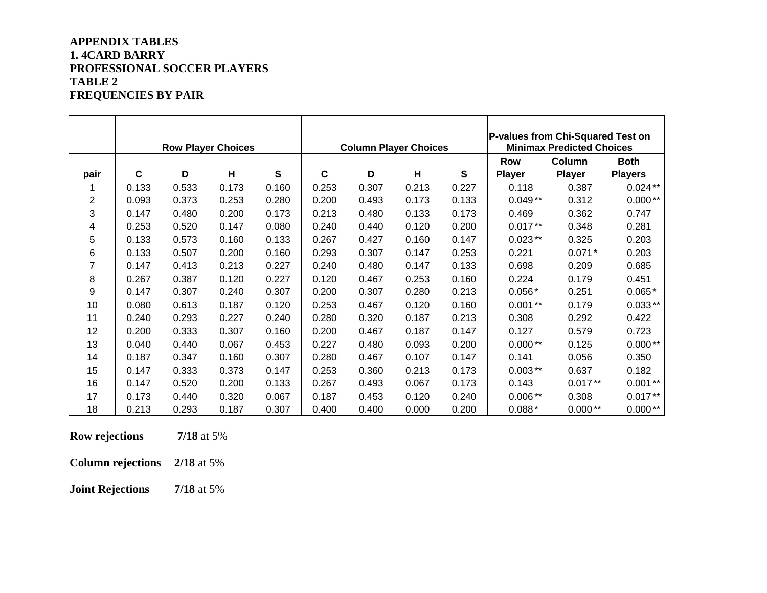### **APPENDIX TABLES 1. 4CARD BARRY PROFESSIONAL SOCCER PLAYERS TABLE 2 FREQUENCIES BY PAIR**

|      |             | <b>Row Player Choices</b> |       |       |             | <b>Column Player Choices</b> |       |       | P-values from Chi-Squared Test on<br><b>Minimax Predicted Choices</b> |               |                |
|------|-------------|---------------------------|-------|-------|-------------|------------------------------|-------|-------|-----------------------------------------------------------------------|---------------|----------------|
|      |             |                           |       |       |             |                              |       |       | Row                                                                   | Column        | <b>Both</b>    |
| pair | $\mathbf c$ | D                         | H     | S     | $\mathbf c$ | D                            | H     | S     | <b>Player</b>                                                         | <b>Player</b> | <b>Players</b> |
|      | 0.133       | 0.533                     | 0.173 | 0.160 | 0.253       | 0.307                        | 0.213 | 0.227 | 0.118                                                                 | 0.387         | $0.024**$      |
| 2    | 0.093       | 0.373                     | 0.253 | 0.280 | 0.200       | 0.493                        | 0.173 | 0.133 | $0.049**$                                                             | 0.312         | $0.000**$      |
| 3    | 0.147       | 0.480                     | 0.200 | 0.173 | 0.213       | 0.480                        | 0.133 | 0.173 | 0.469                                                                 | 0.362         | 0.747          |
| 4    | 0.253       | 0.520                     | 0.147 | 0.080 | 0.240       | 0.440                        | 0.120 | 0.200 | $0.017**$                                                             | 0.348         | 0.281          |
| 5    | 0.133       | 0.573                     | 0.160 | 0.133 | 0.267       | 0.427                        | 0.160 | 0.147 | $0.023**$                                                             | 0.325         | 0.203          |
| 6    | 0.133       | 0.507                     | 0.200 | 0.160 | 0.293       | 0.307                        | 0.147 | 0.253 | 0.221                                                                 | $0.071*$      | 0.203          |
| 7    | 0.147       | 0.413                     | 0.213 | 0.227 | 0.240       | 0.480                        | 0.147 | 0.133 | 0.698                                                                 | 0.209         | 0.685          |
| 8    | 0.267       | 0.387                     | 0.120 | 0.227 | 0.120       | 0.467                        | 0.253 | 0.160 | 0.224                                                                 | 0.179         | 0.451          |
| 9    | 0.147       | 0.307                     | 0.240 | 0.307 | 0.200       | 0.307                        | 0.280 | 0.213 | $0.056*$                                                              | 0.251         | $0.065*$       |
| 10   | 0.080       | 0.613                     | 0.187 | 0.120 | 0.253       | 0.467                        | 0.120 | 0.160 | $0.001**$                                                             | 0.179         | $0.033**$      |
| 11   | 0.240       | 0.293                     | 0.227 | 0.240 | 0.280       | 0.320                        | 0.187 | 0.213 | 0.308                                                                 | 0.292         | 0.422          |
| 12   | 0.200       | 0.333                     | 0.307 | 0.160 | 0.200       | 0.467                        | 0.187 | 0.147 | 0.127                                                                 | 0.579         | 0.723          |
| 13   | 0.040       | 0.440                     | 0.067 | 0.453 | 0.227       | 0.480                        | 0.093 | 0.200 | $0.000**$                                                             | 0.125         | $0.000**$      |
| 14   | 0.187       | 0.347                     | 0.160 | 0.307 | 0.280       | 0.467                        | 0.107 | 0.147 | 0.141                                                                 | 0.056         | 0.350          |
| 15   | 0.147       | 0.333                     | 0.373 | 0.147 | 0.253       | 0.360                        | 0.213 | 0.173 | $0.003**$                                                             | 0.637         | 0.182          |
| 16   | 0.147       | 0.520                     | 0.200 | 0.133 | 0.267       | 0.493                        | 0.067 | 0.173 | 0.143                                                                 | $0.017**$     | $0.001**$      |
| 17   | 0.173       | 0.440                     | 0.320 | 0.067 | 0.187       | 0.453                        | 0.120 | 0.240 | $0.006**$                                                             | 0.308         | $0.017**$      |
| 18   | 0.213       | 0.293                     | 0.187 | 0.307 | 0.400       | 0.400                        | 0.000 | 0.200 | $0.088*$                                                              | $0.000**$     | $0.000**$      |

**Row rejections 7/18** at 5%

**Column rejections 2/18** at 5%

**Joint Rejections 7/18** at 5%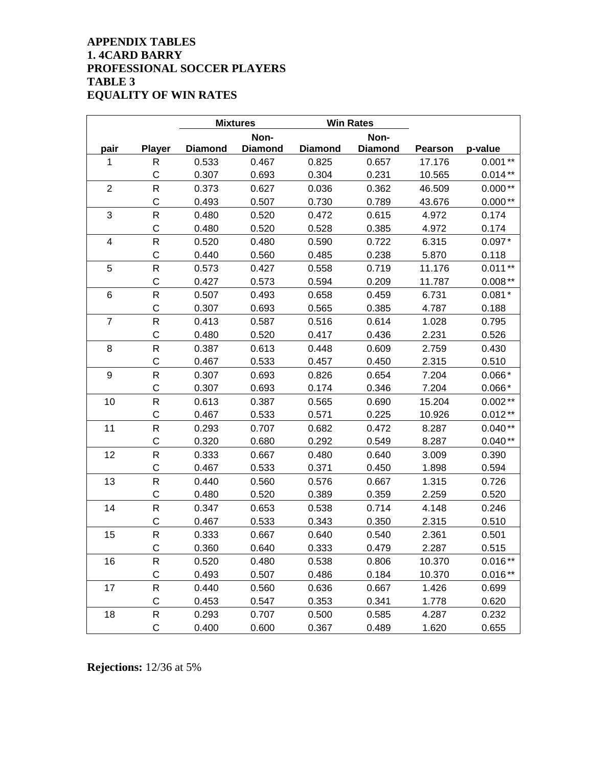### **APPENDIX TABLES 1. 4CARD BARRY PROFESSIONAL SOCCER PLAYERS TABLE 3 EQUALITY OF WIN RATES**

|                         |               |                | <b>Mixtures</b> |                | <b>Win Rates</b> |                |           |
|-------------------------|---------------|----------------|-----------------|----------------|------------------|----------------|-----------|
|                         |               |                | Non-            |                | Non-             |                |           |
| pair                    | <b>Player</b> | <b>Diamond</b> | <b>Diamond</b>  | <b>Diamond</b> | <b>Diamond</b>   | <b>Pearson</b> | p-value   |
| 1                       | R             | 0.533          | 0.467           | 0.825          | 0.657            | 17.176         | $0.001**$ |
|                         | C             | 0.307          | 0.693           | 0.304          | 0.231            | 10.565         | $0.014**$ |
| $\mathbf 2$             | R             | 0.373          | 0.627           | 0.036          | 0.362            | 46.509         | $0.000**$ |
|                         | $\mathsf C$   | 0.493          | 0.507           | 0.730          | 0.789            | 43.676         | $0.000**$ |
| 3                       | R             | 0.480          | 0.520           | 0.472          | 0.615            | 4.972          | 0.174     |
|                         | C             | 0.480          | 0.520           | 0.528          | 0.385            | 4.972          | 0.174     |
| $\overline{\mathbf{4}}$ | R             | 0.520          | 0.480           | 0.590          | 0.722            | 6.315          | $0.097*$  |
|                         | $\mathsf C$   | 0.440          | 0.560           | 0.485          | 0.238            | 5.870          | 0.118     |
| 5                       | R             | 0.573          | 0.427           | 0.558          | 0.719            | 11.176         | $0.011**$ |
|                         | $\mathsf C$   | 0.427          | 0.573           | 0.594          | 0.209            | 11.787         | $0.008**$ |
| 6                       | R             | 0.507          | 0.493           | 0.658          | 0.459            | 6.731          | $0.081*$  |
|                         | C             | 0.307          | 0.693           | 0.565          | 0.385            | 4.787          | 0.188     |
| $\overline{7}$          | R             | 0.413          | 0.587           | 0.516          | 0.614            | 1.028          | 0.795     |
|                         | C             | 0.480          | 0.520           | 0.417          | 0.436            | 2.231          | 0.526     |
| 8                       | R             | 0.387          | 0.613           | 0.448          | 0.609            | 2.759          | 0.430     |
|                         | C             | 0.467          | 0.533           | 0.457          | 0.450            | 2.315          | 0.510     |
| 9                       | $\mathsf{R}$  | 0.307          | 0.693           | 0.826          | 0.654            | 7.204          | $0.066*$  |
|                         | $\mathsf C$   | 0.307          | 0.693           | 0.174          | 0.346            | 7.204          | $0.066*$  |
| 10                      | R             | 0.613          | 0.387           | 0.565          | 0.690            | 15.204         | $0.002**$ |
|                         | C             | 0.467          | 0.533           | 0.571          | 0.225            | 10.926         | $0.012**$ |
| 11                      | R             | 0.293          | 0.707           | 0.682          | 0.472            | 8.287          | $0.040**$ |
|                         | $\mathsf C$   | 0.320          | 0.680           | 0.292          | 0.549            | 8.287          | $0.040**$ |
| 12                      | $\mathsf R$   | 0.333          | 0.667           | 0.480          | 0.640            | 3.009          | 0.390     |
|                         | C             | 0.467          | 0.533           | 0.371          | 0.450            | 1.898          | 0.594     |
| 13                      | R             | 0.440          | 0.560           | 0.576          | 0.667            | 1.315          | 0.726     |
|                         | C             | 0.480          | 0.520           | 0.389          | 0.359            | 2.259          | 0.520     |
| 14                      | $\mathsf R$   | 0.347          | 0.653           | 0.538          | 0.714            | 4.148          | 0.246     |
|                         | C             | 0.467          | 0.533           | 0.343          | 0.350            | 2.315          | 0.510     |
| 15                      | R             | 0.333          | 0.667           | 0.640          | 0.540            | 2.361          | 0.501     |
|                         | C             | 0.360          | 0.640           | 0.333          | 0.479            | 2.287          | 0.515     |
| 16                      | R             | 0.520          | 0.480           | 0.538          | 0.806            | 10.370         | $0.016**$ |
|                         | С             | 0.493          | 0.507           | 0.486          | 0.184            | 10.370         | $0.016**$ |
| 17                      | R             | 0.440          | 0.560           | 0.636          | 0.667            | 1.426          | 0.699     |
|                         | С             | 0.453          | 0.547           | 0.353          | 0.341            | 1.778          | 0.620     |
| 18                      | R             | 0.293          | 0.707           | 0.500          | 0.585            | 4.287          | 0.232     |
|                         | С             | 0.400          | 0.600           | 0.367          | 0.489            | 1.620          | 0.655     |

**Rejections:** 12/36 at 5%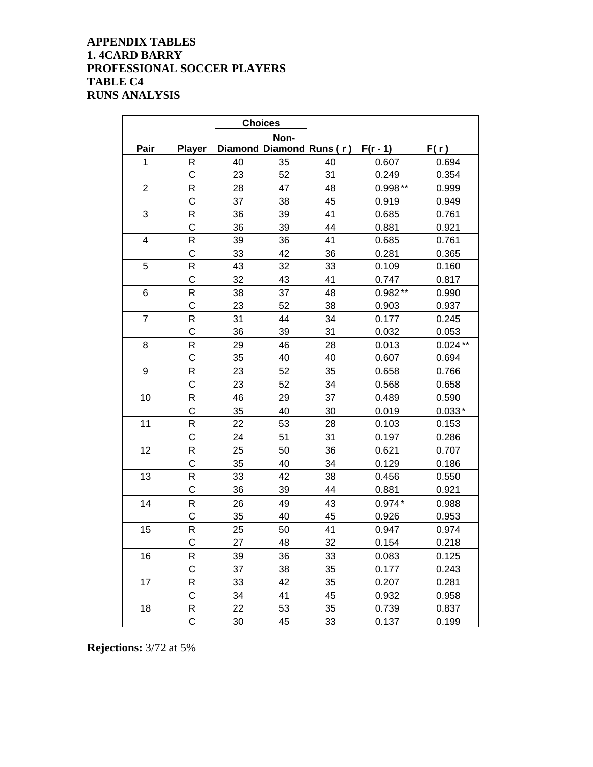### **APPENDIX TABLES 1. 4CARD BARRY PROFESSIONAL SOCCER PLAYERS TABLE C4 RUNS ANALYSIS**

|                |               |    | <b>Choices</b> |                          |            |           |
|----------------|---------------|----|----------------|--------------------------|------------|-----------|
|                |               |    | Non-           |                          |            |           |
| Pair           | <b>Player</b> |    |                | Diamond Diamond Runs (r) | $F(r - 1)$ | F(r)      |
| $\mathbf{1}$   | R             | 40 | 35             | 40                       | 0.607      | 0.694     |
|                | C             | 23 | 52             | 31                       | 0.249      | 0.354     |
| $\overline{2}$ | R             | 28 | 47             | 48                       | $0.998**$  | 0.999     |
|                | $\mathsf C$   | 37 | 38             | 45                       | 0.919      | 0.949     |
| 3              | R             | 36 | 39             | 41                       | 0.685      | 0.761     |
|                | $\mathsf C$   | 36 | 39             | 44                       | 0.881      | 0.921     |
| 4              | R             | 39 | 36             | 41                       | 0.685      | 0.761     |
|                | $\mathsf C$   | 33 | 42             | 36                       | 0.281      | 0.365     |
| 5              | R             | 43 | 32             | 33                       | 0.109      | 0.160     |
|                | $\mathsf C$   | 32 | 43             | 41                       | 0.747      | 0.817     |
| 6              | R             | 38 | 37             | 48                       | $0.982**$  | 0.990     |
|                | $\mathsf C$   | 23 | 52             | 38                       | 0.903      | 0.937     |
| 7              | R             | 31 | 44             | 34                       | 0.177      | 0.245     |
|                | C             | 36 | 39             | 31                       | 0.032      | 0.053     |
| 8              | R             | 29 | 46             | 28                       | 0.013      | $0.024**$ |
|                | C             | 35 | 40             | 40                       | 0.607      | 0.694     |
| 9              | R             | 23 | 52             | 35                       | 0.658      | 0.766     |
|                | $\mathsf C$   | 23 | 52             | 34                       | 0.568      | 0.658     |
| 10             | R             | 46 | 29             | 37                       | 0.489      | 0.590     |
|                | $\mathsf C$   | 35 | 40             | 30                       | 0.019      | $0.033*$  |
| 11             | R             | 22 | 53             | 28                       | 0.103      | 0.153     |
|                | C             | 24 | 51             | 31                       | 0.197      | 0.286     |
| 12             | R             | 25 | 50             | 36                       | 0.621      | 0.707     |
|                | $\mathsf C$   | 35 | 40             | 34                       | 0.129      | 0.186     |
| 13             | R             | 33 | 42             | 38                       | 0.456      | 0.550     |
|                | C             | 36 | 39             | 44                       | 0.881      | 0.921     |
| 14             | R             | 26 | 49             | 43                       | $0.974*$   | 0.988     |
|                | C             | 35 | 40             | 45                       | 0.926      | 0.953     |
| 15             | R             | 25 | 50             | 41                       | 0.947      | 0.974     |
|                | C             | 27 | 48             | 32                       | 0.154      | 0.218     |
| 16             | R             | 39 | 36             | 33                       | 0.083      | 0.125     |
|                | $\mathsf C$   | 37 | 38             | 35                       | 0.177      | 0.243     |
| 17             | R             | 33 | 42             | 35                       | 0.207      | 0.281     |
|                | C             | 34 | 41             | 45                       | 0.932      | 0.958     |
| 18             | R             | 22 | 53             | 35                       | 0.739      | 0.837     |
|                | $\mathsf C$   | 30 | 45             | 33                       | 0.137      | 0.199     |

**Rejections:** 3/72 at 5%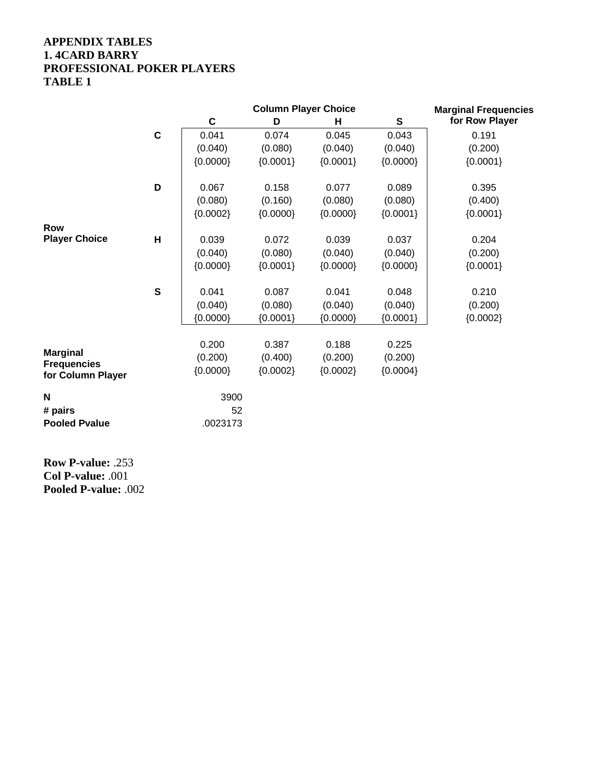### **APPENDIX TABLES 1. 4CARD BARRY PROFESSIONAL POKER PLAYERS TABLE 1**

|                                         |             |            | <b>Column Player Choice</b> |            | <b>Marginal Frequencies</b> |                |
|-----------------------------------------|-------------|------------|-----------------------------|------------|-----------------------------|----------------|
|                                         |             | C          | D                           | н          | ${\mathbf S}$               | for Row Player |
|                                         | $\mathbf c$ | 0.041      | 0.074                       | 0.045      | 0.043                       | 0.191          |
|                                         |             | (0.040)    | (0.080)                     | (0.040)    | (0.040)                     | (0.200)        |
|                                         |             | ${0.0000}$ | ${0.0001}$                  | ${0.0001}$ | ${0.0000}$                  | ${0.0001}$     |
|                                         | D           | 0.067      | 0.158                       | 0.077      | 0.089                       | 0.395          |
|                                         |             | (0.080)    | (0.160)                     | (0.080)    | (0.080)                     | (0.400)        |
|                                         |             | ${0.0002}$ | ${0.0000}$                  | ${0.0000}$ | ${0.0001}$                  | ${0.0001}$     |
| <b>Row</b>                              |             |            |                             |            |                             |                |
| <b>Player Choice</b>                    | H           | 0.039      | 0.072                       | 0.039      | 0.037                       | 0.204          |
|                                         |             | (0.040)    | (0.080)                     | (0.040)    | (0.040)                     | (0.200)        |
|                                         |             | ${0.0000}$ | ${0.0001}$                  | ${0.0000}$ | ${0.0000}$                  | ${0.0001}$     |
|                                         | $\mathbf s$ | 0.041      | 0.087                       | 0.041      | 0.048                       | 0.210          |
|                                         |             | (0.040)    | (0.080)                     | (0.040)    | (0.040)                     | (0.200)        |
|                                         |             | ${0.0000}$ | ${0.0001}$                  | ${0.0000}$ | ${0.0001}$                  | ${0.0002}$     |
|                                         |             | 0.200      | 0.387                       | 0.188      | 0.225                       |                |
| <b>Marginal</b>                         |             | (0.200)    | (0.400)                     | (0.200)    | (0.200)                     |                |
| <b>Frequencies</b><br>for Column Player |             | ${0.0000}$ | ${0.0002}$                  | ${0.0002}$ | ${0.0004}$                  |                |
| N                                       |             | 3900       |                             |            |                             |                |
| # pairs                                 |             | 52         |                             |            |                             |                |
| <b>Pooled Pvalue</b>                    |             | .0023173   |                             |            |                             |                |
|                                         |             |            |                             |            |                             |                |

**Row P-value:** .253 **Col P-value:** .001 **Pooled P-value:** .002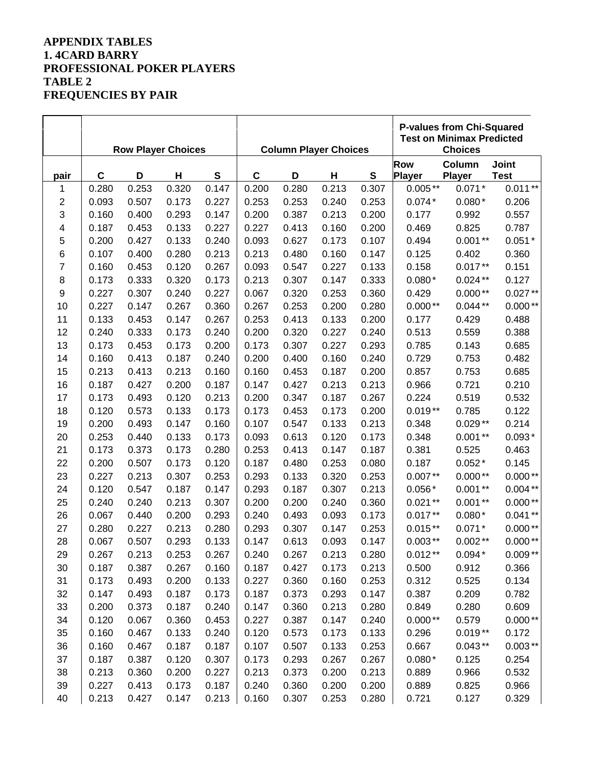## **APPENDIX TABLES 1. 4CARD BARRY PROFESSIONAL POKER PLAYERS TABLE 2 FREQUENCIES BY PAIR**

|                         |       | <b>Row Player Choices</b> |       |               | <b>Column Player Choices</b> |       |       |           | <b>P-values from Chi-Squared</b><br><b>Test on Minimax Predicted</b><br><b>Choices</b> |               |              |
|-------------------------|-------|---------------------------|-------|---------------|------------------------------|-------|-------|-----------|----------------------------------------------------------------------------------------|---------------|--------------|
|                         |       |                           |       |               |                              |       |       |           | <b>Row</b>                                                                             | Column        | <b>Joint</b> |
| pair                    | C     | D                         | H     | ${\mathbb S}$ | $\mathbf C$                  | D     | H     | ${\bf S}$ | Player                                                                                 | <b>Player</b> | <b>Test</b>  |
| 1                       | 0.280 | 0.253                     | 0.320 | 0.147         | 0.200                        | 0.280 | 0.213 | 0.307     | $0.005**$                                                                              | $0.071*$      | $0.011**$    |
| 2                       | 0.093 | 0.507                     | 0.173 | 0.227         | 0.253                        | 0.253 | 0.240 | 0.253     | $0.074*$                                                                               | $0.080*$      | 0.206        |
| 3                       | 0.160 | 0.400                     | 0.293 | 0.147         | 0.200                        | 0.387 | 0.213 | 0.200     | 0.177                                                                                  | 0.992         | 0.557        |
| $\overline{\mathbf{4}}$ | 0.187 | 0.453                     | 0.133 | 0.227         | 0.227                        | 0.413 | 0.160 | 0.200     | 0.469                                                                                  | 0.825         | 0.787        |
| 5                       | 0.200 | 0.427                     | 0.133 | 0.240         | 0.093                        | 0.627 | 0.173 | 0.107     | 0.494                                                                                  | $0.001**$     | $0.051*$     |
| 6                       | 0.107 | 0.400                     | 0.280 | 0.213         | 0.213                        | 0.480 | 0.160 | 0.147     | 0.125                                                                                  | 0.402         | 0.360        |
| 7                       | 0.160 | 0.453                     | 0.120 | 0.267         | 0.093                        | 0.547 | 0.227 | 0.133     | 0.158                                                                                  | $0.017**$     | 0.151        |
| 8                       | 0.173 | 0.333                     | 0.320 | 0.173         | 0.213                        | 0.307 | 0.147 | 0.333     | $0.080*$                                                                               | $0.024**$     | 0.127        |
| 9                       | 0.227 | 0.307                     | 0.240 | 0.227         | 0.067                        | 0.320 | 0.253 | 0.360     | 0.429                                                                                  | $0.000**$     | $0.027**$    |
| 10                      | 0.227 | 0.147                     | 0.267 | 0.360         | 0.267                        | 0.253 | 0.200 | 0.280     | $0.000**$                                                                              | $0.044**$     | $0.000**$    |
| 11                      | 0.133 | 0.453                     | 0.147 | 0.267         | 0.253                        | 0.413 | 0.133 | 0.200     | 0.177                                                                                  | 0.429         | 0.488        |
| 12                      | 0.240 | 0.333                     | 0.173 | 0.240         | 0.200                        | 0.320 | 0.227 | 0.240     | 0.513                                                                                  | 0.559         | 0.388        |
| 13                      | 0.173 | 0.453                     | 0.173 | 0.200         | 0.173                        | 0.307 | 0.227 | 0.293     | 0.785                                                                                  | 0.143         | 0.685        |
| 14                      | 0.160 | 0.413                     | 0.187 | 0.240         | 0.200                        | 0.400 | 0.160 | 0.240     | 0.729                                                                                  | 0.753         | 0.482        |
| 15                      | 0.213 | 0.413                     | 0.213 | 0.160         | 0.160                        | 0.453 | 0.187 | 0.200     | 0.857                                                                                  | 0.753         | 0.685        |
| 16                      | 0.187 | 0.427                     | 0.200 | 0.187         | 0.147                        | 0.427 | 0.213 | 0.213     | 0.966                                                                                  | 0.721         | 0.210        |
| 17                      | 0.173 | 0.493                     | 0.120 | 0.213         | 0.200                        | 0.347 | 0.187 | 0.267     | 0.224                                                                                  | 0.519         | 0.532        |
| 18                      | 0.120 | 0.573                     | 0.133 | 0.173         | 0.173                        | 0.453 | 0.173 | 0.200     | $0.019**$                                                                              | 0.785         | 0.122        |
| 19                      | 0.200 | 0.493                     | 0.147 | 0.160         | 0.107                        | 0.547 | 0.133 | 0.213     | 0.348                                                                                  | $0.029**$     | 0.214        |
| 20                      | 0.253 | 0.440                     | 0.133 | 0.173         | 0.093                        | 0.613 | 0.120 | 0.173     | 0.348                                                                                  | $0.001**$     | $0.093*$     |
| 21                      | 0.173 | 0.373                     | 0.173 | 0.280         | 0.253                        | 0.413 | 0.147 | 0.187     | 0.381                                                                                  | 0.525         | 0.463        |
| 22                      | 0.200 | 0.507                     | 0.173 | 0.120         | 0.187                        | 0.480 | 0.253 | 0.080     | 0.187                                                                                  | $0.052*$      | 0.145        |
| 23                      | 0.227 | 0.213                     | 0.307 | 0.253         | 0.293                        | 0.133 | 0.320 | 0.253     | $0.007**$                                                                              | $0.000**$     | $0.000**$    |
| 24                      | 0.120 | 0.547                     | 0.187 | 0.147         | 0.293                        | 0.187 | 0.307 | 0.213     | $0.056*$                                                                               | $0.001**$     | $0.004**$    |
| 25                      | 0.240 | 0.240                     | 0.213 | 0.307         | 0.200                        | 0.200 | 0.240 | 0.360     | $0.021**$                                                                              | $0.001**$     | $0.000**$    |
| 26                      | 0.067 | 0.440                     | 0.200 | 0.293         | 0.240                        | 0.493 | 0.093 | 0.173     | $0.017**$                                                                              | $0.080*$      | $0.041**$    |
| 27                      | 0.280 | 0.227                     | 0.213 | 0.280         | 0.293                        | 0.307 | 0.147 | 0.253     | $0.015**$                                                                              | $0.071*$      | $0.000**$    |
| 28                      | 0.067 | 0.507                     | 0.293 | 0.133         | 0.147                        | 0.613 | 0.093 | 0.147     | $0.003**$                                                                              | $0.002**$     | $0.000**$    |
| 29                      | 0.267 | 0.213                     | 0.253 | 0.267         | 0.240                        | 0.267 | 0.213 | 0.280     | $0.012**$                                                                              | $0.094*$      | $0.009**$    |
| 30                      | 0.187 | 0.387                     | 0.267 | 0.160         | 0.187                        | 0.427 | 0.173 | 0.213     | 0.500                                                                                  | 0.912         | 0.366        |
| 31                      | 0.173 | 0.493                     | 0.200 | 0.133         | 0.227                        | 0.360 | 0.160 | 0.253     | 0.312                                                                                  | 0.525         | 0.134        |
| 32                      | 0.147 | 0.493                     | 0.187 | 0.173         | 0.187                        | 0.373 | 0.293 | 0.147     | 0.387                                                                                  | 0.209         | 0.782        |
| 33                      | 0.200 | 0.373                     | 0.187 | 0.240         | 0.147                        | 0.360 | 0.213 | 0.280     | 0.849                                                                                  | 0.280         | 0.609        |
| 34                      | 0.120 | 0.067                     | 0.360 | 0.453         | 0.227                        | 0.387 | 0.147 | 0.240     | $0.000**$                                                                              | 0.579         | $0.000**$    |
| 35                      | 0.160 | 0.467                     | 0.133 | 0.240         | 0.120                        | 0.573 | 0.173 | 0.133     | 0.296                                                                                  | $0.019**$     | 0.172        |
| 36                      | 0.160 | 0.467                     | 0.187 | 0.187         | 0.107                        | 0.507 | 0.133 | 0.253     | 0.667                                                                                  | $0.043**$     | $0.003**$    |
| 37                      | 0.187 | 0.387                     | 0.120 | 0.307         | 0.173                        | 0.293 | 0.267 | 0.267     | $0.080*$                                                                               | 0.125         | 0.254        |
| 38                      | 0.213 | 0.360                     | 0.200 | 0.227         | 0.213                        | 0.373 | 0.200 | 0.213     | 0.889                                                                                  | 0.966         | 0.532        |
| 39                      | 0.227 | 0.413                     | 0.173 | 0.187         | 0.240                        | 0.360 | 0.200 | 0.200     | 0.889                                                                                  | 0.825         | 0.966        |
| 40                      | 0.213 | 0.427                     | 0.147 | 0.213         | 0.160                        | 0.307 | 0.253 | 0.280     | 0.721                                                                                  | 0.127         | 0.329        |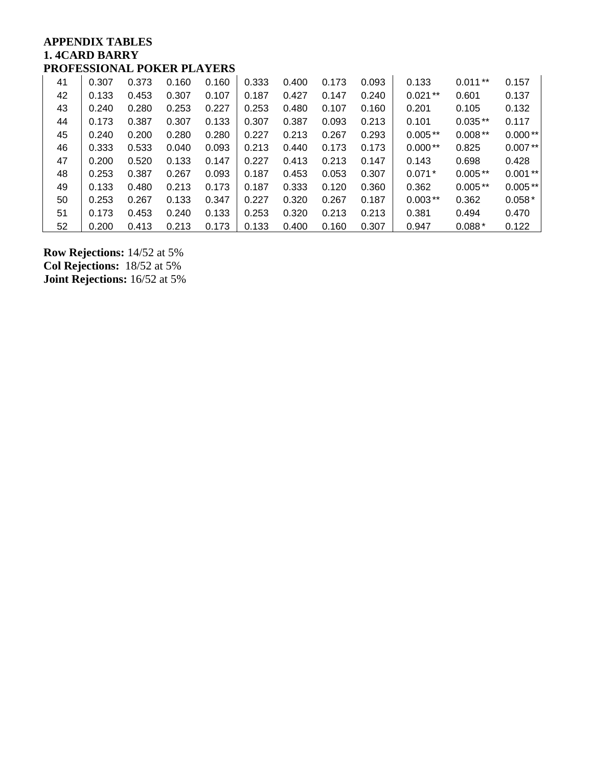### **APPENDIX TABLES 1. 4CARD BARRY PROFESSIONAL POKER PLAYERS**

| 41 | 0.307 | 0.373 | 0.160 | 0.160 | 0.333 | 0.400 | 0.173 | 0.093 | 0.133     | $0.011**$ | 0.157     |
|----|-------|-------|-------|-------|-------|-------|-------|-------|-----------|-----------|-----------|
| 42 | 0.133 | 0.453 | 0.307 | 0.107 | 0.187 | 0.427 | 0.147 | 0.240 | $0.021**$ | 0.601     | 0.137     |
| 43 | 0.240 | 0.280 | 0.253 | 0.227 | 0.253 | 0.480 | 0.107 | 0.160 | 0.201     | 0.105     | 0.132     |
| 44 | 0.173 | 0.387 | 0.307 | 0.133 | 0.307 | 0.387 | 0.093 | 0.213 | 0.101     | $0.035**$ | 0.117     |
| 45 | 0.240 | 0.200 | 0.280 | 0.280 | 0.227 | 0.213 | 0.267 | 0.293 | $0.005**$ | $0.008**$ | $0.000**$ |
| 46 | 0.333 | 0.533 | 0.040 | 0.093 | 0.213 | 0.440 | 0.173 | 0.173 | $0.000**$ | 0.825     | $0.007**$ |
| 47 | 0.200 | 0.520 | 0.133 | 0.147 | 0.227 | 0.413 | 0.213 | 0.147 | 0.143     | 0.698     | 0.428     |
| 48 | 0.253 | 0.387 | 0.267 | 0.093 | 0.187 | 0.453 | 0.053 | 0.307 | $0.071*$  | $0.005**$ | $0.001**$ |
| 49 | 0.133 | 0.480 | 0.213 | 0.173 | 0.187 | 0.333 | 0.120 | 0.360 | 0.362     | $0.005**$ | $0.005**$ |
| 50 | 0.253 | 0.267 | 0.133 | 0.347 | 0.227 | 0.320 | 0.267 | 0.187 | $0.003**$ | 0.362     | $0.058*$  |
| 51 | 0.173 | 0.453 | 0.240 | 0.133 | 0.253 | 0.320 | 0.213 | 0.213 | 0.381     | 0.494     | 0.470     |
| 52 | 0.200 | 0.413 | 0.213 | 0.173 | 0.133 | 0.400 | 0.160 | 0.307 | 0.947     | $0.088*$  | 0.122     |

**Row Rejections:** 14/52 at 5% **Col Rejections:** 18/52 at 5% **Joint Rejections:** 16/52 at 5%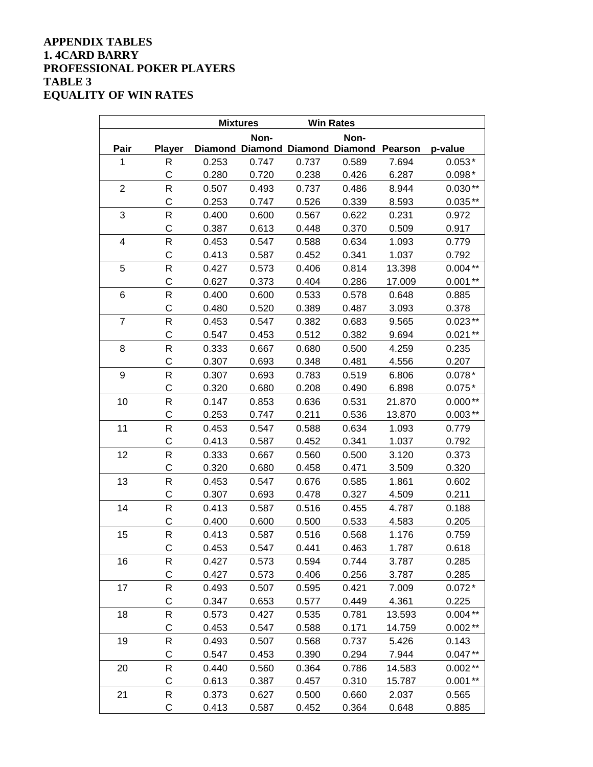### **APPENDIX TABLES 1. 4CARD BARRY PROFESSIONAL POKER PLAYERS TABLE 3 EQUALITY OF WIN RATES**

|                |               | <b>Mixtures</b> |       |       | <b>Win Rates</b>                        |        |           |
|----------------|---------------|-----------------|-------|-------|-----------------------------------------|--------|-----------|
|                |               |                 | Non-  |       | Non-                                    |        |           |
| Pair           | <b>Player</b> |                 |       |       | Diamond Diamond Diamond Diamond Pearson |        | p-value   |
| 1              | R             | 0.253           | 0.747 | 0.737 | 0.589                                   | 7.694  | $0.053*$  |
|                | $\mathsf{C}$  | 0.280           | 0.720 | 0.238 | 0.426                                   | 6.287  | $0.098*$  |
| $\overline{2}$ | R             | 0.507           | 0.493 | 0.737 | 0.486                                   | 8.944  | $0.030**$ |
|                | $\mathsf{C}$  | 0.253           | 0.747 | 0.526 | 0.339                                   | 8.593  | $0.035**$ |
| 3              | R             | 0.400           | 0.600 | 0.567 | 0.622                                   | 0.231  | 0.972     |
|                | C             | 0.387           | 0.613 | 0.448 | 0.370                                   | 0.509  | 0.917     |
| 4              | $\mathsf R$   | 0.453           | 0.547 | 0.588 | 0.634                                   | 1.093  | 0.779     |
|                | C             | 0.413           | 0.587 | 0.452 | 0.341                                   | 1.037  | 0.792     |
| 5              | R             | 0.427           | 0.573 | 0.406 | 0.814                                   | 13.398 | $0.004**$ |
|                | C             | 0.627           | 0.373 | 0.404 | 0.286                                   | 17.009 | $0.001**$ |
| 6              | ${\sf R}$     | 0.400           | 0.600 | 0.533 | 0.578                                   | 0.648  | 0.885     |
|                | C             | 0.480           | 0.520 | 0.389 | 0.487                                   | 3.093  | 0.378     |
| $\overline{7}$ | $\mathsf R$   | 0.453           | 0.547 | 0.382 | 0.683                                   | 9.565  | $0.023**$ |
|                | $\mathsf{C}$  | 0.547           | 0.453 | 0.512 | 0.382                                   | 9.694  | $0.021**$ |
| 8              | R             | 0.333           | 0.667 | 0.680 | 0.500                                   | 4.259  | 0.235     |
|                | C             | 0.307           | 0.693 | 0.348 | 0.481                                   | 4.556  | 0.207     |
| 9              | R             | 0.307           | 0.693 | 0.783 | 0.519                                   | 6.806  | $0.078*$  |
|                | C             | 0.320           | 0.680 | 0.208 | 0.490                                   | 6.898  | $0.075*$  |
| 10             | R             | 0.147           | 0.853 | 0.636 | 0.531                                   | 21.870 | $0.000**$ |
|                | C             | 0.253           | 0.747 | 0.211 | 0.536                                   | 13.870 | $0.003**$ |
| 11             | ${\sf R}$     | 0.453           | 0.547 | 0.588 | 0.634                                   | 1.093  | 0.779     |
|                | C             | 0.413           | 0.587 | 0.452 | 0.341                                   | 1.037  | 0.792     |
| 12             | ${\sf R}$     | 0.333           | 0.667 | 0.560 | 0.500                                   | 3.120  | 0.373     |
|                | C             | 0.320           | 0.680 | 0.458 | 0.471                                   | 3.509  | 0.320     |
| 13             | R             | 0.453           | 0.547 | 0.676 | 0.585                                   | 1.861  | 0.602     |
|                | C             | 0.307           | 0.693 | 0.478 | 0.327                                   | 4.509  | 0.211     |
| 14             | R             | 0.413           | 0.587 | 0.516 | 0.455                                   | 4.787  | 0.188     |
|                | $\mathsf{C}$  | 0.400           | 0.600 | 0.500 | 0.533                                   | 4.583  | 0.205     |
| 15             | R             | 0.413           | 0.587 | 0.516 | 0.568                                   | 1.176  | 0.759     |
|                | C             | 0.453           | 0.547 | 0.441 | 0.463                                   | 1.787  | 0.618     |
| 16             | R             | 0.427           | 0.573 | 0.594 | 0.744                                   | 3.787  | 0.285     |
|                | C             | 0.427           | 0.573 | 0.406 | 0.256                                   | 3.787  | 0.285     |
| 17             | R             | 0.493           | 0.507 | 0.595 | 0.421                                   | 7.009  | $0.072*$  |
|                | C             | 0.347           | 0.653 | 0.577 | 0.449                                   | 4.361  | 0.225     |
| 18             | ${\sf R}$     | 0.573           | 0.427 | 0.535 | 0.781                                   | 13.593 | $0.004**$ |
|                | C             | 0.453           | 0.547 | 0.588 | 0.171                                   | 14.759 | $0.002**$ |
| 19             | ${\sf R}$     | 0.493           | 0.507 | 0.568 | 0.737                                   | 5.426  | 0.143     |
|                | C             | 0.547           | 0.453 | 0.390 | 0.294                                   | 7.944  | $0.047**$ |
| 20             | R             | 0.440           | 0.560 | 0.364 | 0.786                                   | 14.583 | $0.002**$ |
|                | C             | 0.613           | 0.387 | 0.457 | 0.310                                   | 15.787 | $0.001**$ |
| 21             | R             | 0.373           | 0.627 | 0.500 | 0.660                                   | 2.037  | 0.565     |
|                | C             | 0.413           | 0.587 | 0.452 | 0.364                                   | 0.648  | 0.885     |

the control of the control of the control of the control of the control of the control of the control of the control of the control of the control of the control of the control of the control of the control of the control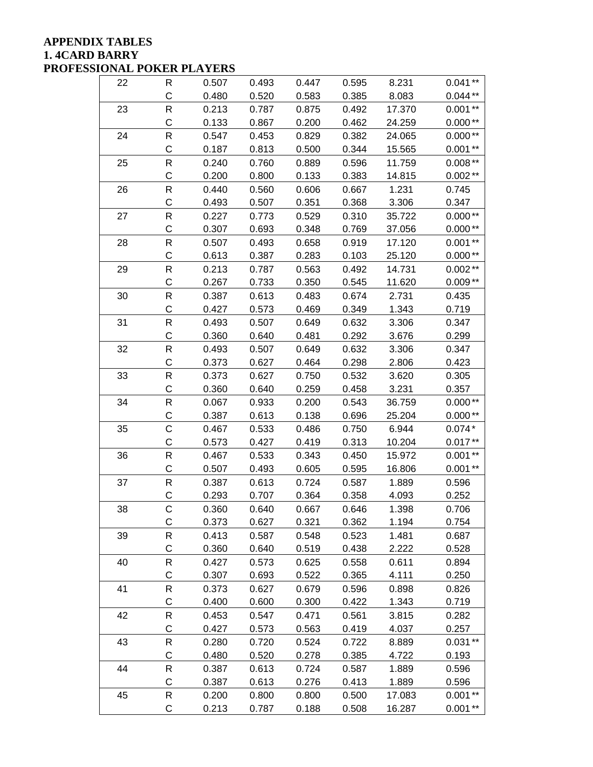### **APPENDIX TABLES 1. 4CARD BARRY PROFESSIONAL POKER PLAYERS**

| 22 | R            | 0.507 | 0.493 | 0.447 | 0.595 | 8.231  | $0.041**$ |
|----|--------------|-------|-------|-------|-------|--------|-----------|
|    | $\mathsf C$  | 0.480 | 0.520 | 0.583 | 0.385 | 8.083  | $0.044**$ |
| 23 | R            | 0.213 | 0.787 | 0.875 | 0.492 | 17.370 | $0.001**$ |
|    | C            | 0.133 | 0.867 | 0.200 | 0.462 | 24.259 | $0.000**$ |
| 24 | R            | 0.547 | 0.453 | 0.829 | 0.382 | 24.065 | $0.000**$ |
|    | C            | 0.187 | 0.813 | 0.500 | 0.344 | 15.565 | $0.001**$ |
| 25 | R            | 0.240 | 0.760 | 0.889 | 0.596 | 11.759 | $0.008**$ |
|    | C            | 0.200 | 0.800 | 0.133 | 0.383 | 14.815 | $0.002**$ |
| 26 | R            | 0.440 | 0.560 | 0.606 | 0.667 | 1.231  | 0.745     |
|    | C            | 0.493 | 0.507 | 0.351 | 0.368 | 3.306  | 0.347     |
| 27 | R            | 0.227 | 0.773 | 0.529 | 0.310 | 35.722 | $0.000**$ |
|    | $\mathsf{C}$ | 0.307 | 0.693 | 0.348 | 0.769 | 37.056 | $0.000**$ |
| 28 | R            | 0.507 | 0.493 | 0.658 | 0.919 | 17.120 | $0.001**$ |
|    | C            | 0.613 | 0.387 | 0.283 | 0.103 | 25.120 | $0.000**$ |
| 29 | R            | 0.213 | 0.787 | 0.563 | 0.492 | 14.731 | $0.002**$ |
|    | C            | 0.267 | 0.733 | 0.350 | 0.545 | 11.620 | $0.009**$ |
| 30 | R            | 0.387 | 0.613 | 0.483 | 0.674 | 2.731  | 0.435     |
|    | C            | 0.427 | 0.573 | 0.469 | 0.349 | 1.343  | 0.719     |
| 31 | $\mathsf R$  | 0.493 | 0.507 | 0.649 | 0.632 | 3.306  | 0.347     |
|    | C            | 0.360 | 0.640 | 0.481 | 0.292 | 3.676  | 0.299     |
| 32 | ${\sf R}$    | 0.493 | 0.507 | 0.649 | 0.632 | 3.306  | 0.347     |
|    | $\mathsf C$  | 0.373 | 0.627 | 0.464 | 0.298 | 2.806  | 0.423     |
| 33 | R            | 0.373 | 0.627 | 0.750 | 0.532 | 3.620  | 0.305     |
|    | C            | 0.360 | 0.640 | 0.259 | 0.458 | 3.231  | 0.357     |
| 34 | ${\sf R}$    | 0.067 | 0.933 | 0.200 | 0.543 | 36.759 | $0.000**$ |
|    | C            | 0.387 | 0.613 | 0.138 | 0.696 | 25.204 | $0.000**$ |
| 35 | C            | 0.467 | 0.533 | 0.486 | 0.750 | 6.944  | $0.074*$  |
|    | C            | 0.573 | 0.427 | 0.419 | 0.313 | 10.204 | $0.017**$ |
| 36 | ${\sf R}$    | 0.467 | 0.533 | 0.343 | 0.450 | 15.972 | $0.001**$ |
|    | C            | 0.507 | 0.493 | 0.605 | 0.595 | 16.806 | $0.001**$ |
| 37 | ${\sf R}$    | 0.387 | 0.613 | 0.724 | 0.587 | 1.889  | 0.596     |
|    | C            | 0.293 | 0.707 | 0.364 | 0.358 | 4.093  | 0.252     |
| 38 | C            | 0.360 | 0.640 | 0.667 | 0.646 | 1.398  | 0.706     |
|    | C            | 0.373 | 0.627 | 0.321 | 0.362 | 1.194  | 0.754     |
| 39 | R            | 0.413 | 0.587 | 0.548 | 0.523 | 1.481  | 0.687     |
|    | $\mathsf C$  | 0.360 | 0.640 | 0.519 | 0.438 | 2.222  | 0.528     |
| 40 | R            | 0.427 | 0.573 | 0.625 | 0.558 | 0.611  | 0.894     |
|    | $\mathsf C$  | 0.307 | 0.693 | 0.522 | 0.365 | 4.111  | 0.250     |
| 41 | R            | 0.373 | 0.627 | 0.679 | 0.596 | 0.898  | 0.826     |
|    | C            | 0.400 | 0.600 | 0.300 | 0.422 | 1.343  | 0.719     |
| 42 | R            | 0.453 | 0.547 | 0.471 | 0.561 | 3.815  | 0.282     |
|    | C            | 0.427 | 0.573 | 0.563 | 0.419 | 4.037  | 0.257     |
| 43 | ${\sf R}$    | 0.280 | 0.720 | 0.524 | 0.722 | 8.889  | $0.031**$ |
|    | C            | 0.480 | 0.520 | 0.278 | 0.385 | 4.722  | 0.193     |
| 44 | $\mathsf{R}$ | 0.387 | 0.613 | 0.724 | 0.587 | 1.889  | 0.596     |
|    | C            | 0.387 | 0.613 | 0.276 | 0.413 | 1.889  | 0.596     |
| 45 | ${\sf R}$    | 0.200 | 0.800 | 0.800 | 0.500 | 17.083 | $0.001**$ |
|    | $\mathsf C$  | 0.213 | 0.787 | 0.188 | 0.508 | 16.287 | $0.001**$ |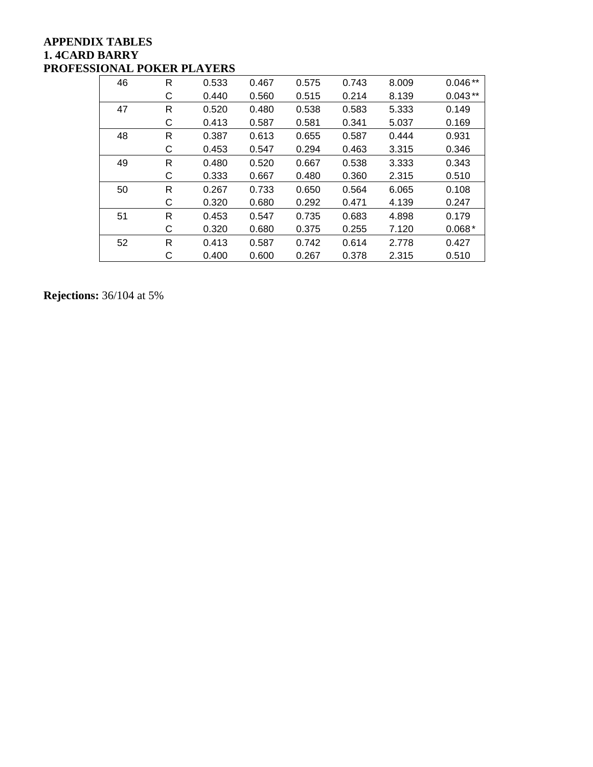## **APPENDIX TABLES 1. 4CARD BARRY PROFESSIONAL POKER PLAYERS**

| 46 | R | 0.533 | 0.467 | 0.575 | 0.743 | 8.009 | $0.046**$ |
|----|---|-------|-------|-------|-------|-------|-----------|
|    | С | 0.440 | 0.560 | 0.515 | 0.214 | 8.139 | $0.043**$ |
| 47 | R | 0.520 | 0.480 | 0.538 | 0.583 | 5.333 | 0.149     |
|    | С | 0.413 | 0.587 | 0.581 | 0.341 | 5.037 | 0.169     |
| 48 | R | 0.387 | 0.613 | 0.655 | 0.587 | 0.444 | 0.931     |
|    | С | 0.453 | 0.547 | 0.294 | 0.463 | 3.315 | 0.346     |
| 49 | R | 0.480 | 0.520 | 0.667 | 0.538 | 3.333 | 0.343     |
|    | С | 0.333 | 0.667 | 0.480 | 0.360 | 2.315 | 0.510     |
| 50 | R | 0.267 | 0.733 | 0.650 | 0.564 | 6.065 | 0.108     |
|    | С | 0.320 | 0.680 | 0.292 | 0.471 | 4.139 | 0.247     |
| 51 | R | 0.453 | 0.547 | 0.735 | 0.683 | 4.898 | 0.179     |
|    | С | 0.320 | 0.680 | 0.375 | 0.255 | 7.120 | $0.068*$  |
| 52 | R | 0.413 | 0.587 | 0.742 | 0.614 | 2.778 | 0.427     |
|    | С | 0.400 | 0.600 | 0.267 | 0.378 | 2.315 | 0.510     |

**Rejections:** 36/104 at 5%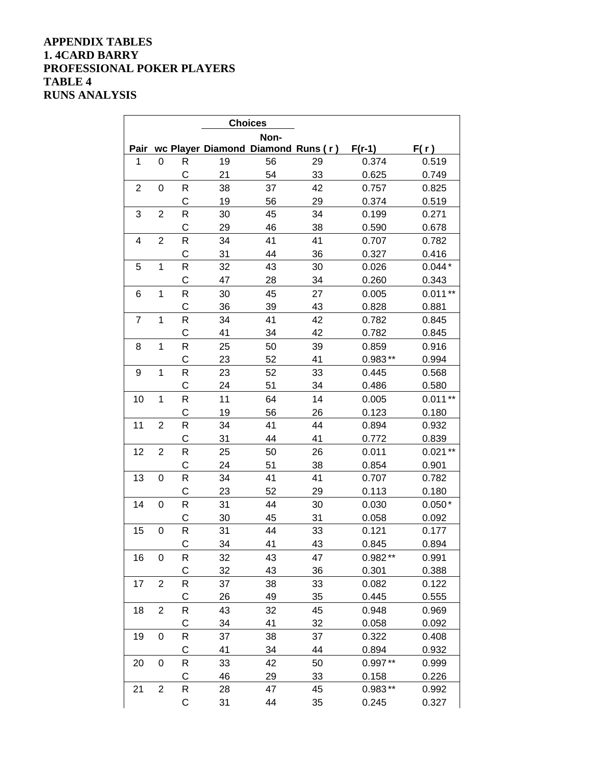### **APPENDIX TABLES 1. 4CARD BARRY PROFESSIONAL POKER PLAYERS TABLE 4 RUNS ANALYSIS**

|                | <b>Choices</b>   |             |    |                                    |    |           |           |  |  |  |  |
|----------------|------------------|-------------|----|------------------------------------|----|-----------|-----------|--|--|--|--|
|                |                  |             |    | Non-                               |    |           |           |  |  |  |  |
| Pair           |                  |             |    | wc Player Diamond Diamond Runs (r) |    | $F(r-1)$  | F(r)      |  |  |  |  |
| 1              | 0                | R           | 19 | 56                                 | 29 | 0.374     | 0.519     |  |  |  |  |
|                |                  | C           | 21 | 54                                 | 33 | 0.625     | 0.749     |  |  |  |  |
| $\mathbf 2$    | 0                | R           | 38 | 37                                 | 42 | 0.757     | 0.825     |  |  |  |  |
|                |                  | C           | 19 | 56                                 | 29 | 0.374     | 0.519     |  |  |  |  |
| 3              | $\overline{2}$   | R           | 30 | 45                                 | 34 | 0.199     | 0.271     |  |  |  |  |
|                |                  | C           | 29 | 46                                 | 38 | 0.590     | 0.678     |  |  |  |  |
| 4              | $\overline{2}$   | R           | 34 | 41                                 | 41 | 0.707     | 0.782     |  |  |  |  |
|                |                  | C           | 31 | 44                                 | 36 | 0.327     | 0.416     |  |  |  |  |
| 5              | 1                | R           | 32 | 43                                 | 30 | 0.026     | $0.044*$  |  |  |  |  |
|                |                  | C           | 47 | 28                                 | 34 | 0.260     | 0.343     |  |  |  |  |
| 6              | 1                | $\mathsf R$ | 30 | 45                                 | 27 | 0.005     | $0.011**$ |  |  |  |  |
|                |                  | C           | 36 | 39                                 | 43 | 0.828     | 0.881     |  |  |  |  |
| $\overline{7}$ | 1                | R           | 34 | 41                                 | 42 | 0.782     | 0.845     |  |  |  |  |
|                |                  | C           | 41 | 34                                 | 42 | 0.782     | 0.845     |  |  |  |  |
| 8              | 1                | R           | 25 | 50                                 | 39 | 0.859     | 0.916     |  |  |  |  |
|                |                  | C           | 23 | 52                                 | 41 | $0.983**$ | 0.994     |  |  |  |  |
| 9              | 1                | $\mathsf R$ | 23 | 52                                 | 33 | 0.445     | 0.568     |  |  |  |  |
|                |                  | C           | 24 | 51                                 | 34 | 0.486     | 0.580     |  |  |  |  |
| 10             | $\mathbf 1$      | $\mathsf R$ | 11 | 64                                 | 14 | 0.005     | $0.011**$ |  |  |  |  |
|                |                  | C           | 19 | 56                                 | 26 | 0.123     | 0.180     |  |  |  |  |
| 11             | $\overline{2}$   | R           | 34 | 41                                 | 44 | 0.894     | 0.932     |  |  |  |  |
|                |                  | C           | 31 | 44                                 | 41 | 0.772     | 0.839     |  |  |  |  |
| 12             | $\overline{2}$   | R           | 25 | 50                                 | 26 | 0.011     | $0.021**$ |  |  |  |  |
|                |                  | C           | 24 | 51                                 | 38 | 0.854     | 0.901     |  |  |  |  |
| 13             | 0                | R           | 34 | 41                                 | 41 | 0.707     | 0.782     |  |  |  |  |
|                |                  | C           | 23 | 52                                 | 29 | 0.113     | 0.180     |  |  |  |  |
| 14             | $\mathbf 0$      | R           | 31 | 44                                 | 30 | 0.030     | $0.050*$  |  |  |  |  |
|                |                  | C           | 30 | 45                                 | 31 | 0.058     | 0.092     |  |  |  |  |
| 15             | 0                | R           | 31 | 44                                 | 33 | 0.121     | 0.177     |  |  |  |  |
|                |                  | C           | 34 | 41                                 | 43 | 0.845     | 0.894     |  |  |  |  |
| 16             | $\boldsymbol{0}$ | R           | 32 | 43                                 | 47 | $0.982**$ | 0.991     |  |  |  |  |
|                |                  | C           | 32 | 43                                 | 36 | 0.301     | 0.388     |  |  |  |  |
| 17             | $\overline{c}$   | R           | 37 | 38                                 | 33 | 0.082     | 0.122     |  |  |  |  |
|                |                  | C           | 26 | 49                                 | 35 | 0.445     | 0.555     |  |  |  |  |
| 18             | 2                | R           | 43 | 32                                 | 45 | 0.948     | 0.969     |  |  |  |  |
|                |                  | C           | 34 | 41                                 | 32 | 0.058     | 0.092     |  |  |  |  |
| 19             | 0                | R           | 37 | 38                                 | 37 | 0.322     | 0.408     |  |  |  |  |
|                |                  | C           | 41 | 34                                 | 44 | 0.894     | 0.932     |  |  |  |  |
| 20             | $\boldsymbol{0}$ | R           | 33 | 42                                 | 50 | $0.997**$ | 0.999     |  |  |  |  |
|                |                  | C           | 46 | 29                                 | 33 | 0.158     | 0.226     |  |  |  |  |
| 21             | $\overline{c}$   | R           | 28 | 47                                 | 45 | $0.983**$ | 0.992     |  |  |  |  |
|                |                  | C           | 31 | 44                                 | 35 | 0.245     | 0.327     |  |  |  |  |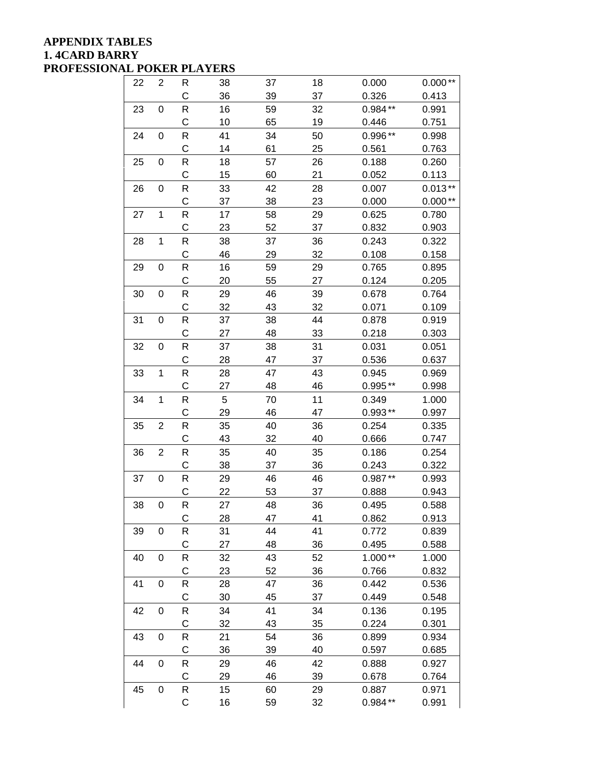### **APPENDIX TABLES 1. 4CARD BARRY PROFESSIONAL POKER PLAYERS**

| 22 | 2                | R                  | 38 | 37 | 18 | 0.000     | $0.000**$ |
|----|------------------|--------------------|----|----|----|-----------|-----------|
|    |                  | C                  | 36 | 39 | 37 | 0.326     | 0.413     |
| 23 | 0                | R                  | 16 | 59 | 32 | $0.984**$ | 0.991     |
|    |                  | C                  | 10 | 65 | 19 | 0.446     | 0.751     |
| 24 | 0                | $\mathsf R$        | 41 | 34 | 50 | 0.996**   | 0.998     |
|    |                  | C                  | 14 | 61 | 25 | 0.561     | 0.763     |
| 25 | 0                | R                  | 18 | 57 | 26 | 0.188     | 0.260     |
|    |                  | C                  | 15 | 60 | 21 | 0.052     | 0.113     |
| 26 | 0                | R                  | 33 | 42 | 28 | 0.007     | $0.013**$ |
|    |                  | C                  | 37 | 38 | 23 | 0.000     | $0.000**$ |
| 27 | $\mathbf 1$      | R                  | 17 | 58 | 29 | 0.625     | 0.780     |
|    |                  | C                  | 23 | 52 | 37 | 0.832     | 0.903     |
| 28 | $\mathbf 1$      | $\mathsf{R}% _{T}$ | 38 | 37 | 36 | 0.243     | 0.322     |
|    |                  | C                  | 46 | 29 | 32 | 0.108     | 0.158     |
| 29 | 0                | R                  | 16 | 59 | 29 | 0.765     | 0.895     |
|    |                  | C                  | 20 | 55 | 27 | 0.124     | 0.205     |
| 30 | 0                | R                  | 29 | 46 | 39 | 0.678     | 0.764     |
|    |                  | C                  | 32 | 43 | 32 | 0.071     | 0.109     |
| 31 | $\boldsymbol{0}$ | ${\sf R}$          | 37 | 38 | 44 | 0.878     | 0.919     |
|    |                  | C                  | 27 | 48 | 33 | 0.218     | 0.303     |
| 32 | 0                | R                  | 37 | 38 | 31 | 0.031     | 0.051     |
|    |                  | $\mathsf C$        | 28 | 47 | 37 | 0.536     | 0.637     |
| 33 | $\mathbf 1$      | R                  | 28 | 47 | 43 | 0.945     | 0.969     |
|    |                  | C                  | 27 | 48 | 46 | $0.995**$ | 0.998     |
| 34 | $\mathbf 1$      | ${\sf R}$          | 5  | 70 | 11 | 0.349     | 1.000     |
|    |                  | C                  | 29 | 46 | 47 | $0.993**$ | 0.997     |
| 35 | 2                | $\mathsf R$        | 35 | 40 | 36 | 0.254     | 0.335     |
|    |                  | C                  | 43 | 32 | 40 | 0.666     | 0.747     |
| 36 | 2                | R                  | 35 | 40 | 35 | 0.186     | 0.254     |
|    |                  | C                  | 38 | 37 | 36 | 0.243     | 0.322     |
| 37 | $\pmb{0}$        | R                  | 29 | 46 | 46 | $0.987**$ | 0.993     |
|    |                  | C                  | 22 | 53 | 37 | 0.888     | 0.943     |
| 38 | 0                | R                  | 27 | 48 | 36 | 0.495     | 0.588     |
|    |                  | С                  | 28 | 47 | 41 | 0.862     | 0.913     |
| 39 | 0                | R                  | 31 | 44 | 41 | 0.772     | 0.839     |
|    |                  | C                  | 27 | 48 | 36 | 0.495     | 0.588     |
| 40 | 0                | ${\sf R}$          | 32 | 43 | 52 | $1.000**$ | 1.000     |
|    |                  | C                  | 23 | 52 | 36 | 0.766     | 0.832     |
| 41 | $\mathbf 0$      | ${\sf R}$          | 28 | 47 | 36 | 0.442     | 0.536     |
|    |                  | C                  | 30 | 45 | 37 | 0.449     | 0.548     |
| 42 | 0                | R                  | 34 | 41 | 34 | 0.136     | 0.195     |
|    |                  | C                  | 32 | 43 | 35 | 0.224     | 0.301     |
| 43 | 0                | R                  | 21 | 54 | 36 | 0.899     | 0.934     |
|    |                  | C                  | 36 | 39 | 40 | 0.597     | 0.685     |
| 44 | $\boldsymbol{0}$ | R                  | 29 | 46 | 42 | 0.888     | 0.927     |
|    |                  | $\mathsf C$        | 29 | 46 | 39 | 0.678     | 0.764     |
| 45 | $\mathbf 0$      | R                  | 15 | 60 | 29 | 0.887     | 0.971     |
|    |                  | $\mathbf C$        | 16 | 59 | 32 | $0.984**$ | 0.991     |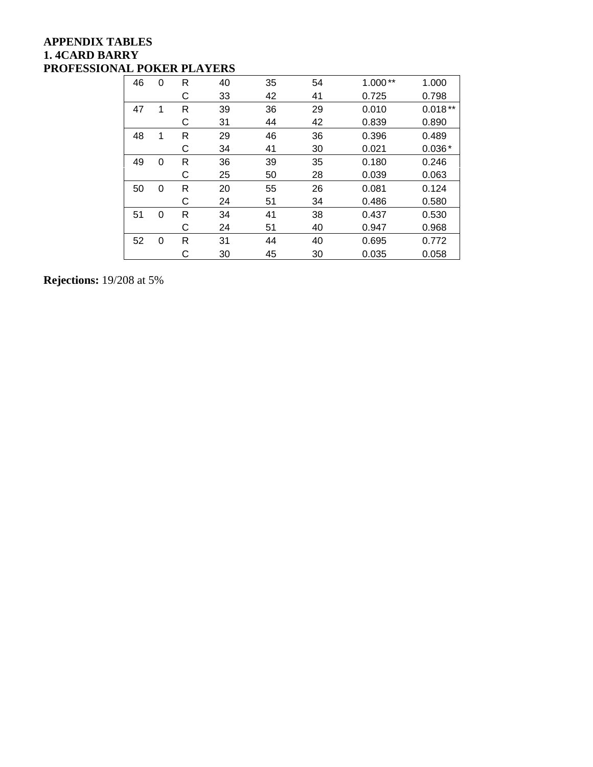## **APPENDIX TABLES 1. 4CARD BARRY PROFESSIONAL POKER PLAYERS**

| 46 | $\Omega$ | R | 40 | 35 | 54 | $1.000**$ | 1.000     |
|----|----------|---|----|----|----|-----------|-----------|
|    |          | С | 33 | 42 | 41 | 0.725     | 0.798     |
| 47 | 1        | R | 39 | 36 | 29 | 0.010     | $0.018**$ |
|    |          | С | 31 | 44 | 42 | 0.839     | 0.890     |
| 48 | 1        | R | 29 | 46 | 36 | 0.396     | 0.489     |
|    |          | С | 34 | 41 | 30 | 0.021     | $0.036*$  |
| 49 | 0        | R | 36 | 39 | 35 | 0.180     | 0.246     |
|    |          | С | 25 | 50 | 28 | 0.039     | 0.063     |
| 50 | 0        | R | 20 | 55 | 26 | 0.081     | 0.124     |
|    |          | С | 24 | 51 | 34 | 0.486     | 0.580     |
| 51 | $\Omega$ | R | 34 | 41 | 38 | 0.437     | 0.530     |
|    |          | С | 24 | 51 | 40 | 0.947     | 0.968     |
| 52 | 0        | R | 31 | 44 | 40 | 0.695     | 0.772     |
|    |          | С | 30 | 45 | 30 | 0.035     | 0.058     |

# **Rejections:** 19/208 at 5%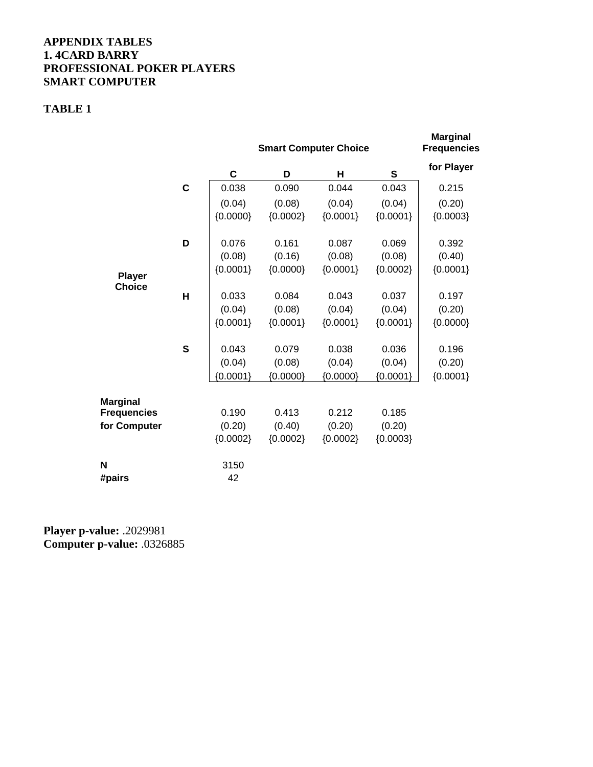### **APPENDIX TABLES 1. 4CARD BARRY PROFESSIONAL POKER PLAYERS SMART COMPUTER**

## **TABLE 1**

|                    |   |             | <b>Smart Computer Choice</b> | <b>Marginal</b><br><b>Frequencies</b> |            |            |
|--------------------|---|-------------|------------------------------|---------------------------------------|------------|------------|
|                    |   | $\mathbf c$ | D                            | н                                     | ${\bf S}$  | for Player |
|                    | C | 0.038       | 0.090                        | 0.044                                 | 0.043      | 0.215      |
|                    |   | (0.04)      | (0.08)                       | (0.04)                                | (0.04)     | (0.20)     |
|                    |   | ${0.0000}$  | ${0.0002}$                   | ${0.0001}$                            | ${0.0001}$ | ${0.0003}$ |
|                    | D | 0.076       | 0.161                        | 0.087                                 | 0.069      | 0.392      |
|                    |   | (0.08)      | (0.16)                       | (0.08)                                | (0.08)     | (0.40)     |
| <b>Player</b>      |   | ${0.0001}$  | ${0.0000}$                   | ${0.0001}$                            | ${0.0002}$ | ${0.0001}$ |
| <b>Choice</b>      | H | 0.033       | 0.084                        | 0.043                                 | 0.037      | 0.197      |
|                    |   | (0.04)      | (0.08)                       | (0.04)                                | (0.04)     | (0.20)     |
|                    |   | ${0.0001}$  | ${0.0001}$                   | ${0.0001}$                            | ${0.0001}$ | ${0.0000}$ |
|                    | S | 0.043       | 0.079                        | 0.038                                 | 0.036      | 0.196      |
|                    |   | (0.04)      | (0.08)                       | (0.04)                                | (0.04)     | (0.20)     |
|                    |   | ${0.0001}$  | ${0.0000}$                   | ${0.0000}$                            | ${0.0001}$ | ${0.0001}$ |
| <b>Marginal</b>    |   |             |                              |                                       |            |            |
| <b>Frequencies</b> |   | 0.190       | 0.413                        | 0.212                                 | 0.185      |            |
| for Computer       |   | (0.20)      | (0.40)                       | (0.20)                                | (0.20)     |            |
|                    |   | ${0.0002}$  | ${0.0002}$                   | ${0.0002}$                            | ${0.0003}$ |            |
| N                  |   | 3150        |                              |                                       |            |            |
| #pairs             |   | 42          |                              |                                       |            |            |

**Player p-value:** .2029981 **Computer p-value:** .0326885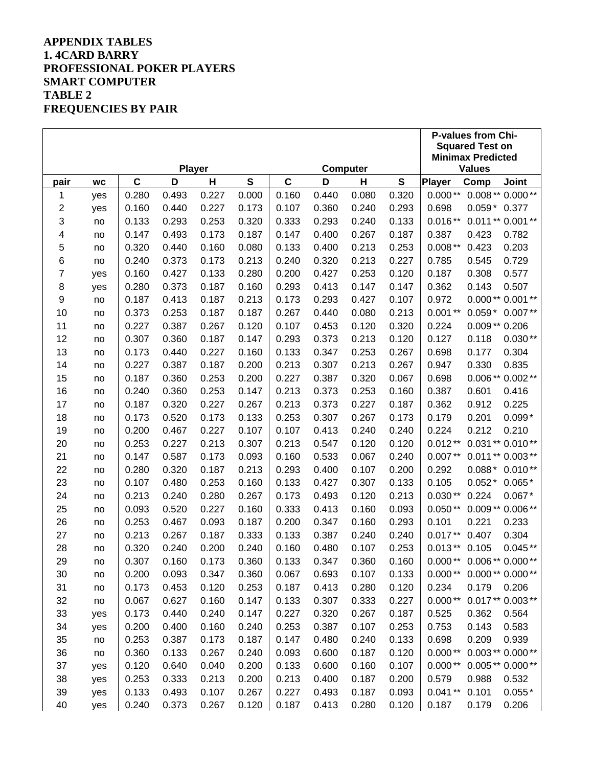## **APPENDIX TABLES 1. 4CARD BARRY PROFESSIONAL POKER PLAYERS SMART COMPUTER TABLE 2 FREQUENCIES BY PAIR**

|        |           |             |       |               |              |             |       |          | <b>P-values from Chi-</b> |               |                                                    |                   |  |
|--------|-----------|-------------|-------|---------------|--------------|-------------|-------|----------|---------------------------|---------------|----------------------------------------------------|-------------------|--|
|        |           |             |       |               |              |             |       |          |                           |               | <b>Squared Test on</b><br><b>Minimax Predicted</b> |                   |  |
|        |           |             |       | <b>Player</b> |              |             |       | Computer |                           |               | <b>Values</b>                                      |                   |  |
| pair   | <b>WC</b> | $\mathbf C$ | D     | Н             | $\mathbf{s}$ | $\mathbf c$ | D     | Н        | ${\bf S}$                 | <b>Player</b> | Comp                                               | Joint             |  |
| 1      | yes       | 0.280       | 0.493 | 0.227         | 0.000        | 0.160       | 0.440 | 0.080    | 0.320                     | $0.000**$     |                                                    | $0.008**0.000**$  |  |
| 2      | yes       | 0.160       | 0.440 | 0.227         | 0.173        | 0.107       | 0.360 | 0.240    | 0.293                     | 0.698         | $0.059*$                                           | 0.377             |  |
| 3      | no        | 0.133       | 0.293 | 0.253         | 0.320        | 0.333       | 0.293 | 0.240    | 0.133                     | $0.016**$     |                                                    | $0.011**0.001**$  |  |
| 4      | no        | 0.147       | 0.493 | 0.173         | 0.187        | 0.147       | 0.400 | 0.267    | 0.187                     | 0.387         | 0.423                                              | 0.782             |  |
| 5      | no        | 0.320       | 0.440 | 0.160         | 0.080        | 0.133       | 0.400 | 0.213    | 0.253                     | $0.008**$     | 0.423                                              | 0.203             |  |
| 6      | no        | 0.240       | 0.373 | 0.173         | 0.213        | 0.240       | 0.320 | 0.213    | 0.227                     | 0.785         | 0.545                                              | 0.729             |  |
| 7      | yes       | 0.160       | 0.427 | 0.133         | 0.280        | 0.200       | 0.427 | 0.253    | 0.120                     | 0.187         | 0.308                                              | 0.577             |  |
| 8      | yes       | 0.280       | 0.373 | 0.187         | 0.160        | 0.293       | 0.413 | 0.147    | 0.147                     | 0.362         | 0.143                                              | 0.507             |  |
| 9      | no        | 0.187       | 0.413 | 0.187         | 0.213        | 0.173       | 0.293 | 0.427    | 0.107                     | 0.972         |                                                    | 0.000** 0.001 **  |  |
| 10     | no        | 0.373       | 0.253 | 0.187         | 0.187        | 0.267       | 0.440 | 0.080    | 0.213                     | $0.001**$     | $0.059*$                                           | $0.007**$         |  |
| 11     | no        | 0.227       | 0.387 | 0.267         | 0.120        | 0.107       | 0.453 | 0.120    | 0.320                     | 0.224         | $0.009**0.206$                                     |                   |  |
| 12     | no        | 0.307       | 0.360 | 0.187         | 0.147        | 0.293       | 0.373 | 0.213    | 0.120                     | 0.127         | 0.118                                              | $0.030**$         |  |
| 13     | no        | 0.173       | 0.440 | 0.227         | 0.160        | 0.133       | 0.347 | 0.253    | 0.267                     | 0.698         | 0.177                                              | 0.304             |  |
| 14     | no        | 0.227       | 0.387 | 0.187         | 0.200        | 0.213       | 0.307 | 0.213    | 0.267                     | 0.947         | 0.330                                              | 0.835             |  |
| 15     | no        | 0.187       | 0.360 | 0.253         | 0.200        | 0.227       | 0.387 | 0.320    | 0.067                     | 0.698         |                                                    | 0.006 ** 0.002 ** |  |
| 16     | no        | 0.240       | 0.360 | 0.253         | 0.147        | 0.213       | 0.373 | 0.253    | 0.160                     | 0.387         | 0.601                                              | 0.416             |  |
| 17     | no        | 0.187       | 0.320 | 0.227         | 0.267        | 0.213       | 0.373 | 0.227    | 0.187                     | 0.362         | 0.912                                              | 0.225             |  |
| 18     | no        | 0.173       | 0.520 | 0.173         | 0.133        | 0.253       | 0.307 | 0.267    | 0.173                     | 0.179         | 0.201                                              | $0.099*$          |  |
| 19     | no        | 0.200       | 0.467 | 0.227         | 0.107        | 0.107       | 0.413 | 0.240    | 0.240                     | 0.224         | 0.212                                              | 0.210             |  |
| 20     | no        | 0.253       | 0.227 | 0.213         | 0.307        | 0.213       | 0.547 | 0.120    | 0.120                     | $0.012**$     |                                                    | 0.031 ** 0.010 ** |  |
| 21     | no        | 0.147       | 0.587 | 0.173         | 0.093        | 0.160       | 0.533 | 0.067    | 0.240                     | $0.007**$     |                                                    | $0.011**0.003**$  |  |
| 22     | no        | 0.280       | 0.320 | 0.187         | 0.213        | 0.293       | 0.400 | 0.107    | 0.200                     | 0.292         | $0.088*$                                           | $0.010**$         |  |
| 23     | no        | 0.107       | 0.480 | 0.253         | 0.160        | 0.133       | 0.427 | 0.307    | 0.133                     | 0.105         | $0.052*$                                           | $0.065*$          |  |
| 24     | no        | 0.213       | 0.240 | 0.280         | 0.267        | 0.173       | 0.493 | 0.120    | 0.213                     | $0.030**$     | 0.224                                              | $0.067*$          |  |
| 25     | no        | 0.093       | 0.520 | 0.227         | 0.160        | 0.333       | 0.413 | 0.160    | 0.093                     | $0.050**$     | $0.009**$                                          | $0.006**$         |  |
| 26     | no        | 0.253       | 0.467 | 0.093         | 0.187        | 0.200       | 0.347 | 0.160    | 0.293                     | 0.101         | 0.221                                              | 0.233             |  |
| 27     | no        | 0.213       | 0.267 | 0.187         | 0.333        | 0.133       | 0.387 | 0.240    | 0.240                     | $0.017**$     | 0.407                                              | 0.304             |  |
| 28     | no        | 0.320       | 0.240 | 0.200         | 0.240        | 0.160       | 0.480 | 0.107    | 0.253                     | $0.013**$     | 0.105                                              | $0.045**$         |  |
| 29     | no        | 0.307       | 0.160 | 0.173         | 0.360        | 0.133       | 0.347 | 0.360    | 0.160                     |               | $0.000**$ 0.006 ** 0.000 **                        |                   |  |
| 30     | no        | 0.200       | 0.093 | 0.347         | 0.360        | 0.067       | 0.693 | 0.107    | 0.133                     | $0.000**$     |                                                    | $0.000**0.000**$  |  |
| 31     | no        | 0.173       | 0.453 | 0.120         | 0.253        | 0.187       | 0.413 | 0.280    | 0.120                     | 0.234         | 0.179                                              | 0.206             |  |
| 32     | no        | 0.067       | 0.627 | 0.160         | 0.147        | 0.133       | 0.307 | 0.333    | 0.227                     | $0.000**$     |                                                    | $0.017**0.003**$  |  |
| 33     | yes       | 0.173       | 0.440 | 0.240         | 0.147        | 0.227       | 0.320 | 0.267    | 0.187                     | 0.525         | 0.362                                              | 0.564             |  |
| 34     | yes       | 0.200       | 0.400 | 0.160         | 0.240        | 0.253       | 0.387 | 0.107    | 0.253                     | 0.753         | 0.143                                              | 0.583             |  |
| $35\,$ | no        | 0.253       | 0.387 | 0.173         | 0.187        | 0.147       | 0.480 | 0.240    | 0.133                     | 0.698         | 0.209                                              | 0.939             |  |
| 36     | no        | 0.360       | 0.133 | 0.267         | 0.240        | 0.093       | 0.600 | 0.187    | 0.120                     | $0.000**$     |                                                    | $0.003**0.000**$  |  |
| 37     | yes       | 0.120       | 0.640 | 0.040         | 0.200        | 0.133       | 0.600 | 0.160    | 0.107                     | $0.000**$     |                                                    | $0.005**0.000**$  |  |
| 38     | yes       | 0.253       | 0.333 | 0.213         | 0.200        | 0.213       | 0.400 | 0.187    | 0.200                     | 0.579         | 0.988                                              | 0.532             |  |
| 39     | yes       | 0.133       | 0.493 | 0.107         | 0.267        | 0.227       | 0.493 | 0.187    | 0.093                     | $0.041**$     | 0.101                                              | $0.055*$          |  |
| 40     | yes       | 0.240       | 0.373 | 0.267         | 0.120        | 0.187       | 0.413 | 0.280    | 0.120                     | 0.187         | 0.179                                              | 0.206             |  |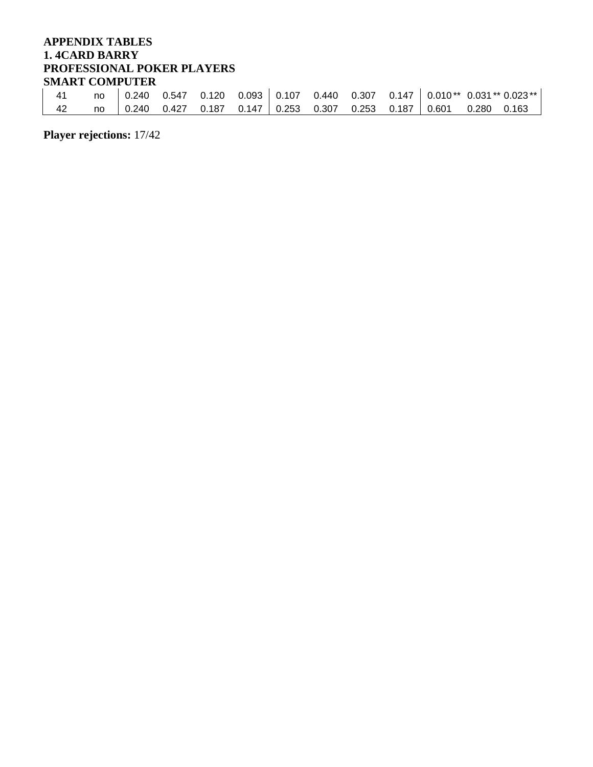## **APPENDIX TABLES 1. 4CARD BARRY PROFESSIONAL POKER PLAYERS SMART COMPUTER**

| <b>DILIANI COMIL UTER</b> |    |  |  |  |  |                                                                           |                                                                                    |
|---------------------------|----|--|--|--|--|---------------------------------------------------------------------------|------------------------------------------------------------------------------------|
| 41                        |    |  |  |  |  |                                                                           | no $\vert$ 0.240 0.547 0.120 0.093 0.107 0.440 0.307 0.147 0.010** 0.031** 0.023** |
| 42                        | no |  |  |  |  | 0.240 0.427 0.187 0.147   0.253 0.307 0.253 0.187   0.601 0.280 0.163   ر |                                                                                    |

**Player rejections:** 17/42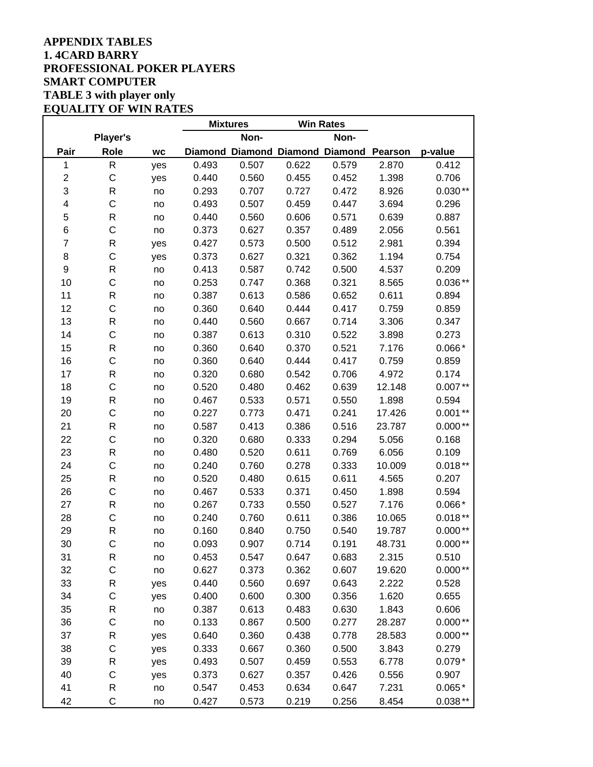### **APPENDIX TABLES 1. 4CARD BARRY PROFESSIONAL POKER PLAYERS SMART COMPUTER TABLE 3 with player only EQUALITY OF WIN RATES**

|                |                 |           |       | <b>Mixtures</b> | <b>Win Rates</b> |                                         |        |           |
|----------------|-----------------|-----------|-------|-----------------|------------------|-----------------------------------------|--------|-----------|
|                | <b>Player's</b> |           |       | Non-            |                  | Non-                                    |        |           |
| Pair           | <b>Role</b>     | <b>WC</b> |       |                 |                  | Diamond Diamond Diamond Diamond Pearson |        | p-value   |
| 1              | $\mathsf{R}$    | yes       | 0.493 | 0.507           | 0.622            | 0.579                                   | 2.870  | 0.412     |
| $\mathbf 2$    | $\mathsf C$     | yes       | 0.440 | 0.560           | 0.455            | 0.452                                   | 1.398  | 0.706     |
| 3              | R               | no        | 0.293 | 0.707           | 0.727            | 0.472                                   | 8.926  | $0.030**$ |
| 4              | $\mathsf{C}$    | no        | 0.493 | 0.507           | 0.459            | 0.447                                   | 3.694  | 0.296     |
| 5              | $\mathsf R$     | no        | 0.440 | 0.560           | 0.606            | 0.571                                   | 0.639  | 0.887     |
| 6              | $\mathsf C$     | no        | 0.373 | 0.627           | 0.357            | 0.489                                   | 2.056  | 0.561     |
| $\overline{7}$ | $\mathsf{R}$    | yes       | 0.427 | 0.573           | 0.500            | 0.512                                   | 2.981  | 0.394     |
| 8              | $\mathsf{C}$    | yes       | 0.373 | 0.627           | 0.321            | 0.362                                   | 1.194  | 0.754     |
| 9              | $\mathsf{R}$    | no        | 0.413 | 0.587           | 0.742            | 0.500                                   | 4.537  | 0.209     |
| 10             | $\mathsf C$     | no        | 0.253 | 0.747           | 0.368            | 0.321                                   | 8.565  | $0.036**$ |
| 11             | R               | no        | 0.387 | 0.613           | 0.586            | 0.652                                   | 0.611  | 0.894     |
| 12             | $\mathsf{C}$    | no        | 0.360 | 0.640           | 0.444            | 0.417                                   | 0.759  | 0.859     |
| 13             | $\mathsf{R}$    | no        | 0.440 | 0.560           | 0.667            | 0.714                                   | 3.306  | 0.347     |
| 14             | $\mathsf C$     | no        | 0.387 | 0.613           | 0.310            | 0.522                                   | 3.898  | 0.273     |
| 15             | R               | no        | 0.360 | 0.640           | 0.370            | 0.521                                   | 7.176  | $0.066*$  |
| 16             | C               | no        | 0.360 | 0.640           | 0.444            | 0.417                                   | 0.759  | 0.859     |
| 17             | R               | no        | 0.320 | 0.680           | 0.542            | 0.706                                   | 4.972  | 0.174     |
| 18             | $\mathsf C$     | no        | 0.520 | 0.480           | 0.462            | 0.639                                   | 12.148 | $0.007**$ |
| 19             | $\mathsf{R}$    | no        | 0.467 | 0.533           | 0.571            | 0.550                                   | 1.898  | 0.594     |
| 20             | $\mathsf{C}$    | no        | 0.227 | 0.773           | 0.471            | 0.241                                   | 17.426 | $0.001**$ |
| 21             | $\mathsf{R}$    | no        | 0.587 | 0.413           | 0.386            | 0.516                                   | 23.787 | $0.000**$ |
| 22             | $\mathsf C$     | no        | 0.320 | 0.680           | 0.333            | 0.294                                   | 5.056  | 0.168     |
| 23             | R               | no        | 0.480 | 0.520           | 0.611            | 0.769                                   | 6.056  | 0.109     |
| 24             | C               | no        | 0.240 | 0.760           | 0.278            | 0.333                                   | 10.009 | $0.018**$ |
| 25             | R               | no        | 0.520 | 0.480           | 0.615            | 0.611                                   | 4.565  | 0.207     |
| 26             | $\mathsf C$     | no        | 0.467 | 0.533           | 0.371            | 0.450                                   | 1.898  | 0.594     |
| 27             | $\mathsf{R}$    | no        | 0.267 | 0.733           | 0.550            | 0.527                                   | 7.176  | $0.066*$  |
| 28             | $\mathsf{C}$    | no        | 0.240 | 0.760           | 0.611            | 0.386                                   | 10.065 | $0.018**$ |
| 29             | $\mathsf{R}$    | no        | 0.160 | 0.840           | 0.750            | 0.540                                   | 19.787 | $0.000**$ |
| 30             | $\mathsf{C}$    | no        | 0.093 | 0.907           | 0.714            | 0.191                                   | 48.731 | $0.000**$ |
| 31             | R               | no        | 0.453 | 0.547           | 0.647            | 0.683                                   | 2.315  | 0.510     |
| 32             | $\mathsf C$     | no        | 0.627 | 0.373           | 0.362            | 0.607                                   | 19.620 | $0.000**$ |
| 33             | ${\sf R}$       | yes       | 0.440 | 0.560           | 0.697            | 0.643                                   | 2.222  | 0.528     |
| 34             | $\mathsf C$     | yes       | 0.400 | 0.600           | 0.300            | 0.356                                   | 1.620  | 0.655     |
| 35             | R               | no        | 0.387 | 0.613           | 0.483            | 0.630                                   | 1.843  | 0.606     |
| 36             | $\mathsf C$     | no        | 0.133 | 0.867           | 0.500            | 0.277                                   | 28.287 | $0.000**$ |
| 37             | R               | yes       | 0.640 | 0.360           | 0.438            | 0.778                                   | 28.583 | $0.000**$ |
| 38             | $\mathsf C$     | yes       | 0.333 | 0.667           | 0.360            | 0.500                                   | 3.843  | 0.279     |
| 39             | R               | yes       | 0.493 | 0.507           | 0.459            | 0.553                                   | 6.778  | $0.079*$  |
| 40             | $\mathsf C$     | yes       | 0.373 | 0.627           | 0.357            | 0.426                                   | 0.556  | 0.907     |
| 41             | R               | no        | 0.547 | 0.453           | 0.634            | 0.647                                   | 7.231  | $0.065*$  |
| 42             | C               | no        | 0.427 | 0.573           | 0.219            | 0.256                                   | 8.454  | $0.038**$ |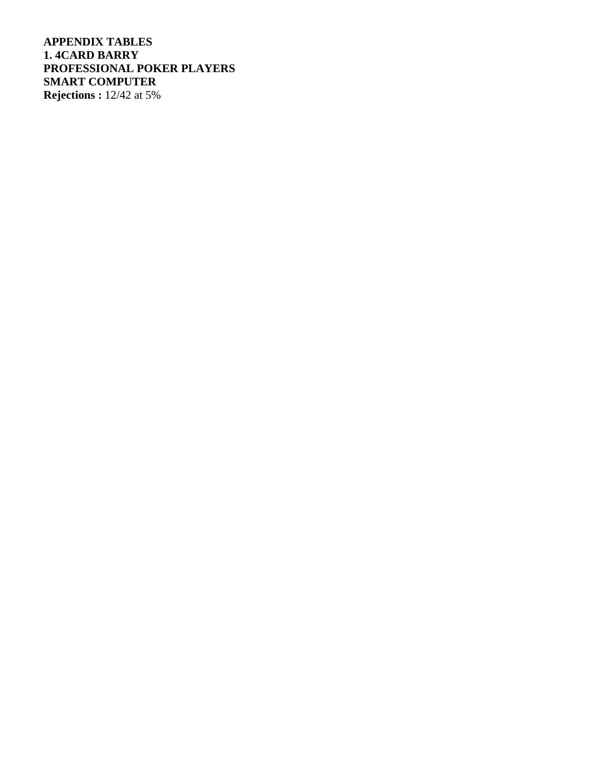**APPENDIX TABLES 1. 4CARD BARRY PROFESSIONAL POKER PLAYERS SMART COMPUTER Rejections :** 12/42 at 5%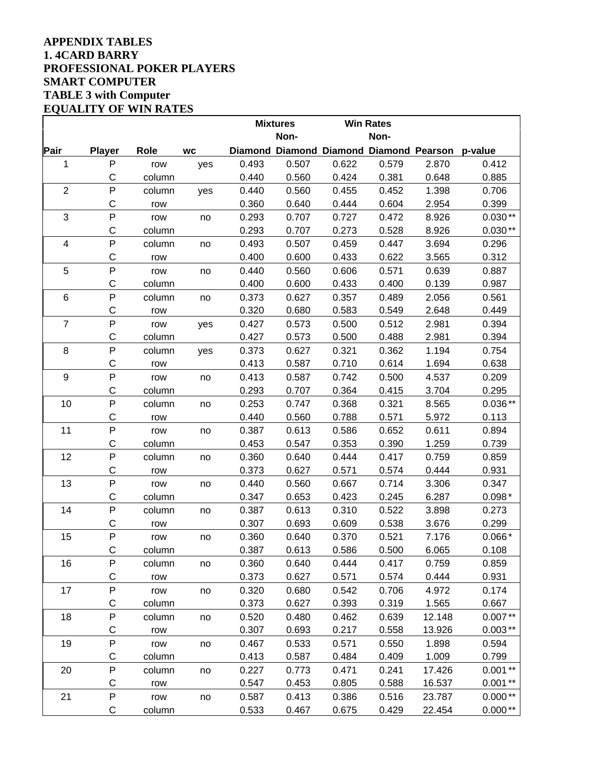### **APPENDIX TABLES 1. 4CARD BARRY PROFESSIONAL POKER PLAYERS SMART COMPUTER TABLE 3 with Computer EQUALITY OF WIN RATES**

|                |               |        |           |       | <b>Mixtures</b>                         |       | <b>Win Rates</b> |        |           |
|----------------|---------------|--------|-----------|-------|-----------------------------------------|-------|------------------|--------|-----------|
|                |               |        |           |       | Non-                                    |       | Non-             |        |           |
| Pair           | <b>Player</b> | Role   | <b>WC</b> |       | Diamond Diamond Diamond Diamond Pearson |       |                  |        | p-value   |
| 1              | $\mathsf{P}$  | row    | yes       | 0.493 | 0.507                                   | 0.622 | 0.579            | 2.870  | 0.412     |
|                | C             | column |           | 0.440 | 0.560                                   | 0.424 | 0.381            | 0.648  | 0.885     |
| $\overline{2}$ | $\mathsf{P}$  | column | yes       | 0.440 | 0.560                                   | 0.455 | 0.452            | 1.398  | 0.706     |
|                | $\mathsf C$   | row    |           | 0.360 | 0.640                                   | 0.444 | 0.604            | 2.954  | 0.399     |
| 3              | $\mathsf{P}$  | row    | no        | 0.293 | 0.707                                   | 0.727 | 0.472            | 8.926  | $0.030**$ |
|                | C             | column |           | 0.293 | 0.707                                   | 0.273 | 0.528            | 8.926  | $0.030**$ |
| 4              | $\mathsf{P}$  | column | no        | 0.493 | 0.507                                   | 0.459 | 0.447            | 3.694  | 0.296     |
|                | $\mathsf C$   | row    |           | 0.400 | 0.600                                   | 0.433 | 0.622            | 3.565  | 0.312     |
| 5              | $\mathsf{P}$  | row    | no        | 0.440 | 0.560                                   | 0.606 | 0.571            | 0.639  | 0.887     |
|                | $\mathsf C$   | column |           | 0.400 | 0.600                                   | 0.433 | 0.400            | 0.139  | 0.987     |
| 6              | P             | column | no        | 0.373 | 0.627                                   | 0.357 | 0.489            | 2.056  | 0.561     |
|                | С             | row    |           | 0.320 | 0.680                                   | 0.583 | 0.549            | 2.648  | 0.449     |
| $\overline{7}$ | P             | row    | yes       | 0.427 | 0.573                                   | 0.500 | 0.512            | 2.981  | 0.394     |
|                | С             | column |           | 0.427 | 0.573                                   | 0.500 | 0.488            | 2.981  | 0.394     |
| 8              | P             | column | yes       | 0.373 | 0.627                                   | 0.321 | 0.362            | 1.194  | 0.754     |
|                | С             | row    |           | 0.413 | 0.587                                   | 0.710 | 0.614            | 1.694  | 0.638     |
| 9              | P             | row    | no        | 0.413 | 0.587                                   | 0.742 | 0.500            | 4.537  | 0.209     |
|                | $\mathsf C$   | column |           | 0.293 | 0.707                                   | 0.364 | 0.415            | 3.704  | 0.295     |
| 10             | $\mathsf{P}$  | column | no        | 0.253 | 0.747                                   | 0.368 | 0.321            | 8.565  | $0.036**$ |
|                | С             | row    |           | 0.440 | 0.560                                   | 0.788 | 0.571            | 5.972  | 0.113     |
| 11             | P             | row    | no        | 0.387 | 0.613                                   | 0.586 | 0.652            | 0.611  | 0.894     |
|                | $\mathsf C$   | column |           | 0.453 | 0.547                                   | 0.353 | 0.390            | 1.259  | 0.739     |
| 12             | $\mathsf{P}$  | column | no        | 0.360 | 0.640                                   | 0.444 | 0.417            | 0.759  | 0.859     |
|                | $\mathsf C$   | row    |           | 0.373 | 0.627                                   | 0.571 | 0.574            | 0.444  | 0.931     |
| 13             | P             | row    | no        | 0.440 | 0.560                                   | 0.667 | 0.714            | 3.306  | 0.347     |
|                | C             | column |           | 0.347 | 0.653                                   | 0.423 | 0.245            | 6.287  | $0.098*$  |
| 14             | $\mathsf{P}$  | column | no        | 0.387 | 0.613                                   | 0.310 | 0.522            | 3.898  | 0.273     |
|                | C             | row    |           | 0.307 | 0.693                                   | 0.609 | 0.538            | 3.676  | 0.299     |
| 15             | $\mathsf{P}$  | row    | no        | 0.360 | 0.640                                   | 0.370 | 0.521            | 7.176  | $0.066*$  |
|                | C             | column |           | 0.387 | 0.613                                   | 0.586 | 0.500            | 6.065  | 0.108     |
| 16             | $\sf P$       | column | no        | 0.360 | 0.640                                   | 0.444 | 0.417            | 0.759  | 0.859     |
|                | $\mathsf C$   | row    |           | 0.373 | 0.627                                   | 0.571 | 0.574            | 0.444  | 0.931     |
| 17             | ${\sf P}$     | row    | no        | 0.320 | 0.680                                   | 0.542 | 0.706            | 4.972  | 0.174     |
|                | C             | column |           | 0.373 | 0.627                                   | 0.393 | 0.319            | 1.565  | 0.667     |
| 18             | $\mathsf{P}$  | column | no        | 0.520 | 0.480                                   | 0.462 | 0.639            | 12.148 | $0.007**$ |
|                | C             | row    |           | 0.307 | 0.693                                   | 0.217 | 0.558            | 13.926 | $0.003**$ |
| 19             | ${\sf P}$     | row    | no        | 0.467 | 0.533                                   | 0.571 | 0.550            | 1.898  | 0.594     |
|                | С             | column |           | 0.413 | 0.587                                   | 0.484 | 0.409            | 1.009  | 0.799     |
| 20             | ${\sf P}$     | column | no        | 0.227 | 0.773                                   | 0.471 | 0.241            | 17.426 | $0.001**$ |
|                | С             | row    |           | 0.547 | 0.453                                   | 0.805 | 0.588            | 16.537 | $0.001**$ |
| 21             | $\mathsf{P}$  | row    | no        | 0.587 | 0.413                                   | 0.386 | 0.516            | 23.787 | $0.000**$ |
|                | С             | column |           | 0.533 | 0.467                                   | 0.675 | 0.429            | 22.454 | $0.000**$ |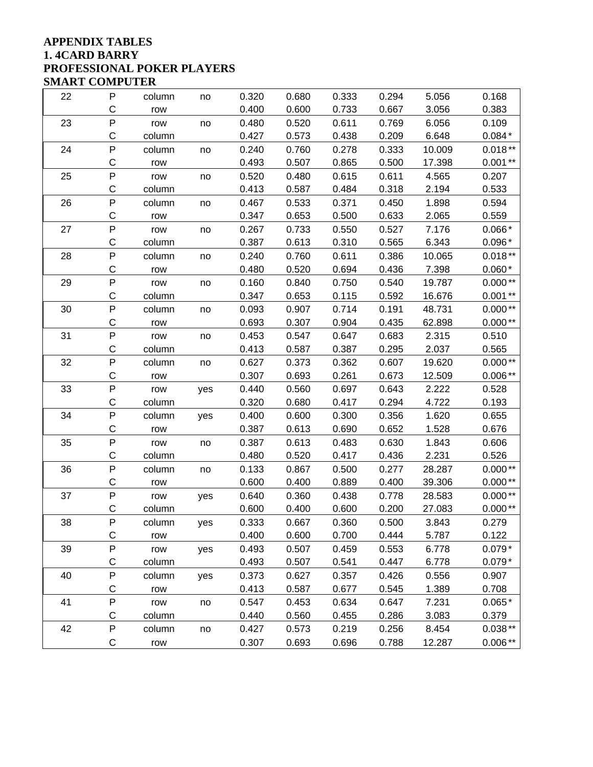### **APPENDIX TABLES 1. 4CARD BARRY PROFESSIONAL POKER PLAYERS SMART COMPUTER**

| 22 | P            | column | no  | 0.320 | 0.680 | 0.333 | 0.294 | 5.056  | 0.168     |
|----|--------------|--------|-----|-------|-------|-------|-------|--------|-----------|
|    | C            | row    |     | 0.400 | 0.600 | 0.733 | 0.667 | 3.056  | 0.383     |
| 23 | P            | row    | no  | 0.480 | 0.520 | 0.611 | 0.769 | 6.056  | 0.109     |
|    | C            | column |     | 0.427 | 0.573 | 0.438 | 0.209 | 6.648  | $0.084*$  |
| 24 | P            | column | no  | 0.240 | 0.760 | 0.278 | 0.333 | 10.009 | $0.018**$ |
|    | C            | row    |     | 0.493 | 0.507 | 0.865 | 0.500 | 17.398 | $0.001**$ |
| 25 | P            | row    | no  | 0.520 | 0.480 | 0.615 | 0.611 | 4.565  | 0.207     |
|    | C            | column |     | 0.413 | 0.587 | 0.484 | 0.318 | 2.194  | 0.533     |
| 26 | P            | column | no  | 0.467 | 0.533 | 0.371 | 0.450 | 1.898  | 0.594     |
|    | C            | row    |     | 0.347 | 0.653 | 0.500 | 0.633 | 2.065  | 0.559     |
| 27 | P            | row    | no  | 0.267 | 0.733 | 0.550 | 0.527 | 7.176  | $0.066*$  |
|    | C            | column |     | 0.387 | 0.613 | 0.310 | 0.565 | 6.343  | $0.096*$  |
| 28 | P            | column | no  | 0.240 | 0.760 | 0.611 | 0.386 | 10.065 | $0.018**$ |
|    | C            | row    |     | 0.480 | 0.520 | 0.694 | 0.436 | 7.398  | $0.060*$  |
| 29 | P            | row    | no  | 0.160 | 0.840 | 0.750 | 0.540 | 19.787 | $0.000**$ |
|    | C            | column |     | 0.347 | 0.653 | 0.115 | 0.592 | 16.676 | $0.001**$ |
| 30 | P            | column | no  | 0.093 | 0.907 | 0.714 | 0.191 | 48.731 | $0.000**$ |
|    | C            | row    |     | 0.693 | 0.307 | 0.904 | 0.435 | 62.898 | $0.000**$ |
| 31 | P            | row    | no  | 0.453 | 0.547 | 0.647 | 0.683 | 2.315  | 0.510     |
|    | C            | column |     | 0.413 | 0.587 | 0.387 | 0.295 | 2.037  | 0.565     |
| 32 | P            | column | no  | 0.627 | 0.373 | 0.362 | 0.607 | 19.620 | $0.000**$ |
|    | C            | row    |     | 0.307 | 0.693 | 0.261 | 0.673 | 12.509 | $0.006**$ |
| 33 | P            | row    | yes | 0.440 | 0.560 | 0.697 | 0.643 | 2.222  | 0.528     |
|    | C            | column |     | 0.320 | 0.680 | 0.417 | 0.294 | 4.722  | 0.193     |
| 34 | P            | column | yes | 0.400 | 0.600 | 0.300 | 0.356 | 1.620  | 0.655     |
|    | C            | row    |     | 0.387 | 0.613 | 0.690 | 0.652 | 1.528  | 0.676     |
| 35 | P            | row    | no  | 0.387 | 0.613 | 0.483 | 0.630 | 1.843  | 0.606     |
|    | C            | column |     | 0.480 | 0.520 | 0.417 | 0.436 | 2.231  | 0.526     |
| 36 | P            | column | no  | 0.133 | 0.867 | 0.500 | 0.277 | 28.287 | $0.000**$ |
|    | C            | row    |     | 0.600 | 0.400 | 0.889 | 0.400 | 39.306 | $0.000**$ |
| 37 | P            | row    | yes | 0.640 | 0.360 | 0.438 | 0.778 | 28.583 | $0.000**$ |
|    | C            | column |     | 0.600 | 0.400 | 0.600 | 0.200 | 27.083 | $0.000**$ |
| 38 | P            | column | yes | 0.333 | 0.667 | 0.360 | 0.500 | 3.843  | 0.279     |
|    | С            | row    |     | 0.400 | 0.600 | 0.700 | 0.444 | 5.787  | 0.122     |
| 39 | P            | row    | yes | 0.493 | 0.507 | 0.459 | 0.553 | 6.778  | $0.079*$  |
|    | C            | column |     | 0.493 | 0.507 | 0.541 | 0.447 | 6.778  | $0.079*$  |
| 40 | P            | column | yes | 0.373 | 0.627 | 0.357 | 0.426 | 0.556  | 0.907     |
|    | C            | row    |     | 0.413 | 0.587 | 0.677 | 0.545 | 1.389  | 0.708     |
| 41 | P            | row    | no  | 0.547 | 0.453 | 0.634 | 0.647 | 7.231  | $0.065*$  |
|    | С            | column |     | 0.440 | 0.560 | 0.455 | 0.286 | 3.083  | 0.379     |
| 42 | $\mathsf{P}$ | column | no  | 0.427 | 0.573 | 0.219 | 0.256 | 8.454  | $0.038**$ |
|    | C            | row    |     | 0.307 | 0.693 | 0.696 | 0.788 | 12.287 | $0.006**$ |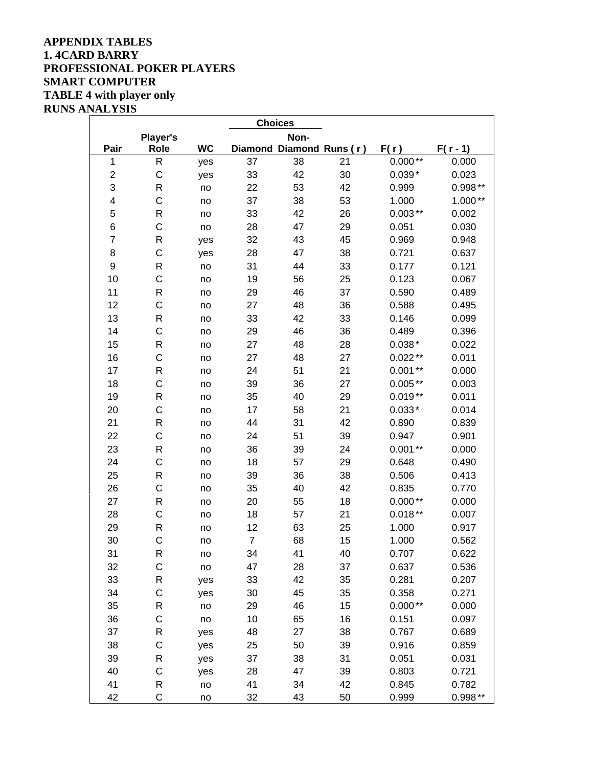## **APPENDIX TABLES 1. 4CARD BARRY PROFESSIONAL POKER PLAYERS SMART COMPUTER TABLE 4 with player only RUNS ANALYSIS**

|                         | <b>Choices</b>  |           |                |                          |    |           |            |  |  |  |  |
|-------------------------|-----------------|-----------|----------------|--------------------------|----|-----------|------------|--|--|--|--|
|                         | <b>Player's</b> |           |                | Non-                     |    |           |            |  |  |  |  |
| Pair                    | <b>Role</b>     | <b>WC</b> |                | Diamond Diamond Runs (r) |    | F(r)      | $F(r - 1)$ |  |  |  |  |
| $\mathbf{1}$            | ${\sf R}$       | yes       | 37             | 38                       | 21 | $0.000**$ | 0.000      |  |  |  |  |
| $\overline{\mathbf{c}}$ | $\mathsf{C}$    | yes       | 33             | 42                       | 30 | $0.039*$  | 0.023      |  |  |  |  |
| 3                       | R               | no        | 22             | 53                       | 42 | 0.999     | $0.998**$  |  |  |  |  |
| 4                       | $\mathsf{C}$    | no        | 37             | 38                       | 53 | 1.000     | $1.000**$  |  |  |  |  |
| 5                       | $\mathsf R$     | no        | 33             | 42                       | 26 | $0.003**$ | 0.002      |  |  |  |  |
| 6                       | $\mathsf C$     | no        | 28             | 47                       | 29 | 0.051     | 0.030      |  |  |  |  |
| $\overline{\mathbf{7}}$ | R               | yes       | 32             | 43                       | 45 | 0.969     | 0.948      |  |  |  |  |
| 8                       | $\mathsf{C}$    | yes       | 28             | 47                       | 38 | 0.721     | 0.637      |  |  |  |  |
| 9                       | $\mathsf R$     | no        | 31             | 44                       | 33 | 0.177     | 0.121      |  |  |  |  |
| 10                      | $\mathsf{C}$    | no        | 19             | 56                       | 25 | 0.123     | 0.067      |  |  |  |  |
| 11                      | ${\sf R}$       | no        | 29             | 46                       | 37 | 0.590     | 0.489      |  |  |  |  |
| 12                      | $\mathsf{C}$    | no        | 27             | 48                       | 36 | 0.588     | 0.495      |  |  |  |  |
| 13                      | $\mathsf R$     | no        | 33             | 42                       | 33 | 0.146     | 0.099      |  |  |  |  |
| 14                      | $\mathsf{C}$    | no        | 29             | 46                       | 36 | 0.489     | 0.396      |  |  |  |  |
| 15                      | R               | no        | 27             | 48                       | 28 | $0.038*$  | 0.022      |  |  |  |  |
| 16                      | $\mathsf{C}$    | no        | 27             | 48                       | 27 | $0.022**$ | 0.011      |  |  |  |  |
| 17                      | $\mathsf R$     | no        | 24             | 51                       | 21 | $0.001**$ | 0.000      |  |  |  |  |
| 18                      | $\mathsf{C}$    | no        | 39             | 36                       | 27 | $0.005**$ | 0.003      |  |  |  |  |
| 19                      | ${\sf R}$       | no        | 35             | 40                       | 29 | $0.019**$ | 0.011      |  |  |  |  |
| 20                      | $\mathsf{C}$    | no        | 17             | 58                       | 21 | $0.033*$  | 0.014      |  |  |  |  |
| 21                      | $\mathsf R$     | no        | 44             | 31                       | 42 | 0.890     | 0.839      |  |  |  |  |
| 22                      | $\mathsf{C}$    | no        | 24             | 51                       | 39 | 0.947     | 0.901      |  |  |  |  |
| 23                      | R               | no        | 36             | 39                       | 24 | $0.001**$ | 0.000      |  |  |  |  |
| 24                      | $\mathsf{C}$    | no        | 18             | 57                       | 29 | 0.648     | 0.490      |  |  |  |  |
| 25                      | $\mathsf R$     | no        | 39             | 36                       | 38 | 0.506     | 0.413      |  |  |  |  |
| 26                      | $\mathsf{C}$    | no        | 35             | 40                       | 42 | 0.835     | 0.770      |  |  |  |  |
| 27                      | $\mathsf R$     | no        | 20             | 55                       | 18 | $0.000**$ | 0.000      |  |  |  |  |
| 28                      | $\mathsf{C}$    | no        | 18             | 57                       | 21 | $0.018**$ | 0.007      |  |  |  |  |
| 29                      | ${\sf R}$       | no        | 12             | 63                       | 25 | 1.000     | 0.917      |  |  |  |  |
| 30                      | $\mathsf{C}$    | no        | $\overline{7}$ | 68                       | 15 | 1.000     | 0.562      |  |  |  |  |
| 31                      | ${\sf R}$       | no        | 34             | 41                       | 40 | 0.707     | 0.622      |  |  |  |  |
| 32                      | C               | no        | 47             | 28                       | 37 | 0.637     | 0.536      |  |  |  |  |
| 33                      | ${\sf R}$       | yes       | 33             | 42                       | 35 | 0.281     | 0.207      |  |  |  |  |
| 34                      | $\mathsf C$     | yes       | 30             | 45                       | 35 | 0.358     | 0.271      |  |  |  |  |
| 35                      | R               | no        | 29             | 46                       | 15 | $0.000**$ | 0.000      |  |  |  |  |
| 36                      | C               | no        | 10             | 65                       | 16 | 0.151     | 0.097      |  |  |  |  |
| 37                      | R               | yes       | 48             | 27                       | 38 | 0.767     | 0.689      |  |  |  |  |
| 38                      | C               | yes       | 25             | 50                       | 39 | 0.916     | 0.859      |  |  |  |  |
| 39                      | R               | yes       | 37             | 38                       | 31 | 0.051     | 0.031      |  |  |  |  |
| 40                      | C               | yes       | 28             | 47                       | 39 | 0.803     | 0.721      |  |  |  |  |
| 41                      | R               | no        | 41             | 34                       | 42 | 0.845     | 0.782      |  |  |  |  |
| 42                      | C               | no        | 32             | 43                       | 50 | 0.999     | $0.998**$  |  |  |  |  |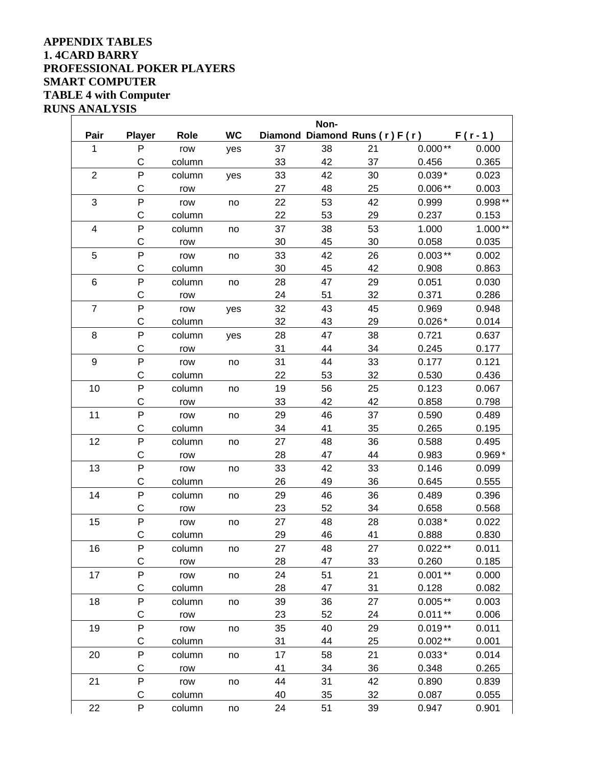### **APPENDIX TABLES 1. 4CARD BARRY PROFESSIONAL POKER PLAYERS SMART COMPUTER TABLE 4 with Computer RUNS ANALYSIS**

|                         |                |             |           |    | Non- |                               |           |           |
|-------------------------|----------------|-------------|-----------|----|------|-------------------------------|-----------|-----------|
| Pair                    | <b>Player</b>  | <b>Role</b> | <b>WC</b> |    |      | Diamond Diamond Runs (r) F(r) |           | $F(r-1)$  |
| 1                       | P              | row         | yes       | 37 | 38   | 21                            | $0.000**$ | 0.000     |
|                         | C              | column      |           | 33 | 42   | 37                            | 0.456     | 0.365     |
| $\overline{2}$          | P              | column      | yes       | 33 | 42   | 30                            | $0.039*$  | 0.023     |
|                         | C              | row         |           | 27 | 48   | 25                            | $0.006**$ | 0.003     |
| 3                       | P              | row         | no        | 22 | 53   | 42                            | 0.999     | $0.998**$ |
|                         | C              | column      |           | 22 | 53   | 29                            | 0.237     | 0.153     |
| $\overline{\mathbf{4}}$ | P              | column      | no        | 37 | 38   | 53                            | 1.000     | $1.000**$ |
|                         | C              | row         |           | 30 | 45   | 30                            | 0.058     | 0.035     |
| 5                       | P              | row         | no        | 33 | 42   | 26                            | $0.003**$ | 0.002     |
|                         | C              | column      |           | 30 | 45   | 42                            | 0.908     | 0.863     |
| $\,6$                   | P              | column      | no        | 28 | 47   | 29                            | 0.051     | 0.030     |
|                         | $\mathsf C$    | row         |           | 24 | 51   | 32                            | 0.371     | 0.286     |
| $\overline{7}$          | P              | row         | yes       | 32 | 43   | 45                            | 0.969     | 0.948     |
|                         | C              | column      |           | 32 | 43   | 29                            | $0.026*$  | 0.014     |
| 8                       | P              | column      | yes       | 28 | 47   | 38                            | 0.721     | 0.637     |
|                         | C              | row         |           | 31 | 44   | 34                            | 0.245     | 0.177     |
| 9                       | $\mathsf{P}$   | row         | no        | 31 | 44   | 33                            | 0.177     | 0.121     |
|                         | C              | column      |           | 22 | 53   | 32                            | 0.530     | 0.436     |
| 10                      | P              | column      | no        | 19 | 56   | 25                            | 0.123     | 0.067     |
|                         | $\mathsf C$    | row         |           | 33 | 42   | 42                            | 0.858     | 0.798     |
| 11                      | P              | row         | no        | 29 | 46   | 37                            | 0.590     | 0.489     |
|                         | $\mathsf C$    | column      |           | 34 | 41   | 35                            | 0.265     | 0.195     |
| 12                      | P              | column      | no        | 27 | 48   | 36                            | 0.588     | 0.495     |
|                         | C              | row         |           | 28 | 47   | 44                            | 0.983     | $0.969*$  |
| 13                      | $\overline{P}$ | row         | no        | 33 | 42   | 33                            | 0.146     | 0.099     |
|                         | $\mathsf C$    | column      |           | 26 | 49   | 36                            | 0.645     | 0.555     |
| 14                      | P              | column      | no        | 29 | 46   | 36                            | 0.489     | 0.396     |
|                         | $\mathsf{C}$   | row         |           | 23 | 52   | 34                            | 0.658     | 0.568     |
| 15                      | P              | row         | no        | 27 | 48   | 28                            | $0.038*$  | 0.022     |
|                         | С              | column      |           | 29 | 46   | 41                            | 0.888     | 0.830     |
| 16                      | $\overline{P}$ | column      | no        | 27 | 48   | 27                            | $0.022**$ | 0.011     |
|                         | C              | row         |           | 28 | 47   | 33                            | 0.260     | 0.185     |
| 17                      | P              | row         | no        | 24 | 51   | 21                            | $0.001**$ | 0.000     |
|                         | С              | column      |           | 28 | 47   | 31                            | 0.128     | 0.082     |
| 18                      | ${\sf P}$      | column      | no        | 39 | 36   | 27                            | $0.005**$ | 0.003     |
|                         | $\mathsf C$    | row         |           | 23 | 52   | 24                            | $0.011**$ | 0.006     |
| 19                      | P              | row         | no        | 35 | 40   | 29                            | $0.019**$ | 0.011     |
|                         | С              | column      |           | 31 | 44   | 25                            | $0.002**$ | 0.001     |
| 20                      | ${\sf P}$      | column      | no        | 17 | 58   | 21                            | $0.033*$  | 0.014     |
|                         | C              | row         |           | 41 | 34   | 36                            | 0.348     | 0.265     |
| 21                      | P              | row         | no        | 44 | 31   | 42                            | 0.890     | 0.839     |
|                         | C              | column      |           | 40 | 35   | 32                            | 0.087     | 0.055     |
| 22                      | P              | column      | no        | 24 | 51   | 39                            | 0.947     | 0.901     |

 $\overline{\phantom{a}}$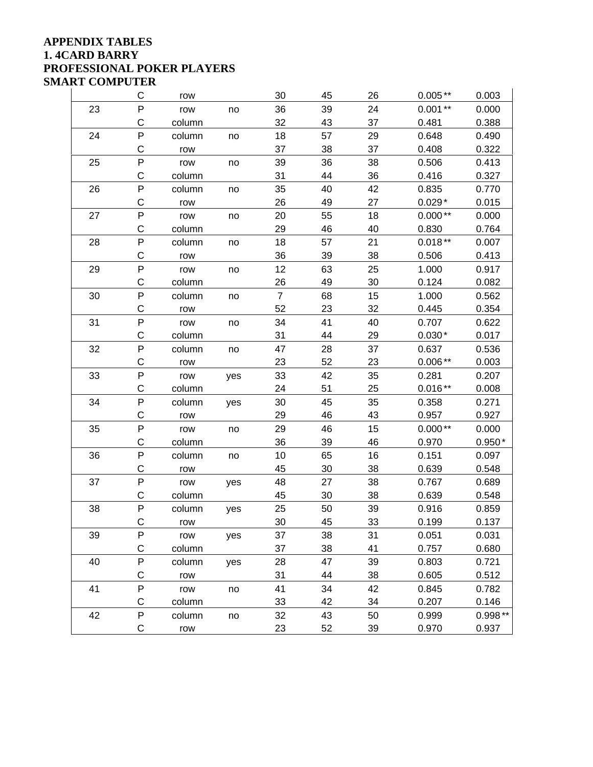### **APPENDIX TABLES 1. 4CARD BARRY PROFESSIONAL POKER PLAYERS SMART COMPUTER**

|    | C           | row    |     | 30             | 45 | 26 | $0.005**$ | 0.003     |
|----|-------------|--------|-----|----------------|----|----|-----------|-----------|
| 23 | P           | row    | no  | 36             | 39 | 24 | $0.001**$ | 0.000     |
|    | C           | column |     | 32             | 43 | 37 | 0.481     | 0.388     |
| 24 | P           | column | no  | 18             | 57 | 29 | 0.648     | 0.490     |
|    | $\mathsf C$ | row    |     | 37             | 38 | 37 | 0.408     | 0.322     |
| 25 | P           | row    | no  | 39             | 36 | 38 | 0.506     | 0.413     |
|    | C           | column |     | 31             | 44 | 36 | 0.416     | 0.327     |
| 26 | ${\sf P}$   | column | no  | 35             | 40 | 42 | 0.835     | 0.770     |
|    | C           | row    |     | 26             | 49 | 27 | $0.029*$  | 0.015     |
| 27 | P           | row    | no  | 20             | 55 | 18 | $0.000**$ | 0.000     |
|    | C           | column |     | 29             | 46 | 40 | 0.830     | 0.764     |
| 28 | P           | column | no  | 18             | 57 | 21 | $0.018**$ | 0.007     |
|    | C           | row    |     | 36             | 39 | 38 | 0.506     | 0.413     |
| 29 | P           | row    | no  | 12             | 63 | 25 | 1.000     | 0.917     |
|    | C           | column |     | 26             | 49 | 30 | 0.124     | 0.082     |
| 30 | P           | column | no  | $\overline{7}$ | 68 | 15 | 1.000     | 0.562     |
|    | $\mathsf C$ | row    |     | 52             | 23 | 32 | 0.445     | 0.354     |
| 31 | P           | row    | no  | 34             | 41 | 40 | 0.707     | 0.622     |
|    | $\mathsf C$ | column |     | 31             | 44 | 29 | $0.030*$  | 0.017     |
| 32 | ${\sf P}$   | column | no  | 47             | 28 | 37 | 0.637     | 0.536     |
|    | C           | row    |     | 23             | 52 | 23 | $0.006**$ | 0.003     |
| 33 | P           | row    | yes | 33             | 42 | 35 | 0.281     | 0.207     |
|    | C           | column |     | 24             | 51 | 25 | $0.016**$ | 0.008     |
| 34 | P           | column | yes | 30             | 45 | 35 | 0.358     | 0.271     |
|    | C           | row    |     | 29             | 46 | 43 | 0.957     | 0.927     |
| 35 | P           | row    | no  | 29             | 46 | 15 | $0.000**$ | 0.000     |
|    | C           | column |     | 36             | 39 | 46 | 0.970     | $0.950*$  |
| 36 | P           | column | no  | 10             | 65 | 16 | 0.151     | 0.097     |
|    | $\mathsf C$ | row    |     | 45             | 30 | 38 | 0.639     | 0.548     |
| 37 | P           | row    | yes | 48             | 27 | 38 | 0.767     | 0.689     |
|    | C           | column |     | 45             | 30 | 38 | 0.639     | 0.548     |
| 38 | P           | column | yes | 25             | 50 | 39 | 0.916     | 0.859     |
|    | C           | row    |     | 30             | 45 | 33 | 0.199     | 0.137     |
| 39 | P           | row    | yes | 37             | 38 | 31 | 0.051     | 0.031     |
|    | С           | column |     | 37             | 38 | 41 | 0.757     | 0.680     |
| 40 | ${\sf P}$   | column | yes | 28             | 47 | 39 | 0.803     | 0.721     |
|    | С           | row    |     | 31             | 44 | 38 | 0.605     | 0.512     |
| 41 | ${\sf P}$   | row    | no  | 41             | 34 | 42 | 0.845     | 0.782     |
|    | $\mathsf C$ | column |     | 33             | 42 | 34 | 0.207     | 0.146     |
| 42 | P           | column | no  | 32             | 43 | 50 | 0.999     | $0.998**$ |
|    | С           | row    |     | 23             | 52 | 39 | 0.970     | 0.937     |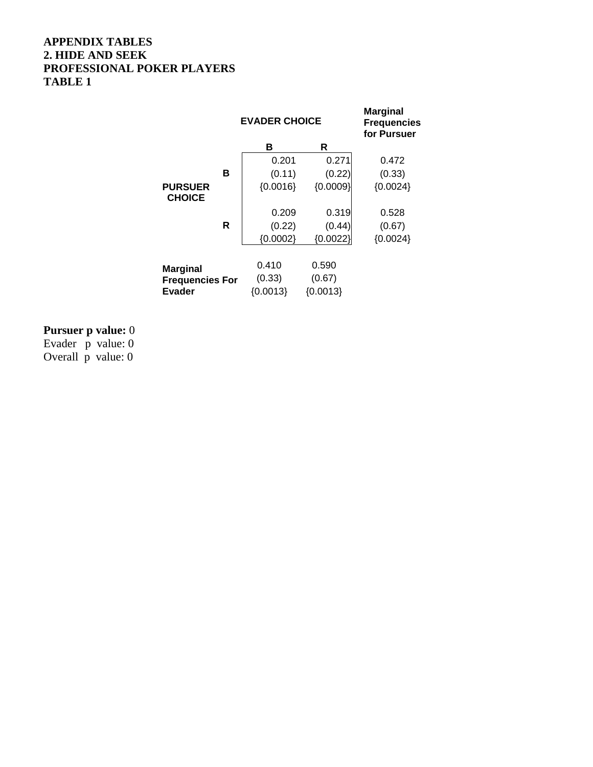## **APPENDIX TABLES 2. HIDE AND SEEK PROFESSIONAL POKER PLAYERS TABLE 1**

|                                                            |   | <b>EVADER CHOICE</b>          | <b>Marginal</b><br><b>Frequencies</b><br>for Pursuer |            |
|------------------------------------------------------------|---|-------------------------------|------------------------------------------------------|------------|
|                                                            |   | в                             | R                                                    |            |
|                                                            |   | 0.201                         | 0.271                                                | 0.472      |
|                                                            | в | (0.11)                        | (0.22)                                               | (0.33)     |
| <b>PURSUER</b><br><b>CHOICE</b>                            |   | ${0.0009}$<br>${0.0016}$      |                                                      | ${0.0024}$ |
|                                                            |   | 0.209                         | 0.319                                                | 0.528      |
|                                                            | R | (0.22)                        | (0.44)                                               | (0.67)     |
|                                                            |   | ${0.0002}$                    | ${0.0022}$                                           | ${0.0024}$ |
| <b>Marginal</b><br><b>Frequencies For</b><br><b>Evader</b> |   | 0.410<br>(0.33)<br>${0.0013}$ | 0.590<br>(0.67)<br>${0.0013}$                        |            |

### **Pursuer p value:** 0

Evader p value: 0 Overall p value: 0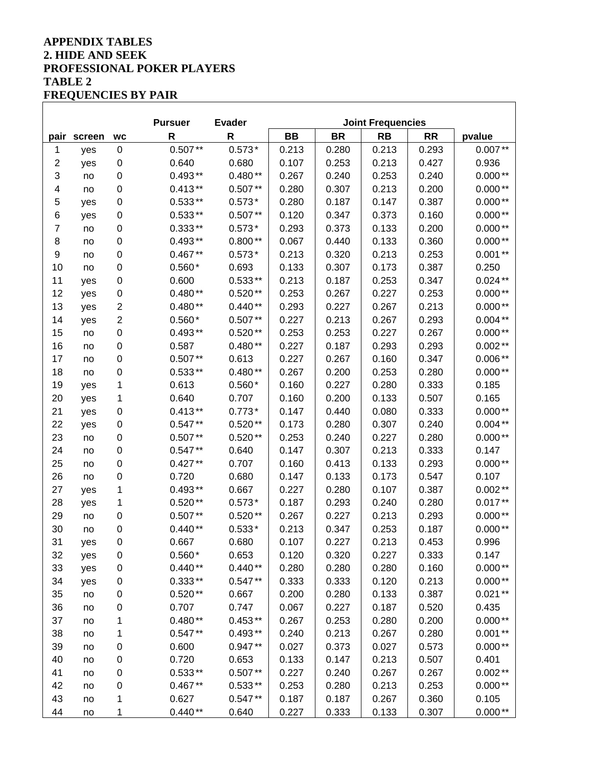# **APPENDIX TABLES 2. HIDE AND SEEK PROFESSIONAL POKER PLAYERS TABLE 2 FREQUENCIES BY PAIR**

|                         |        |                         | <b>Pursuer</b> | <b>Evader</b> | <b>Joint Frequencies</b> |           |           |           |           |
|-------------------------|--------|-------------------------|----------------|---------------|--------------------------|-----------|-----------|-----------|-----------|
| pair                    | screen | <b>WC</b>               | $\mathsf R$    | $\mathsf{R}$  | <b>BB</b>                | <b>BR</b> | <b>RB</b> | <b>RR</b> | pvalue    |
| 1                       | yes    | $\pmb{0}$               | $0.507**$      | $0.573*$      | 0.213                    | 0.280     | 0.213     | 0.293     | $0.007**$ |
| $\overline{\mathbf{c}}$ | yes    | 0                       | 0.640          | 0.680         | 0.107                    | 0.253     | 0.213     | 0.427     | 0.936     |
| 3                       | no     | 0                       | $0.493**$      | $0.480**$     | 0.267                    | 0.240     | 0.253     | 0.240     | $0.000**$ |
| 4                       | no     | 0                       | $0.413**$      | $0.507**$     | 0.280                    | 0.307     | 0.213     | 0.200     | $0.000**$ |
| 5                       | yes    | 0                       | $0.533**$      | $0.573*$      | 0.280                    | 0.187     | 0.147     | 0.387     | $0.000**$ |
| 6                       | yes    | 0                       | $0.533**$      | $0.507**$     | 0.120                    | 0.347     | 0.373     | 0.160     | $0.000**$ |
| 7                       | no     | 0                       | $0.333**$      | $0.573*$      | 0.293                    | 0.373     | 0.133     | 0.200     | $0.000**$ |
| 8                       | no     | 0                       | $0.493**$      | $0.800**$     | 0.067                    | 0.440     | 0.133     | 0.360     | $0.000**$ |
| 9                       | no     | 0                       | $0.467**$      | $0.573*$      | 0.213                    | 0.320     | 0.213     | 0.253     | $0.001**$ |
| 10                      | no     | 0                       | $0.560*$       | 0.693         | 0.133                    | 0.307     | 0.173     | 0.387     | 0.250     |
| 11                      | yes    | 0                       | 0.600          | $0.533**$     | 0.213                    | 0.187     | 0.253     | 0.347     | $0.024**$ |
| 12                      | yes    | 0                       | $0.480**$      | $0.520**$     | 0.253                    | 0.267     | 0.227     | 0.253     | $0.000**$ |
| 13                      | yes    | $\overline{\mathbf{c}}$ | $0.480**$      | $0.440**$     | 0.293                    | 0.227     | 0.267     | 0.213     | $0.000**$ |
| 14                      | yes    | $\boldsymbol{2}$        | $0.560*$       | $0.507**$     | 0.227                    | 0.213     | 0.267     | 0.293     | $0.004**$ |
| 15                      | no     | 0                       | $0.493**$      | $0.520**$     | 0.253                    | 0.253     | 0.227     | 0.267     | $0.000**$ |
| 16                      | no     | 0                       | 0.587          | $0.480**$     | 0.227                    | 0.187     | 0.293     | 0.293     | $0.002**$ |
| 17                      | no     | 0                       | $0.507**$      | 0.613         | 0.227                    | 0.267     | 0.160     | 0.347     | $0.006**$ |
| 18                      | no     | 0                       | $0.533**$      | $0.480**$     | 0.267                    | 0.200     | 0.253     | 0.280     | $0.000**$ |
| 19                      | yes    | 1                       | 0.613          | $0.560*$      | 0.160                    | 0.227     | 0.280     | 0.333     | 0.185     |
| 20                      | yes    | 1                       | 0.640          | 0.707         | 0.160                    | 0.200     | 0.133     | 0.507     | 0.165     |
| 21                      | yes    | 0                       | $0.413**$      | $0.773*$      | 0.147                    | 0.440     | 0.080     | 0.333     | $0.000**$ |
| 22                      | yes    | 0                       | $0.547**$      | $0.520**$     | 0.173                    | 0.280     | 0.307     | 0.240     | $0.004**$ |
| 23                      | no     | 0                       | $0.507**$      | $0.520**$     | 0.253                    | 0.240     | 0.227     | 0.280     | $0.000**$ |
| 24                      | no     | 0                       | $0.547**$      | 0.640         | 0.147                    | 0.307     | 0.213     | 0.333     | 0.147     |
| 25                      | no     | 0                       | $0.427**$      | 0.707         | 0.160                    | 0.413     | 0.133     | 0.293     | $0.000**$ |
| 26                      | no     | 0                       | 0.720          | 0.680         | 0.147                    | 0.133     | 0.173     | 0.547     | 0.107     |
| 27                      | yes    | 1                       | $0.493**$      | 0.667         | 0.227                    | 0.280     | 0.107     | 0.387     | $0.002**$ |
| 28                      | yes    | 1                       | $0.520**$      | $0.573*$      | 0.187                    | 0.293     | 0.240     | 0.280     | $0.017**$ |
| 29                      | no     | 0                       | $0.507**$      | $0.520**$     | 0.267                    | 0.227     | 0.213     | 0.293     | $0.000**$ |
| 30                      | no     | 0                       | $0.440**$      | $0.533*$      | 0.213                    | 0.347     | 0.253     | 0.187     | $0.000**$ |
| 31                      | yes    | 0                       | 0.667          | 0.680         | 0.107                    | 0.227     | 0.213     | 0.453     | 0.996     |
| 32                      | yes    | $\mathbf 0$             | $0.560*$       | 0.653         | 0.120                    | 0.320     | 0.227     | 0.333     | 0.147     |
| 33                      | yes    | $\pmb{0}$               | $0.440**$      | $0.440**$     | 0.280                    | 0.280     | 0.280     | 0.160     | $0.000**$ |
| 34                      | yes    | $\pmb{0}$               | $0.333**$      | $0.547**$     | 0.333                    | 0.333     | 0.120     | 0.213     | $0.000**$ |
| 35                      | no     | $\pmb{0}$               | $0.520**$      | 0.667         | 0.200                    | 0.280     | 0.133     | 0.387     | $0.021**$ |
| 36                      | no     | 0                       | 0.707          | 0.747         | 0.067                    | 0.227     | 0.187     | 0.520     | 0.435     |
| 37                      | no     | 1                       | $0.480**$      | $0.453**$     | 0.267                    | 0.253     | 0.280     | 0.200     | $0.000**$ |
| 38                      | no     | 1                       | $0.547**$      | $0.493**$     | 0.240                    | 0.213     | 0.267     | 0.280     | $0.001**$ |
| 39                      | no     | $\pmb{0}$               | 0.600          | $0.947**$     | 0.027                    | 0.373     | 0.027     | 0.573     | $0.000**$ |
| 40                      | no     | 0                       | 0.720          | 0.653         | 0.133                    | 0.147     | 0.213     | 0.507     | 0.401     |
| 41                      | no     | 0                       | $0.533**$      | $0.507**$     | 0.227                    | 0.240     | 0.267     | 0.267     | $0.002**$ |
| 42                      | no     | 0                       | $0.467**$      | $0.533**$     | 0.253                    | 0.280     | 0.213     | 0.253     | $0.000**$ |
| 43                      | no     | 1                       | 0.627          | $0.547**$     | 0.187                    | 0.187     | 0.267     | 0.360     | 0.105     |
| 44                      | no     | 1                       | $0.440**$      | 0.640         | 0.227                    | 0.333     | 0.133     | 0.307     | $0.000**$ |

٦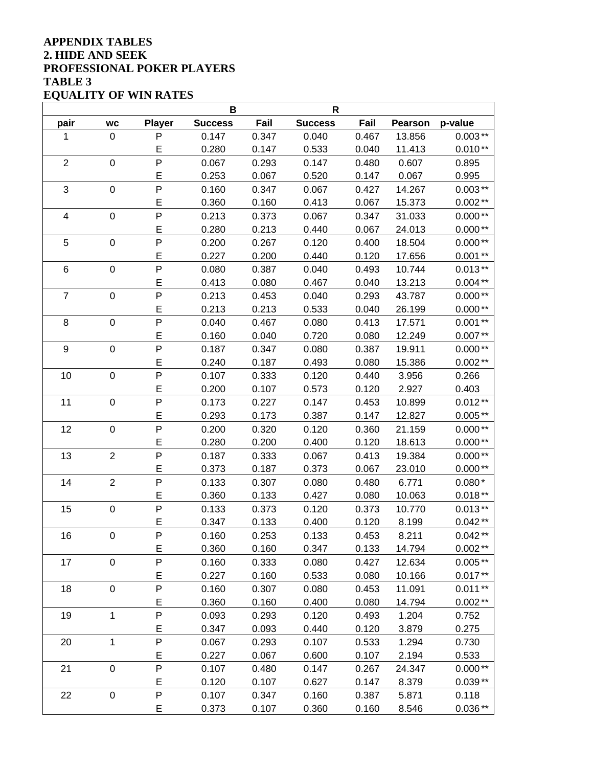### **APPENDIX TABLES 2. HIDE AND SEEK PROFESSIONAL POKER PLAYERS TABLE 3 EQUALITY OF WIN RATES**

|                 |                  |                | В              |       | $\mathsf R$    |       |                |           |
|-----------------|------------------|----------------|----------------|-------|----------------|-------|----------------|-----------|
| pair            | <b>WC</b>        | <b>Player</b>  | <b>Success</b> | Fail  | <b>Success</b> | Fail  | <b>Pearson</b> | p-value   |
| 1               | $\boldsymbol{0}$ | P              | 0.147          | 0.347 | 0.040          | 0.467 | 13.856         | $0.003**$ |
|                 |                  | E              | 0.280          | 0.147 | 0.533          | 0.040 | 11.413         | $0.010**$ |
| $\mathbf 2$     | $\boldsymbol{0}$ | P              | 0.067          | 0.293 | 0.147          | 0.480 | 0.607          | 0.895     |
|                 |                  | E              | 0.253          | 0.067 | 0.520          | 0.147 | 0.067          | 0.995     |
| 3               | $\boldsymbol{0}$ | $\overline{P}$ | 0.160          | 0.347 | 0.067          | 0.427 | 14.267         | $0.003**$ |
|                 |                  | E              | 0.360          | 0.160 | 0.413          | 0.067 | 15.373         | $0.002**$ |
| $\overline{4}$  | $\boldsymbol{0}$ | P              | 0.213          | 0.373 | 0.067          | 0.347 | 31.033         | $0.000**$ |
|                 |                  | E              | 0.280          | 0.213 | 0.440          | 0.067 | 24.013         | $0.000**$ |
| 5               | $\boldsymbol{0}$ | P              | 0.200          | 0.267 | 0.120          | 0.400 | 18.504         | $0.000**$ |
|                 |                  | E              | 0.227          | 0.200 | 0.440          | 0.120 | 17.656         | $0.001**$ |
| $6\phantom{1}6$ | $\boldsymbol{0}$ | P              | 0.080          | 0.387 | 0.040          | 0.493 | 10.744         | $0.013**$ |
|                 |                  | E              | 0.413          | 0.080 | 0.467          | 0.040 | 13.213         | $0.004**$ |
| $\overline{7}$  | $\boldsymbol{0}$ | P              | 0.213          | 0.453 | 0.040          | 0.293 | 43.787         | $0.000**$ |
|                 |                  | E              | 0.213          | 0.213 | 0.533          | 0.040 | 26.199         | $0.000**$ |
| 8               | $\mathbf 0$      | P              | 0.040          | 0.467 | 0.080          | 0.413 | 17.571         | $0.001**$ |
|                 |                  | E              | 0.160          | 0.040 | 0.720          | 0.080 | 12.249         | $0.007**$ |
| 9               | $\boldsymbol{0}$ | $\overline{P}$ | 0.187          | 0.347 | 0.080          | 0.387 | 19.911         | $0.000**$ |
|                 |                  | E              | 0.240          | 0.187 | 0.493          | 0.080 | 15.386         | $0.002**$ |
| 10              | 0                | $\mathsf{P}$   | 0.107          | 0.333 | 0.120          | 0.440 | 3.956          | 0.266     |
|                 |                  | E              | 0.200          | 0.107 | 0.573          | 0.120 | 2.927          | 0.403     |
| 11              | $\boldsymbol{0}$ | P              | 0.173          | 0.227 | 0.147          | 0.453 | 10.899         | $0.012**$ |
|                 |                  | E              | 0.293          | 0.173 | 0.387          | 0.147 | 12.827         | $0.005**$ |
| 12              | $\mathbf 0$      | $\mathsf{P}$   | 0.200          | 0.320 | 0.120          | 0.360 | 21.159         | $0.000**$ |
|                 |                  | E              | 0.280          | 0.200 | 0.400          | 0.120 | 18.613         | $0.000**$ |
| 13              | $\overline{2}$   | P              | 0.187          | 0.333 | 0.067          | 0.413 | 19.384         | $0.000**$ |
|                 |                  | E              | 0.373          | 0.187 | 0.373          | 0.067 | 23.010         | $0.000**$ |
| 14              | $\overline{c}$   | P              | 0.133          | 0.307 | 0.080          | 0.480 | 6.771          | $0.080*$  |
|                 |                  | E              | 0.360          | 0.133 | 0.427          | 0.080 | 10.063         | $0.018**$ |
| 15              | $\pmb{0}$        | $\mathsf{P}$   | 0.133          | 0.373 | 0.120          | 0.373 | 10.770         | $0.013**$ |
|                 |                  | E              | 0.347          | 0.133 | 0.400          | 0.120 | 8.199          | $0.042**$ |
| 16              | 0                | P              | 0.160          | 0.253 | 0.133          | 0.453 | 8.211          | $0.042**$ |
|                 |                  | E              | 0.360          | 0.160 | 0.347          | 0.133 | 14.794         | $0.002**$ |
| 17              | $\pmb{0}$        | P              | 0.160          | 0.333 | 0.080          | 0.427 | 12.634         | $0.005**$ |
|                 |                  | E              | 0.227          | 0.160 | 0.533          | 0.080 | 10.166         | $0.017**$ |
| 18              | $\pmb{0}$        | P              | 0.160          | 0.307 | 0.080          | 0.453 | 11.091         | $0.011**$ |
|                 |                  | E              | 0.360          | 0.160 | 0.400          | 0.080 | 14.794         | $0.002**$ |
| 19              | 1                | P              | 0.093          | 0.293 | 0.120          | 0.493 | 1.204          | 0.752     |
|                 |                  | E              | 0.347          | 0.093 | 0.440          | 0.120 | 3.879          | 0.275     |
| 20              | $\mathbf{1}$     | P              | 0.067          | 0.293 | 0.107          | 0.533 | 1.294          | 0.730     |
|                 |                  | E              | 0.227          | 0.067 | 0.600          | 0.107 | 2.194          | 0.533     |
| 21              | $\pmb{0}$        | P              | 0.107          | 0.480 | 0.147          | 0.267 | 24.347         | $0.000**$ |
|                 |                  | E              | 0.120          | 0.107 | 0.627          | 0.147 | 8.379          | $0.039**$ |
| 22              | $\pmb{0}$        | P              | 0.107          | 0.347 | 0.160          | 0.387 | 5.871          | 0.118     |
|                 |                  | E              | 0.373          | 0.107 | 0.360          | 0.160 | 8.546          | $0.036**$ |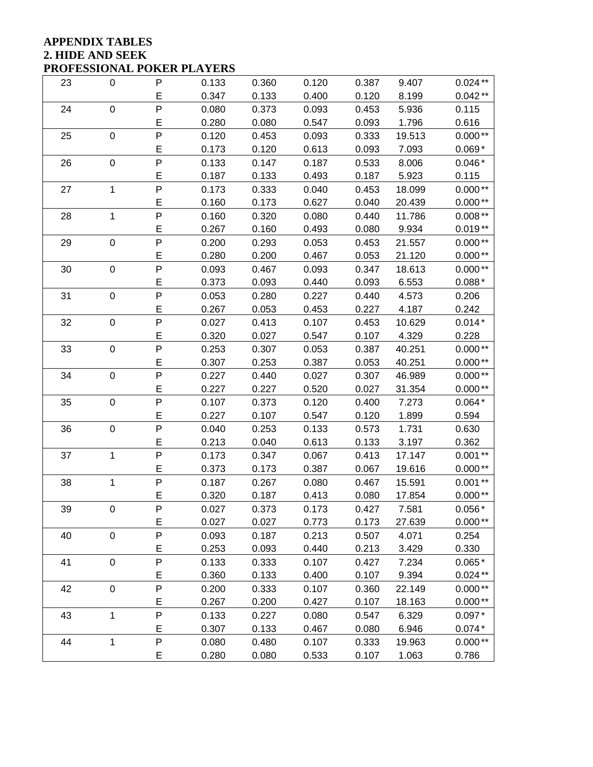### **APPENDIX TABLES 2. HIDE AND SEEK PROFESSIONAL POKER PLAYERS**

| 23 | $\boldsymbol{0}$ | P              | 0.133 | 0.360 | 0.120 | 0.387 | 9.407  | $0.024**$ |
|----|------------------|----------------|-------|-------|-------|-------|--------|-----------|
|    |                  | E              | 0.347 | 0.133 | 0.400 | 0.120 | 8.199  | $0.042**$ |
| 24 | $\pmb{0}$        | P              | 0.080 | 0.373 | 0.093 | 0.453 | 5.936  | 0.115     |
|    |                  | E              | 0.280 | 0.080 | 0.547 | 0.093 | 1.796  | 0.616     |
| 25 | $\pmb{0}$        | P              | 0.120 | 0.453 | 0.093 | 0.333 | 19.513 | $0.000**$ |
|    |                  | E              | 0.173 | 0.120 | 0.613 | 0.093 | 7.093  | $0.069*$  |
| 26 | $\boldsymbol{0}$ | P              | 0.133 | 0.147 | 0.187 | 0.533 | 8.006  | $0.046*$  |
|    |                  | E              | 0.187 | 0.133 | 0.493 | 0.187 | 5.923  | 0.115     |
| 27 | $\mathbf{1}$     | P              | 0.173 | 0.333 | 0.040 | 0.453 | 18.099 | $0.000**$ |
|    |                  | E              | 0.160 | 0.173 | 0.627 | 0.040 | 20.439 | $0.000**$ |
| 28 | 1                | P              | 0.160 | 0.320 | 0.080 | 0.440 | 11.786 | $0.008**$ |
|    |                  | E              | 0.267 | 0.160 | 0.493 | 0.080 | 9.934  | $0.019**$ |
| 29 | $\boldsymbol{0}$ | P              | 0.200 | 0.293 | 0.053 | 0.453 | 21.557 | $0.000**$ |
|    |                  | E              | 0.280 | 0.200 | 0.467 | 0.053 | 21.120 | $0.000**$ |
| 30 | $\pmb{0}$        | P              | 0.093 | 0.467 | 0.093 | 0.347 | 18.613 | $0.000**$ |
|    |                  | E              | 0.373 | 0.093 | 0.440 | 0.093 | 6.553  | $0.088*$  |
| 31 | $\pmb{0}$        | P              | 0.053 | 0.280 | 0.227 | 0.440 | 4.573  | 0.206     |
|    |                  | E              | 0.267 | 0.053 | 0.453 | 0.227 | 4.187  | 0.242     |
| 32 | $\boldsymbol{0}$ | $\mathsf{P}$   | 0.027 | 0.413 | 0.107 | 0.453 | 10.629 | $0.014*$  |
|    |                  | E              | 0.320 | 0.027 | 0.547 | 0.107 | 4.329  | 0.228     |
| 33 | $\pmb{0}$        | P              | 0.253 | 0.307 | 0.053 | 0.387 | 40.251 | $0.000**$ |
|    |                  | E              | 0.307 | 0.253 | 0.387 | 0.053 | 40.251 | $0.000**$ |
| 34 | $\pmb{0}$        | P              | 0.227 | 0.440 | 0.027 | 0.307 | 46.989 | $0.000**$ |
|    |                  | E              | 0.227 | 0.227 | 0.520 | 0.027 | 31.354 | $0.000**$ |
| 35 | $\boldsymbol{0}$ | $\mathsf{P}$   | 0.107 | 0.373 | 0.120 | 0.400 | 7.273  | $0.064*$  |
|    |                  | E              | 0.227 | 0.107 | 0.547 | 0.120 | 1.899  | 0.594     |
| 36 | $\boldsymbol{0}$ | P              | 0.040 | 0.253 | 0.133 | 0.573 | 1.731  | 0.630     |
|    |                  | E              | 0.213 | 0.040 | 0.613 | 0.133 | 3.197  | 0.362     |
| 37 | $\mathbf{1}$     | P              | 0.173 | 0.347 | 0.067 | 0.413 | 17.147 | $0.001**$ |
|    |                  | E              | 0.373 | 0.173 | 0.387 | 0.067 | 19.616 | $0.000**$ |
| 38 | 1                | $\overline{P}$ | 0.187 | 0.267 | 0.080 | 0.467 | 15.591 | $0.001**$ |
|    |                  | E              | 0.320 | 0.187 | 0.413 | 0.080 | 17.854 | $0.000**$ |
| 39 | 0                | P              | 0.027 | 0.373 | 0.173 | 0.427 | 7.581  | $0.056*$  |
|    |                  | E              | 0.027 | 0.027 | 0.773 | 0.173 | 27.639 | $0.000**$ |
| 40 | $\pmb{0}$        | P              | 0.093 | 0.187 | 0.213 | 0.507 | 4.071  | 0.254     |
|    |                  | E              | 0.253 | 0.093 | 0.440 | 0.213 | 3.429  | 0.330     |
| 41 | $\pmb{0}$        | P              | 0.133 | 0.333 | 0.107 | 0.427 | 7.234  | $0.065*$  |
|    |                  | E              | 0.360 | 0.133 | 0.400 | 0.107 | 9.394  | $0.024**$ |
| 42 | $\pmb{0}$        | P              | 0.200 | 0.333 | 0.107 | 0.360 | 22.149 | $0.000**$ |
|    |                  | E              | 0.267 | 0.200 | 0.427 | 0.107 | 18.163 | $0.000**$ |
| 43 | $\mathbf 1$      | P              | 0.133 | 0.227 | 0.080 | 0.547 | 6.329  | $0.097*$  |
|    |                  | E              | 0.307 | 0.133 | 0.467 | 0.080 | 6.946  | $0.074*$  |
| 44 | 1                | P              | 0.080 | 0.480 | 0.107 | 0.333 | 19.963 | $0.000**$ |
|    |                  | E              | 0.280 | 0.080 | 0.533 | 0.107 | 1.063  | 0.786     |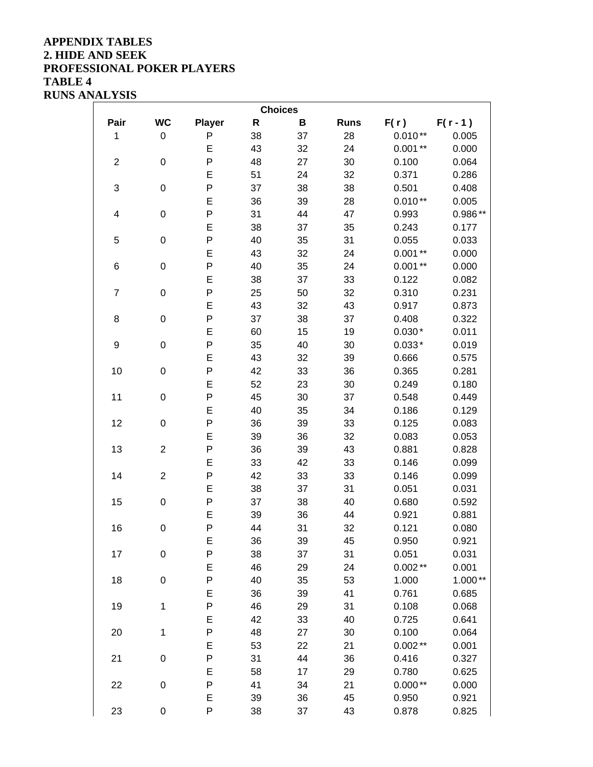### **APPENDIX TABLES 2. HIDE AND SEEK PROFESSIONAL POKER PLAYERS TABLE 4 RUNS ANALYSIS**

| <b>Choices</b>   |                |               |              |    |             |           |            |  |  |
|------------------|----------------|---------------|--------------|----|-------------|-----------|------------|--|--|
| Pair             | <b>WC</b>      | <b>Player</b> | $\mathsf{R}$ | B  | <b>Runs</b> | F(r)      | $F(r - 1)$ |  |  |
| 1                | 0              | P             | 38           | 37 | 28          | $0.010**$ | 0.005      |  |  |
|                  |                | E             | 43           | 32 | 24          | $0.001**$ | 0.000      |  |  |
| $\boldsymbol{2}$ | $\mathsf 0$    | $\mathsf{P}$  | 48           | 27 | 30          | 0.100     | 0.064      |  |  |
|                  |                | E             | 51           | 24 | 32          | 0.371     | 0.286      |  |  |
| 3                | $\mathsf 0$    | P             | 37           | 38 | 38          | 0.501     | 0.408      |  |  |
|                  |                | E             | 36           | 39 | 28          | $0.010**$ | 0.005      |  |  |
| 4                | 0              | P             | 31           | 44 | 47          | 0.993     | $0.986**$  |  |  |
|                  |                | E             | 38           | 37 | 35          | 0.243     | 0.177      |  |  |
| 5                | 0              | P             | 40           | 35 | 31          | 0.055     | 0.033      |  |  |
|                  |                | E             | 43           | 32 | 24          | $0.001**$ | 0.000      |  |  |
| $\,6$            | 0              | $\mathsf{P}$  | 40           | 35 | 24          | $0.001**$ | 0.000      |  |  |
|                  |                | E             | 38           | 37 | 33          | 0.122     | 0.082      |  |  |
| $\overline{7}$   | $\mathsf 0$    | P             | 25           | 50 | 32          | 0.310     | 0.231      |  |  |
|                  |                | E             | 43           | 32 | 43          | 0.917     | 0.873      |  |  |
| 8                | 0              | P             | 37           | 38 | 37          | 0.408     | 0.322      |  |  |
|                  |                | E             | 60           | 15 | 19          | $0.030*$  | 0.011      |  |  |
| 9                | 0              | P             | 35           | 40 | 30          | $0.033*$  | 0.019      |  |  |
|                  |                | E             | 43           | 32 | 39          | 0.666     | 0.575      |  |  |
| 10               | 0              | $\mathsf{P}$  | 42           | 33 | 36          | 0.365     | 0.281      |  |  |
|                  |                | E             | 52           | 23 | 30          | 0.249     | 0.180      |  |  |
| 11               | 0              | P             | 45           | 30 | 37          | 0.548     | 0.449      |  |  |
|                  |                | E             | 40           | 35 | 34          | 0.186     | 0.129      |  |  |
| 12               | 0              | P             | 36           | 39 | 33          | 0.125     | 0.083      |  |  |
|                  |                | E             | 39           | 36 | 32          | 0.083     | 0.053      |  |  |
| 13               | $\overline{2}$ | P             | 36           | 39 | 43          | 0.881     | 0.828      |  |  |
|                  |                | E             | 33           | 42 | 33          | 0.146     | 0.099      |  |  |
| 14               | $\overline{2}$ | $\mathsf{P}$  | 42           | 33 | 33          | 0.146     | 0.099      |  |  |
|                  |                | E             | 38           | 37 | 31          | 0.051     | 0.031      |  |  |
| 15               | 0              | P             | 37           | 38 | 40          | 0.680     | 0.592      |  |  |
|                  |                | E             | 39           | 36 | 44          | 0.921     | 0.881      |  |  |
| 16               | 0              | P             | 44           | 31 | 32          | 0.121     | 0.080      |  |  |
|                  |                | E             | 36           | 39 | 45          | 0.950     | 0.921      |  |  |
| 17               | 0              | P             | 38           | 37 | 31          | 0.051     | 0.031      |  |  |
|                  |                | E             | 46           | 29 | 24          | $0.002**$ | 0.001      |  |  |
| 18               | $\mathsf 0$    | $\mathsf{P}$  | 40           | 35 | 53          | 1.000     | $1.000**$  |  |  |
|                  |                | E             | 36           | 39 | 41          | 0.761     | 0.685      |  |  |
| 19               | $\mathbf 1$    | P             | 46           | 29 | 31          | 0.108     | 0.068      |  |  |
|                  |                | E             | 42           | 33 | 40          | 0.725     | 0.641      |  |  |
| 20               | $\mathbf 1$    | $\mathsf{P}$  | 48           | 27 | 30          | 0.100     | 0.064      |  |  |
|                  |                | E             | 53           | 22 | 21          | $0.002**$ | 0.001      |  |  |
| 21               | $\mathsf 0$    | P             | 31           | 44 | 36          | 0.416     | 0.327      |  |  |
|                  |                | E             | 58           | 17 | 29          | 0.780     | 0.625      |  |  |
| 22               | $\mathsf 0$    | $\mathsf{P}$  | 41           | 34 | 21          | $0.000**$ | 0.000      |  |  |
|                  |                | E             | 39           | 36 | 45          | 0.950     | 0.921      |  |  |
| 23               | 0              | P             | 38           | 37 | 43          | 0.878     | 0.825      |  |  |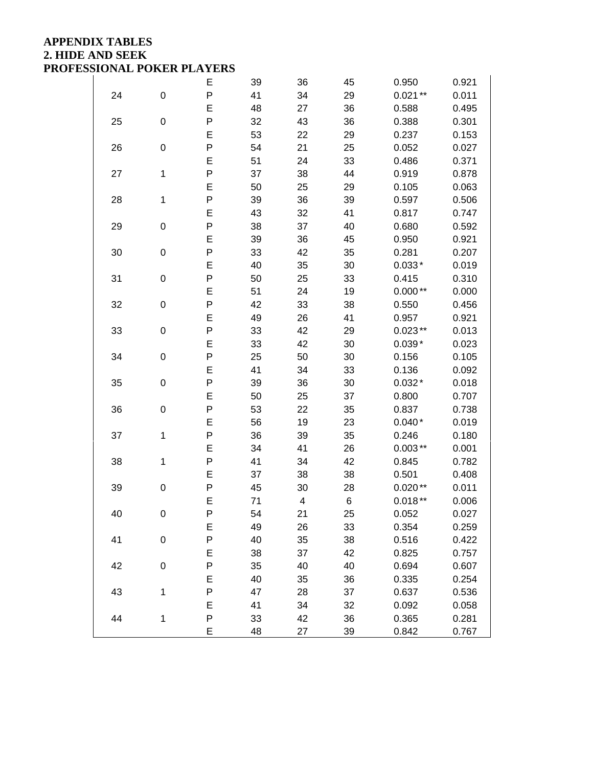## **APPENDIX TABLES 2. HIDE AND SEEK PROFESSIONAL POKER PLAYERS**

|    |                  | E         | 39 | 36 | 45 | 0.950     | 0.921 |
|----|------------------|-----------|----|----|----|-----------|-------|
| 24 | $\boldsymbol{0}$ | P         | 41 | 34 | 29 | $0.021**$ | 0.011 |
|    |                  | E         | 48 | 27 | 36 | 0.588     | 0.495 |
| 25 | $\mathbf 0$      | $\sf P$   | 32 | 43 | 36 | 0.388     | 0.301 |
|    |                  | E         | 53 | 22 | 29 | 0.237     | 0.153 |
| 26 | $\mathbf 0$      | P         | 54 | 21 | 25 | 0.052     | 0.027 |
|    |                  | E         | 51 | 24 | 33 | 0.486     | 0.371 |
| 27 | $\mathbf 1$      | P         | 37 | 38 | 44 | 0.919     | 0.878 |
|    |                  | E         | 50 | 25 | 29 | 0.105     | 0.063 |
| 28 | 1                | P         | 39 | 36 | 39 | 0.597     | 0.506 |
|    |                  | E         | 43 | 32 | 41 | 0.817     | 0.747 |
| 29 | $\mathbf 0$      | $\sf P$   | 38 | 37 | 40 | 0.680     | 0.592 |
|    |                  | E         | 39 | 36 | 45 | 0.950     | 0.921 |
| 30 | $\mathbf 0$      | P         | 33 | 42 | 35 | 0.281     | 0.207 |
|    |                  | E         | 40 | 35 | 30 | $0.033*$  | 0.019 |
| 31 | $\mathbf 0$      | P         | 50 | 25 | 33 | 0.415     | 0.310 |
|    |                  | E         | 51 | 24 | 19 | $0.000**$ | 0.000 |
| 32 | 0                | P         | 42 | 33 | 38 | 0.550     | 0.456 |
|    |                  | E         | 49 | 26 | 41 | 0.957     | 0.921 |
| 33 | $\mathbf 0$      | $\sf P$   | 33 | 42 | 29 | $0.023**$ | 0.013 |
|    |                  | E         | 33 | 42 | 30 | $0.039*$  | 0.023 |
| 34 | $\mathbf 0$      | P         | 25 | 50 | 30 | 0.156     | 0.105 |
|    |                  | E         | 41 | 34 | 33 | 0.136     | 0.092 |
| 35 | 0                | ${\sf P}$ | 39 | 36 | 30 | $0.032*$  | 0.018 |
|    |                  | E         | 50 | 25 | 37 | 0.800     | 0.707 |
| 36 | 0                | P         | 53 | 22 | 35 | 0.837     | 0.738 |
|    |                  | E         | 56 | 19 | 23 | $0.040*$  | 0.019 |
| 37 | $\mathbf 1$      | $\sf P$   | 36 | 39 | 35 | 0.246     | 0.180 |
|    |                  | E         | 34 | 41 | 26 | $0.003**$ | 0.001 |
| 38 | 1                | P         | 41 | 34 | 42 | 0.845     | 0.782 |
|    |                  | E         | 37 | 38 | 38 | 0.501     | 0.408 |
| 39 | 0                | ${\sf P}$ | 45 | 30 | 28 | $0.020**$ | 0.011 |
|    |                  | E         | 71 | 4  | 6  | $0.018**$ | 0.006 |
| 40 | 0                | P         | 54 | 21 | 25 | 0.052     | 0.027 |
|    |                  | E         | 49 | 26 | 33 | 0.354     | 0.259 |
| 41 | $\mathbf 0$      | P         | 40 | 35 | 38 | 0.516     | 0.422 |
|    |                  | E         | 38 | 37 | 42 | 0.825     | 0.757 |
| 42 | $\mathbf 0$      | P         | 35 | 40 | 40 | 0.694     | 0.607 |
|    |                  | E         | 40 | 35 | 36 | 0.335     | 0.254 |
| 43 | $\mathbf 1$      | ${\sf P}$ | 47 | 28 | 37 | 0.637     | 0.536 |
|    |                  | E         | 41 | 34 | 32 | 0.092     | 0.058 |
| 44 | $\mathbf 1$      | ${\sf P}$ | 33 | 42 | 36 | 0.365     | 0.281 |
|    |                  | E         | 48 | 27 | 39 | 0.842     | 0.767 |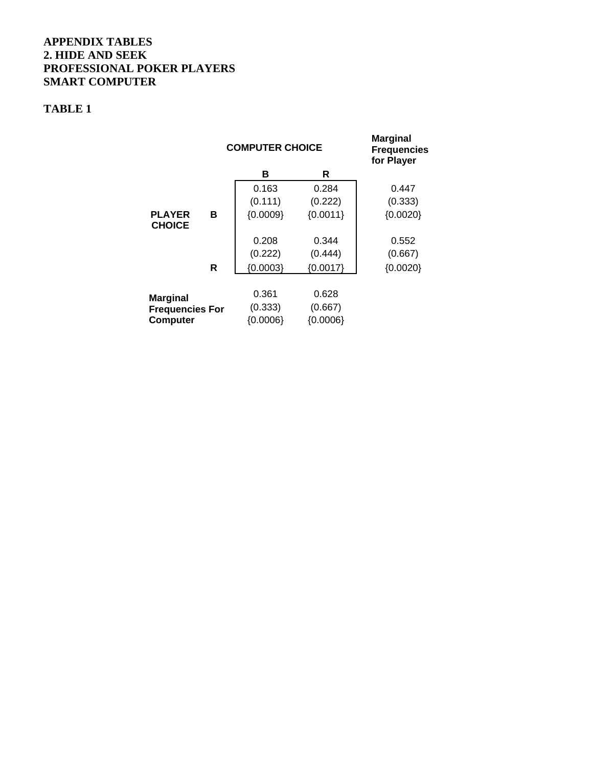### **APPENDIX TABLES 2. HIDE AND SEEK PROFESSIONAL POKER PLAYERS SMART COMPUTER**

## **TABLE 1**

|                                |   | <b>COMPUTER CHOICE</b> | <b>Marginal</b><br><b>Frequencies</b><br>for Player |            |
|--------------------------------|---|------------------------|-----------------------------------------------------|------------|
|                                |   | в                      | R                                                   |            |
|                                |   | 0.163                  | 0.284                                               | 0.447      |
|                                |   | (0.111)                | (0.222)                                             | (0.333)    |
| <b>PLAYER</b><br><b>CHOICE</b> | в | ${0.0009}$             | ${0.0011}$                                          | ${0.0020}$ |
|                                |   | 0.208                  | 0.344                                               | 0.552      |
|                                |   | (0.222)                | (0.444)                                             | (0.667)    |
|                                | R | ${0.0003}$             | ${0.0017}$                                          | ${0.0020}$ |
|                                |   |                        |                                                     |            |
| <b>Marginal</b>                |   | 0.361                  | 0.628                                               |            |
| <b>Frequencies For</b>         |   | (0.333)                | (0.667)                                             |            |
| <b>Computer</b>                |   |                        |                                                     |            |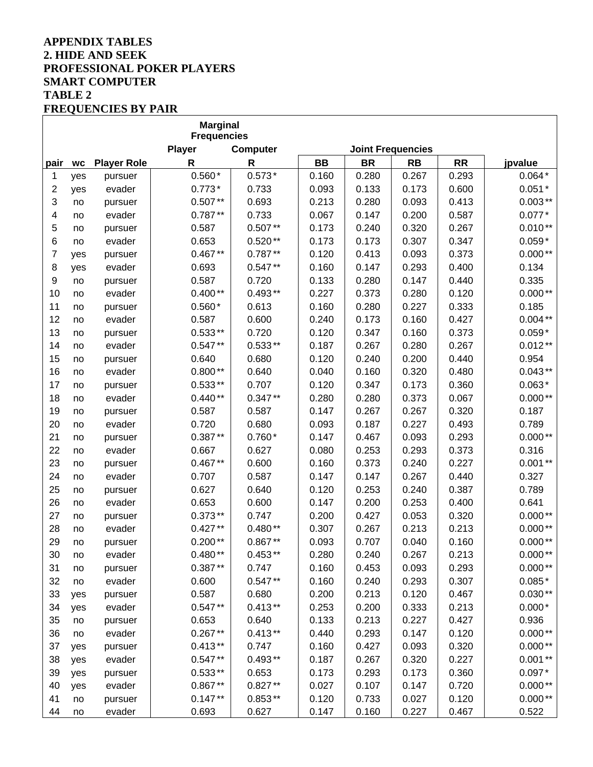### **APPENDIX TABLES 2. HIDE AND SEEK PROFESSIONAL POKER PLAYERS SMART COMPUTER TABLE 2 FREQUENCIES BY PAIR**

|      |           |                    | <b>Marginal</b><br><b>Frequencies</b> |              |           |           |           |           |           |
|------|-----------|--------------------|---------------------------------------|--------------|-----------|-----------|-----------|-----------|-----------|
|      |           |                    | <b>Player</b>                         | Computer     |           |           |           |           |           |
| pair | <b>WC</b> | <b>Player Role</b> | R                                     | $\mathsf{R}$ | <b>BB</b> | <b>BR</b> | <b>RB</b> | <b>RR</b> | jpvalue   |
| 1    | yes       | pursuer            | $0.560*$                              | $0.573*$     | 0.160     | 0.280     | 0.267     | 0.293     | $0.064*$  |
| 2    | yes       | evader             | $0.773*$                              | 0.733        | 0.093     | 0.133     | 0.173     | 0.600     | $0.051*$  |
| 3    | no        | pursuer            | $0.507**$                             | 0.693        | 0.213     | 0.280     | 0.093     | 0.413     | $0.003**$ |
| 4    | no        | evader             | $0.787**$                             | 0.733        | 0.067     | 0.147     | 0.200     | 0.587     | $0.077*$  |
| 5    | no        | pursuer            | 0.587                                 | $0.507**$    | 0.173     | 0.240     | 0.320     | 0.267     | $0.010**$ |
| 6    | no        | evader             | 0.653                                 | $0.520**$    | 0.173     | 0.173     | 0.307     | 0.347     | $0.059*$  |
| 7    | yes       | pursuer            | $0.467**$                             | $0.787**$    | 0.120     | 0.413     | 0.093     | 0.373     | $0.000**$ |
| 8    | yes       | evader             | 0.693                                 | $0.547**$    | 0.160     | 0.147     | 0.293     | 0.400     | 0.134     |
| 9    | no        | pursuer            | 0.587                                 | 0.720        | 0.133     | 0.280     | 0.147     | 0.440     | 0.335     |
| 10   | no        | evader             | $0.400**$                             | $0.493**$    | 0.227     | 0.373     | 0.280     | 0.120     | $0.000**$ |
| 11   | no        | pursuer            | $0.560*$                              | 0.613        | 0.160     | 0.280     | 0.227     | 0.333     | 0.185     |
| 12   | no        | evader             | 0.587                                 | 0.600        | 0.240     | 0.173     | 0.160     | 0.427     | $0.004**$ |
| 13   | no        | pursuer            | $0.533**$                             | 0.720        | 0.120     | 0.347     | 0.160     | 0.373     | $0.059*$  |
| 14   | no        | evader             | $0.547**$                             | $0.533**$    | 0.187     | 0.267     | 0.280     | 0.267     | $0.012**$ |
| 15   | no        | pursuer            | 0.640                                 | 0.680        | 0.120     | 0.240     | 0.200     | 0.440     | 0.954     |
| 16   | no        | evader             | $0.800**$                             | 0.640        | 0.040     | 0.160     | 0.320     | 0.480     | $0.043**$ |
| 17   | no        | pursuer            | $0.533**$                             | 0.707        | 0.120     | 0.347     | 0.173     | 0.360     | $0.063*$  |
| 18   | no        | evader             | $0.440**$                             | $0.347**$    | 0.280     | 0.280     | 0.373     | 0.067     | $0.000**$ |
| 19   | no        | pursuer            | 0.587                                 | 0.587        | 0.147     | 0.267     | 0.267     | 0.320     | 0.187     |
| 20   | no        | evader             | 0.720                                 | 0.680        | 0.093     | 0.187     | 0.227     | 0.493     | 0.789     |
| 21   | no        | pursuer            | $0.387**$                             | $0.760*$     | 0.147     | 0.467     | 0.093     | 0.293     | $0.000**$ |
| 22   | no        | evader             | 0.667                                 | 0.627        | 0.080     | 0.253     | 0.293     | 0.373     | 0.316     |
| 23   | no        | pursuer            | $0.467**$                             | 0.600        | 0.160     | 0.373     | 0.240     | 0.227     | $0.001**$ |
| 24   | no        | evader             | 0.707                                 | 0.587        | 0.147     | 0.147     | 0.267     | 0.440     | 0.327     |
| 25   | no        | pursuer            | 0.627                                 | 0.640        | 0.120     | 0.253     | 0.240     | 0.387     | 0.789     |
| 26   | no        | evader             | 0.653                                 | 0.600        | 0.147     | 0.200     | 0.253     | 0.400     | 0.641     |
| 27   | no        | pursuer            | $0.373**$                             | 0.747        | 0.200     | 0.427     | 0.053     | 0.320     | $0.000**$ |
| 28   | no        | evader             | $0.427**$                             | $0.480**$    | 0.307     | 0.267     | 0.213     | 0.213     | $0.000**$ |
| 29   | no        | pursuer            | $0.200**$                             | $0.867**$    | 0.093     | 0.707     | 0.040     | 0.160     | $0.000**$ |
| 30   | no        | evader             | $0.480**$                             | $0.453**$    | 0.280     | 0.240     | 0.267     | 0.213     | $0.000**$ |
| 31   | no        | pursuer            | $0.387**$                             | 0.747        | 0.160     | 0.453     | 0.093     | 0.293     | $0.000**$ |
| 32   | no        | evader             | 0.600                                 | $0.547**$    | 0.160     | 0.240     | 0.293     | 0.307     | $0.085*$  |
| 33   | yes       | pursuer            | 0.587                                 | 0.680        | 0.200     | 0.213     | 0.120     | 0.467     | $0.030**$ |
| 34   | yes       | evader             | $0.547**$                             | $0.413**$    | 0.253     | 0.200     | 0.333     | 0.213     | $0.000*$  |
| 35   | no        | pursuer            | 0.653                                 | 0.640        | 0.133     | 0.213     | 0.227     | 0.427     | 0.936     |
| 36   | no        | evader             | $0.267**$                             | $0.413**$    | 0.440     | 0.293     | 0.147     | 0.120     | $0.000**$ |
| 37   | yes       | pursuer            | $0.413**$                             | 0.747        | 0.160     | 0.427     | 0.093     | 0.320     | $0.000**$ |
| 38   | yes       | evader             | $0.547**$                             | $0.493**$    | 0.187     | 0.267     | 0.320     | 0.227     | $0.001**$ |
| 39   | yes       | pursuer            | $0.533**$                             | 0.653        | 0.173     | 0.293     | 0.173     | 0.360     | $0.097*$  |
| 40   | yes       | evader             | $0.867**$                             | $0.827**$    | 0.027     | 0.107     | 0.147     | 0.720     | $0.000**$ |
| 41   | no        | pursuer            | $0.147**$                             | $0.853**$    | 0.120     | 0.733     | 0.027     | 0.120     | $0.000**$ |
| 44   | no        | evader             | 0.693                                 | 0.627        | 0.147     | 0.160     | 0.227     | 0.467     | 0.522     |

٦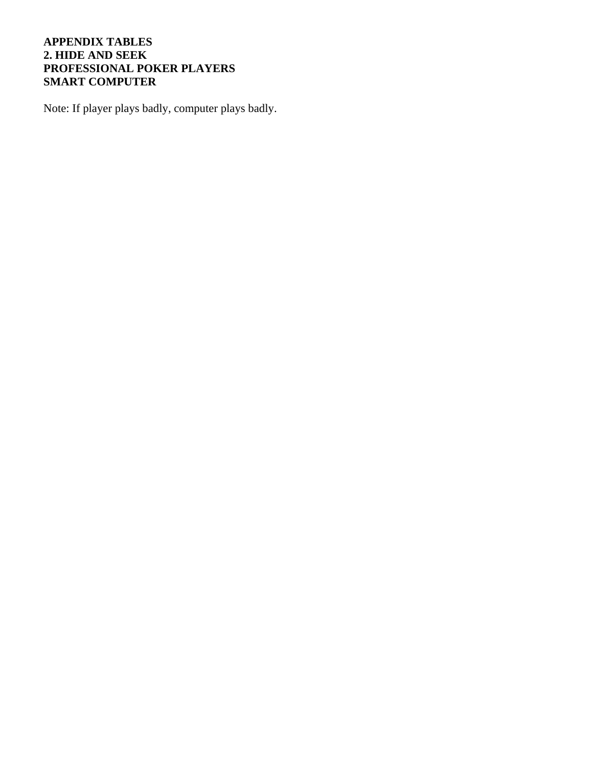## **APPENDIX TABLES 2. HIDE AND SEEK PROFESSIONAL POKER PLAYERS SMART COMPUTER**

Note: If player plays badly, computer plays badly.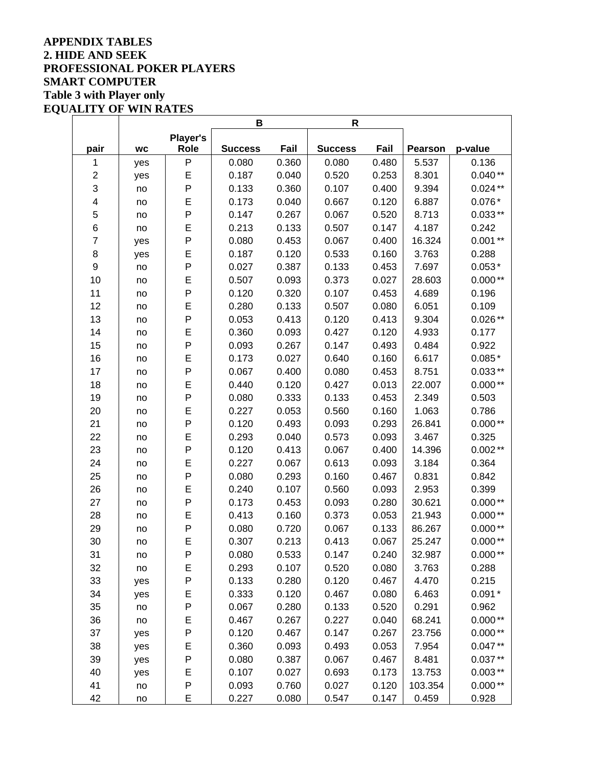## **APPENDIX TABLES 2. HIDE AND SEEK PROFESSIONAL POKER PLAYERS SMART COMPUTER Table 3 with Player only EQUALITY OF WIN RATES**

|                  |           | В               |                | R     |                |       |                |           |
|------------------|-----------|-----------------|----------------|-------|----------------|-------|----------------|-----------|
|                  |           | <b>Player's</b> |                |       |                |       |                |           |
| pair             | <b>WC</b> | Role            | <b>Success</b> | Fail  | <b>Success</b> | Fail  | <b>Pearson</b> | p-value   |
| 1                | yes       | P               | 0.080          | 0.360 | 0.080          | 0.480 | 5.537          | 0.136     |
| $\boldsymbol{2}$ | yes       | E               | 0.187          | 0.040 | 0.520          | 0.253 | 8.301          | $0.040**$ |
| 3                | no        | P               | 0.133          | 0.360 | 0.107          | 0.400 | 9.394          | $0.024**$ |
| 4                | no        | E               | 0.173          | 0.040 | 0.667          | 0.120 | 6.887          | $0.076*$  |
| 5                | no        | P               | 0.147          | 0.267 | 0.067          | 0.520 | 8.713          | $0.033**$ |
| 6                | no        | E               | 0.213          | 0.133 | 0.507          | 0.147 | 4.187          | 0.242     |
| $\overline{7}$   | yes       | P               | 0.080          | 0.453 | 0.067          | 0.400 | 16.324         | $0.001**$ |
| 8                | yes       | E               | 0.187          | 0.120 | 0.533          | 0.160 | 3.763          | 0.288     |
| $\mathsf g$      | no        | P               | 0.027          | 0.387 | 0.133          | 0.453 | 7.697          | $0.053*$  |
| 10               | no        | E               | 0.507          | 0.093 | 0.373          | 0.027 | 28.603         | $0.000**$ |
| 11               | no        | P               | 0.120          | 0.320 | 0.107          | 0.453 | 4.689          | 0.196     |
| 12               | no        | E               | 0.280          | 0.133 | 0.507          | 0.080 | 6.051          | 0.109     |
| 13               | no        | P               | 0.053          | 0.413 | 0.120          | 0.413 | 9.304          | $0.026**$ |
| 14               | no        | E               | 0.360          | 0.093 | 0.427          | 0.120 | 4.933          | 0.177     |
| 15               | no        | P               | 0.093          | 0.267 | 0.147          | 0.493 | 0.484          | 0.922     |
| 16               | no        | E               | 0.173          | 0.027 | 0.640          | 0.160 | 6.617          | $0.085*$  |
| 17               | no        | P               | 0.067          | 0.400 | 0.080          | 0.453 | 8.751          | $0.033**$ |
| 18               | no        | E               | 0.440          | 0.120 | 0.427          | 0.013 | 22.007         | $0.000**$ |
| 19               | no        | P               | 0.080          | 0.333 | 0.133          | 0.453 | 2.349          | 0.503     |
| 20               | no        | E               | 0.227          | 0.053 | 0.560          | 0.160 | 1.063          | 0.786     |
| 21               | no        | P               | 0.120          | 0.493 | 0.093          | 0.293 | 26.841         | $0.000**$ |
| 22               | no        | E               | 0.293          | 0.040 | 0.573          | 0.093 | 3.467          | 0.325     |
| 23               | no        | P               | 0.120          | 0.413 | 0.067          | 0.400 | 14.396         | $0.002**$ |
| 24               | no        | E               | 0.227          | 0.067 | 0.613          | 0.093 | 3.184          | 0.364     |
| 25               | no        | P               | 0.080          | 0.293 | 0.160          | 0.467 | 0.831          | 0.842     |
| 26               | no        | E               | 0.240          | 0.107 | 0.560          | 0.093 | 2.953          | 0.399     |
| 27               | no        | P               | 0.173          | 0.453 | 0.093          | 0.280 | 30.621         | $0.000**$ |
| 28               | no        | E               | 0.413          | 0.160 | 0.373          | 0.053 | 21.943         | $0.000**$ |
| 29               | no        | P               | 0.080          | 0.720 | 0.067          | 0.133 | 86.267         | $0.000**$ |
| 30               | no        | E               | 0.307          | 0.213 | 0.413          | 0.067 | 25.247         | $0.000**$ |
| 31               | no        | P               | 0.080          | 0.533 | 0.147          | 0.240 | 32.987         | $0.000**$ |
| 32               | no        | E               | 0.293          | 0.107 | 0.520          | 0.080 | 3.763          | 0.288     |
| 33               | yes       | P               | 0.133          | 0.280 | 0.120          | 0.467 | 4.470          | 0.215     |
| 34               | yes       | E               | 0.333          | 0.120 | 0.467          | 0.080 | 6.463          | $0.091*$  |
| 35               | no        | P               | 0.067          | 0.280 | 0.133          | 0.520 | 0.291          | 0.962     |
| 36               | no        | E               | 0.467          | 0.267 | 0.227          | 0.040 | 68.241         | $0.000**$ |
| 37               | yes       | P               | 0.120          | 0.467 | 0.147          | 0.267 | 23.756         | $0.000**$ |
| 38               | yes       | E               | 0.360          | 0.093 | 0.493          | 0.053 | 7.954          | $0.047**$ |
| 39               | yes       | P               | 0.080          | 0.387 | 0.067          | 0.467 | 8.481          | $0.037**$ |
| 40               | yes       | E               | 0.107          | 0.027 | 0.693          | 0.173 | 13.753         | $0.003**$ |
| 41               | no        | P               | 0.093          | 0.760 | 0.027          | 0.120 | 103.354        | $0.000**$ |
| 42               | no        | E               | 0.227          | 0.080 | 0.547          | 0.147 | 0.459          | 0.928     |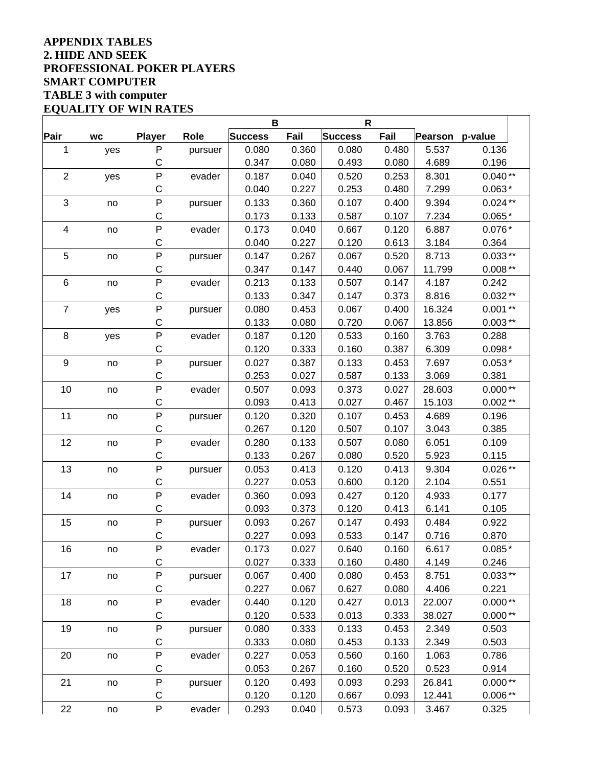## **APPENDIX TABLES 2. HIDE AND SEEK PROFESSIONAL POKER PLAYERS SMART COMPUTER TABLE 3 with computer EQUALITY OF WIN RATES**

|                  |           |               |             | B              |       | $\mathsf{R}$   |       |                |           |  |
|------------------|-----------|---------------|-------------|----------------|-------|----------------|-------|----------------|-----------|--|
| Pair             | <b>WC</b> | <b>Player</b> | <b>Role</b> | <b>Success</b> | Fail  | <b>Success</b> | Fail  | <b>Pearson</b> | p-value   |  |
| $\mathbf{1}$     | yes       | Ρ             | pursuer     | 0.080          | 0.360 | 0.080          | 0.480 | 5.537          | 0.136     |  |
|                  |           | $\mathsf C$   |             | 0.347          | 0.080 | 0.493          | 0.080 | 4.689          | 0.196     |  |
| $\overline{c}$   | yes       | ${\sf P}$     | evader      | 0.187          | 0.040 | 0.520          | 0.253 | 8.301          | $0.040**$ |  |
|                  |           | $\mathsf C$   |             | 0.040          | 0.227 | 0.253          | 0.480 | 7.299          | $0.063*$  |  |
| 3                | no        | ${\sf P}$     | pursuer     | 0.133          | 0.360 | 0.107          | 0.400 | 9.394          | $0.024**$ |  |
|                  |           | С             |             | 0.173          | 0.133 | 0.587          | 0.107 | 7.234          | $0.065*$  |  |
| 4                | no        | ${\sf P}$     | evader      | 0.173          | 0.040 | 0.667          | 0.120 | 6.887          | $0.076*$  |  |
|                  |           | $\mathsf C$   |             | 0.040          | 0.227 | 0.120          | 0.613 | 3.184          | 0.364     |  |
| 5                | no        | ${\sf P}$     | pursuer     | 0.147          | 0.267 | 0.067          | 0.520 | 8.713          | $0.033**$ |  |
|                  |           | C             |             | 0.347          | 0.147 | 0.440          | 0.067 | 11.799         | $0.008**$ |  |
| 6                | no        | ${\sf P}$     | evader      | 0.213          | 0.133 | 0.507          | 0.147 | 4.187          | 0.242     |  |
|                  |           | $\mathsf C$   |             | 0.133          | 0.347 | 0.147          | 0.373 | 8.816          | $0.032**$ |  |
| $\overline{7}$   | yes       | ${\sf P}$     | pursuer     | 0.080          | 0.453 | 0.067          | 0.400 | 16.324         | $0.001**$ |  |
|                  |           | $\mathsf C$   |             | 0.133          | 0.080 | 0.720          | 0.067 | 13.856         | $0.003**$ |  |
| 8                | yes       | ${\sf P}$     | evader      | 0.187          | 0.120 | 0.533          | 0.160 | 3.763          | 0.288     |  |
|                  |           | $\mathsf C$   |             | 0.120          | 0.333 | 0.160          | 0.387 | 6.309          | $0.098*$  |  |
| $\boldsymbol{9}$ | no        | ${\sf P}$     | pursuer     | 0.027          | 0.387 | 0.133          | 0.453 | 7.697          | $0.053*$  |  |
|                  |           | $\mathsf C$   |             | 0.253          | 0.027 | 0.587          | 0.133 | 3.069          | 0.381     |  |
| 10               | no        | ${\sf P}$     | evader      | 0.507          | 0.093 | 0.373          | 0.027 | 28.603         | $0.000**$ |  |
|                  |           | $\mathsf C$   |             | 0.093          | 0.413 | 0.027          | 0.467 | 15.103         | $0.002**$ |  |
| 11               | no        | ${\sf P}$     | pursuer     | 0.120          | 0.320 | 0.107          | 0.453 | 4.689          | 0.196     |  |
|                  |           | С             |             | 0.267          | 0.120 | 0.507          | 0.107 | 3.043          | 0.385     |  |
| 12               | no        | ${\sf P}$     | evader      | 0.280          | 0.133 | 0.507          | 0.080 | 6.051          | 0.109     |  |
|                  |           | C             |             | 0.133          | 0.267 | 0.080          | 0.520 | 5.923          | 0.115     |  |
| 13               | no        | $\mathsf{P}$  | pursuer     | 0.053          | 0.413 | 0.120          | 0.413 | 9.304          | $0.026**$ |  |
|                  |           | $\mathsf C$   |             | 0.227          | 0.053 | 0.600          | 0.120 | 2.104          | 0.551     |  |
| 14               | no        | $\sf P$       | evader      | 0.360          | 0.093 | 0.427          | 0.120 | 4.933          | 0.177     |  |
|                  |           | С             |             | 0.093          | 0.373 | 0.120          | 0.413 | 6.141          | 0.105     |  |
| 15               | no        | ${\sf P}$     | pursuer     | 0.093          | 0.267 | 0.147          | 0.493 | 0.484          | 0.922     |  |
|                  |           | С             |             | 0.227          | 0.093 | 0.533          | 0.147 | 0.716          | 0.870     |  |
| 16               | no        | P             | evader      | 0.173          | 0.027 | 0.640          | 0.160 | 6.617          | $0.085*$  |  |
|                  |           | C             |             | 0.027          | 0.333 | 0.160          | 0.480 | 4.149          | 0.246     |  |
| 17               | no        | ${\sf P}$     | pursuer     | 0.067          | 0.400 | 0.080          | 0.453 | 8.751          | $0.033**$ |  |
|                  |           | $\mathsf C$   |             | 0.227          | 0.067 | 0.627          | 0.080 | 4.406          | 0.221     |  |
| 18               | no        | ${\sf P}$     | evader      | 0.440          | 0.120 | 0.427          | 0.013 | 22.007         | $0.000**$ |  |
|                  |           | $\mathsf C$   |             | 0.120          | 0.533 | 0.013          | 0.333 | 38.027         | $0.000**$ |  |
| 19               | no        | $\sf P$       | pursuer     | 0.080          | 0.333 | 0.133          | 0.453 | 2.349          | 0.503     |  |
|                  |           | $\mathsf C$   |             | 0.333          | 0.080 | 0.453          | 0.133 | 2.349          | 0.503     |  |
| 20               | no        | P             | evader      | 0.227          | 0.053 | 0.560          | 0.160 | 1.063          | 0.786     |  |
|                  |           | C             |             | 0.053          | 0.267 | 0.160          | 0.520 | 0.523          | 0.914     |  |
| 21               | no        | $\sf P$       | pursuer     | 0.120          | 0.493 | 0.093          | 0.293 | 26.841         | $0.000**$ |  |
|                  |           | C             |             | 0.120          | 0.120 | 0.667          | 0.093 | 12.441         | $0.006**$ |  |
| 22               | no        | $\sf P$       | evader      | 0.293          | 0.040 | 0.573          | 0.093 | 3.467          | 0.325     |  |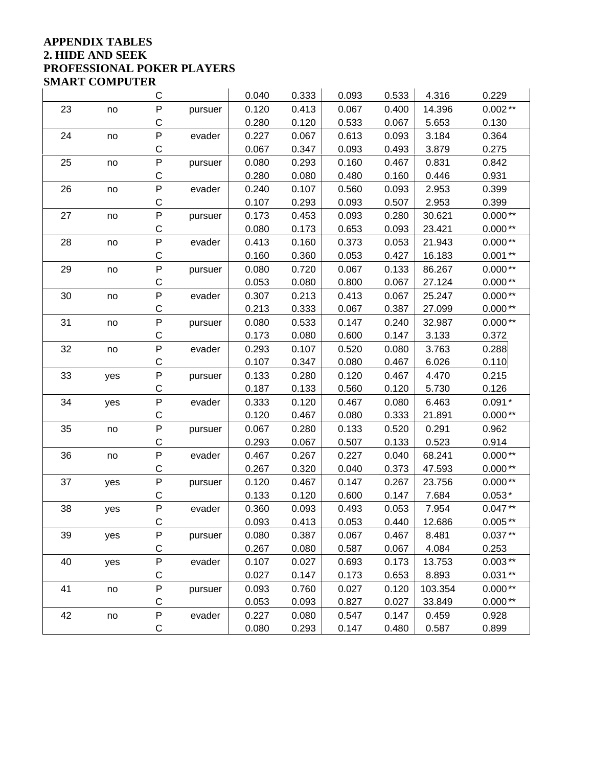#### **APPENDIX TABLES 2. HIDE AND SEEK PROFESSIONAL POKER PLAYERS SMART COMPUTER**   $\sim$  10

|    | diviart coivit uter |             |         |       |       |       |       |         |           |
|----|---------------------|-------------|---------|-------|-------|-------|-------|---------|-----------|
|    |                     | С           |         | 0.040 | 0.333 | 0.093 | 0.533 | 4.316   | 0.229     |
| 23 | no                  | $\sf P$     | pursuer | 0.120 | 0.413 | 0.067 | 0.400 | 14.396  | $0.002**$ |
|    |                     | $\mathsf C$ |         | 0.280 | 0.120 | 0.533 | 0.067 | 5.653   | 0.130     |
| 24 | no                  | P           | evader  | 0.227 | 0.067 | 0.613 | 0.093 | 3.184   | 0.364     |
|    |                     | C           |         | 0.067 | 0.347 | 0.093 | 0.493 | 3.879   | 0.275     |
| 25 | no                  | P           | pursuer | 0.080 | 0.293 | 0.160 | 0.467 | 0.831   | 0.842     |
|    |                     | $\mathsf C$ |         | 0.280 | 0.080 | 0.480 | 0.160 | 0.446   | 0.931     |
| 26 | no                  | P           | evader  | 0.240 | 0.107 | 0.560 | 0.093 | 2.953   | 0.399     |
|    |                     | C           |         | 0.107 | 0.293 | 0.093 | 0.507 | 2.953   | 0.399     |
| 27 | no                  | P           | pursuer | 0.173 | 0.453 | 0.093 | 0.280 | 30.621  | $0.000**$ |
|    |                     | C           |         | 0.080 | 0.173 | 0.653 | 0.093 | 23.421  | $0.000**$ |
| 28 | no                  | P           | evader  | 0.413 | 0.160 | 0.373 | 0.053 | 21.943  | $0.000**$ |
|    |                     | C           |         | 0.160 | 0.360 | 0.053 | 0.427 | 16.183  | $0.001**$ |
| 29 | no                  | ${\sf P}$   | pursuer | 0.080 | 0.720 | 0.067 | 0.133 | 86.267  | $0.000**$ |
|    |                     | C           |         | 0.053 | 0.080 | 0.800 | 0.067 | 27.124  | $0.000**$ |
| 30 | no                  | P           | evader  | 0.307 | 0.213 | 0.413 | 0.067 | 25.247  | $0.000**$ |
|    |                     | $\mathsf C$ |         | 0.213 | 0.333 | 0.067 | 0.387 | 27.099  | $0.000**$ |
| 31 | no                  | P           | pursuer | 0.080 | 0.533 | 0.147 | 0.240 | 32.987  | $0.000**$ |
|    |                     | C           |         | 0.173 | 0.080 | 0.600 | 0.147 | 3.133   | 0.372     |
| 32 | no                  | P           | evader  | 0.293 | 0.107 | 0.520 | 0.080 | 3.763   | 0.288     |
|    |                     | $\mathsf C$ |         | 0.107 | 0.347 | 0.080 | 0.467 | 6.026   | 0.110     |
| 33 | yes                 | $\sf P$     | pursuer | 0.133 | 0.280 | 0.120 | 0.467 | 4.470   | 0.215     |
|    |                     | C           |         | 0.187 | 0.133 | 0.560 | 0.120 | 5.730   | 0.126     |
| 34 | yes                 | P           | evader  | 0.333 | 0.120 | 0.467 | 0.080 | 6.463   | $0.091*$  |
|    |                     | C           |         | 0.120 | 0.467 | 0.080 | 0.333 | 21.891  | $0.000**$ |
| 35 | no                  | $\sf P$     | pursuer | 0.067 | 0.280 | 0.133 | 0.520 | 0.291   | 0.962     |
|    |                     | $\mathsf C$ |         | 0.293 | 0.067 | 0.507 | 0.133 | 0.523   | 0.914     |
| 36 | no                  | P           | evader  | 0.467 | 0.267 | 0.227 | 0.040 | 68.241  | $0.000**$ |
|    |                     | C           |         | 0.267 | 0.320 | 0.040 | 0.373 | 47.593  | $0.000**$ |
| 37 | yes                 | P           | pursuer | 0.120 | 0.467 | 0.147 | 0.267 | 23.756  | $0.000**$ |
|    |                     | C           |         | 0.133 | 0.120 | 0.600 | 0.147 | 7.684   | $0.053*$  |
| 38 | yes                 | P           | evader  | 0.360 | 0.093 | 0.493 | 0.053 | 7.954   | $0.047**$ |
|    |                     | C           |         | 0.093 | 0.413 | 0.053 | 0.440 | 12.686  | $0.005**$ |
| 39 | yes                 | $\sf P$     | pursuer | 0.080 | 0.387 | 0.067 | 0.467 | 8.481   | $0.037**$ |
|    |                     | С           |         | 0.267 | 0.080 | 0.587 | 0.067 | 4.084   | 0.253     |
| 40 | yes                 | P           | evader  | 0.107 | 0.027 | 0.693 | 0.173 | 13.753  | $0.003**$ |
|    |                     | С           |         | 0.027 | 0.147 | 0.173 | 0.653 | 8.893   | $0.031**$ |
| 41 | no                  | ${\sf P}$   | pursuer | 0.093 | 0.760 | 0.027 | 0.120 | 103.354 | $0.000**$ |
|    |                     | С           |         | 0.053 | 0.093 | 0.827 | 0.027 | 33.849  | $0.000**$ |
| 42 | no                  | P           | evader  | 0.227 | 0.080 | 0.547 | 0.147 | 0.459   | 0.928     |
|    |                     | C           |         | 0.080 | 0.293 | 0.147 | 0.480 | 0.587   | 0.899     |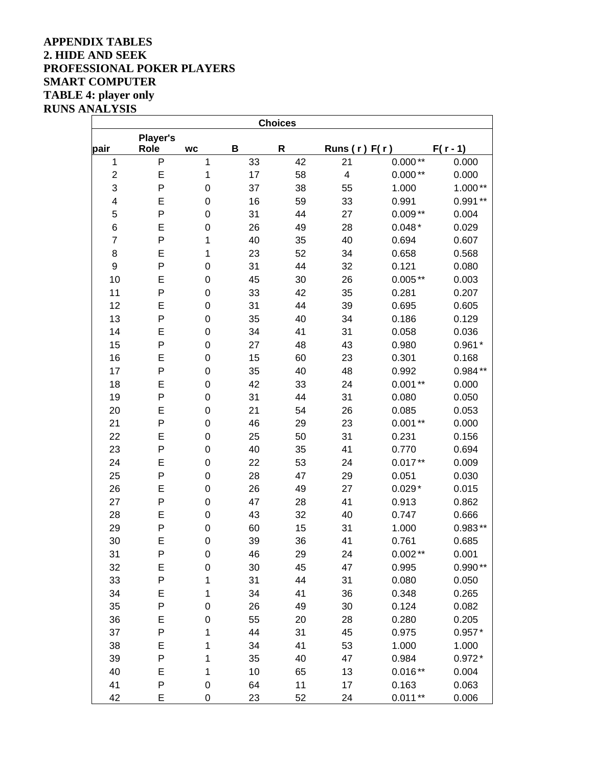### **APPENDIX TABLES 2. HIDE AND SEEK PROFESSIONAL POKER PLAYERS SMART COMPUTER TABLE 4: player only RUNS ANALYSIS**

|                         |                  |             |    | <b>Choices</b> |                         |           |            |
|-------------------------|------------------|-------------|----|----------------|-------------------------|-----------|------------|
| pair                    | Player's<br>Role | <b>WC</b>   | B  | $\mathsf R$    | Runs $(r)$ F( $r$ )     |           | $F(r - 1)$ |
| $\mathbf 1$             | P                | 1           | 33 | 42             | 21                      | $0.000**$ | 0.000      |
| $\overline{\mathbf{c}}$ | E                | 1           | 17 | 58             | $\overline{\mathbf{4}}$ | $0.000**$ | 0.000      |
| 3                       | P                | $\mathbf 0$ | 37 | 38             | 55                      | 1.000     | $1.000**$  |
| 4                       | E                | $\mathbf 0$ | 16 | 59             | 33                      | 0.991     | $0.991**$  |
| 5                       | P                | $\mathbf 0$ | 31 | 44             | 27                      | $0.009**$ | 0.004      |
| 6                       | E                | 0           | 26 | 49             | 28                      | $0.048*$  | 0.029      |
| $\overline{7}$          | P                | 1           | 40 | 35             | 40                      | 0.694     | 0.607      |
| 8                       | E                | 1           | 23 | 52             | 34                      | 0.658     | 0.568      |
| 9                       | P                | $\pmb{0}$   | 31 | 44             | 32                      | 0.121     | 0.080      |
| 10                      | E                | $\mathbf 0$ | 45 | 30             | 26                      | $0.005**$ | 0.003      |
| 11                      | P                | $\mathbf 0$ | 33 | 42             | 35                      | 0.281     | 0.207      |
| 12                      | E                | $\mathbf 0$ | 31 | 44             | 39                      | 0.695     | 0.605      |
| 13                      | P                | $\mathbf 0$ | 35 | 40             | 34                      | 0.186     | 0.129      |
| 14                      | E                | $\mathbf 0$ | 34 | 41             | 31                      | 0.058     | 0.036      |
| 15                      | P                | $\mathbf 0$ | 27 | 48             | 43                      | 0.980     | $0.961*$   |
| 16                      | E                | $\mathbf 0$ | 15 | 60             | 23                      | 0.301     | 0.168      |
| 17                      | P                | $\pmb{0}$   | 35 | 40             | 48                      | 0.992     | $0.984**$  |
| 18                      | E                | $\mathbf 0$ | 42 | 33             | 24                      | $0.001**$ | 0.000      |
| 19                      | P                | $\mathbf 0$ | 31 | 44             | 31                      | 0.080     | 0.050      |
| 20                      | E                | $\mathbf 0$ | 21 | 54             | 26                      | 0.085     | 0.053      |
| 21                      | P                | $\mathbf 0$ | 46 | 29             | 23                      | $0.001**$ | 0.000      |
| 22                      | E                | $\mathbf 0$ | 25 | 50             | 31                      | 0.231     | 0.156      |
| 23                      | P                | $\mathbf 0$ | 40 | 35             | 41                      | 0.770     | 0.694      |
| 24                      | E                | $\mathbf 0$ | 22 | 53             | 24                      | $0.017**$ | 0.009      |
| 25                      | P                | $\mathbf 0$ | 28 | 47             | 29                      | 0.051     | 0.030      |
| 26                      | E                | $\mathbf 0$ | 26 | 49             | 27                      | $0.029*$  | 0.015      |
| 27                      | P                | $\mathbf 0$ | 47 | 28             | 41                      | 0.913     | 0.862      |
| 28                      | E                | $\mathbf 0$ | 43 | 32             | 40                      | 0.747     | 0.666      |
| 29                      | P                | $\mathbf 0$ | 60 | 15             | 31                      | 1.000     | $0.983**$  |
| 30                      | E                | 0           | 39 | 36             | 41                      | 0.761     | 0.685      |
| 31                      | P                | 0           | 46 | 29             | 24                      | $0.002**$ | 0.001      |
| 32                      | E                | $\mathbf 0$ | 30 | 45             | 47                      | 0.995     | $0.990**$  |
| 33                      | P                | 1           | 31 | 44             | 31                      | 0.080     | 0.050      |
| 34                      | E                | 1           | 34 | 41             | 36                      | 0.348     | 0.265      |
| 35                      | P                | 0           | 26 | 49             | 30                      | 0.124     | 0.082      |
| 36                      | E                | $\mathbf 0$ | 55 | 20             | 28                      | 0.280     | 0.205      |
| 37                      | P                | 1           | 44 | 31             | 45                      | 0.975     | $0.957*$   |
| 38                      | E                | 1           | 34 | 41             | 53                      | 1.000     | 1.000      |
| 39                      | P                | 1           | 35 | 40             | 47                      | 0.984     | $0.972*$   |
| 40                      | E                | 1           | 10 | 65             | 13                      | $0.016**$ | 0.004      |
| 41                      | P                | 0           | 64 | 11             | 17                      | 0.163     | 0.063      |
| 42                      | E                | 0           | 23 | 52             | 24                      | $0.011**$ | 0.006      |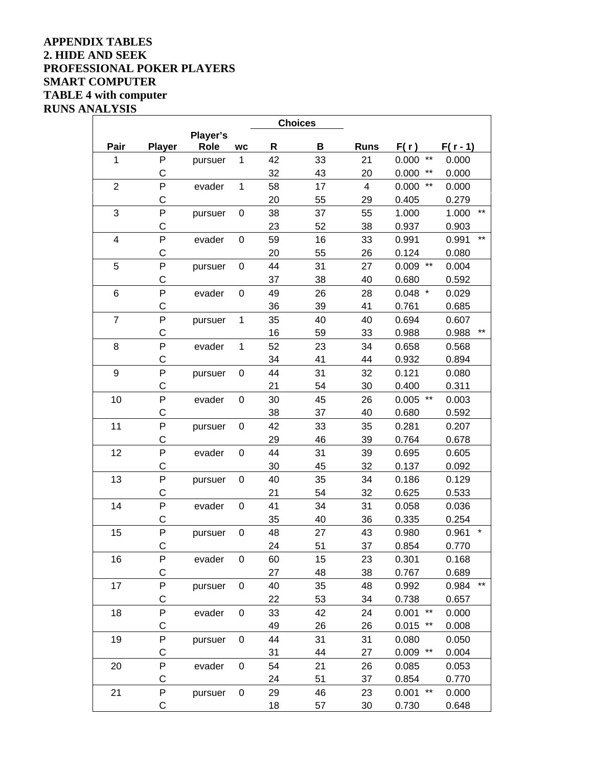### **APPENDIX TABLES 2. HIDE AND SEEK PROFESSIONAL POKER PLAYERS SMART COMPUTER TABLE 4 with computer RUNS ANALYSIS**

|                         |               |             |                  |    | <b>Choices</b> |             |                          |                |
|-------------------------|---------------|-------------|------------------|----|----------------|-------------|--------------------------|----------------|
|                         |               | Player's    |                  |    |                |             |                          |                |
| Pair                    | <b>Player</b> | <b>Role</b> | <b>WC</b>        | R  | В              | <b>Runs</b> | F(r)                     | $F(r - 1)$     |
| 1                       | P             | pursuer     | 1                | 42 | 33             | 21          | $***$<br>0.000           | 0.000          |
|                         | C             |             |                  | 32 | 43             | 20          | $***$<br>0.000           | 0.000          |
| $\overline{2}$          | P             | evader      | $\mathbf 1$      | 58 | 17             | 4           | $***$<br>0.000           | 0.000          |
|                         | C             |             |                  | 20 | 55             | 29          | 0.405                    | 0.279          |
| 3                       | P             | pursuer     | $\boldsymbol{0}$ | 38 | 37             | 55          | 1.000                    | 1.000<br>$***$ |
|                         | C             |             |                  | 23 | 52             | 38          | 0.937                    | 0.903          |
| $\overline{\mathbf{4}}$ | P             | evader      | $\mathbf 0$      | 59 | 16             | 33          | 0.991                    | $***$<br>0.991 |
|                         | C             |             |                  | 20 | 55             | 26          | 0.124                    | 0.080          |
| 5                       | P             | pursuer     | $\mathbf 0$      | 44 | 31             | 27          | $***$<br>0.009           | 0.004          |
|                         | $\mathsf{C}$  |             |                  | 37 | 38             | 40          | 0.680                    | 0.592          |
| 6                       | P             | evader      | $\mathbf 0$      | 49 | 26             | 28          | $0.048$ *                | 0.029          |
|                         | C             |             |                  | 36 | 39             | 41          | 0.761                    | 0.685          |
| $\overline{7}$          | P             | pursuer     | $\mathbf 1$      | 35 | 40             | 40          | 0.694                    | 0.607          |
|                         | $\mathsf C$   |             |                  | 16 | 59             | 33          | 0.988                    | $***$<br>0.988 |
| 8                       | P             | evader      | 1                | 52 | 23             | 34          | 0.658                    | 0.568          |
|                         | C             |             |                  | 34 | 41             | 44          | 0.932                    | 0.894          |
| 9                       | P             | pursuer     | $\boldsymbol{0}$ | 44 | 31             | 32          | 0.121                    | 0.080          |
|                         | C             |             |                  | 21 | 54             | 30          | 0.400                    | 0.311          |
| 10                      | P             | evader      | $\boldsymbol{0}$ | 30 | 45             | 26          | $***$<br>0.005           | 0.003          |
|                         | C             |             |                  | 38 | 37             | 40          | 0.680                    | 0.592          |
| 11                      | P             | pursuer     | $\mathbf 0$      | 42 | 33             | 35          | 0.281                    | 0.207          |
|                         | C             |             |                  | 29 | 46             | 39          | 0.764                    | 0.678          |
| 12                      | P             | evader      | $\mathbf 0$      | 44 | 31             | 39          | 0.695                    | 0.605          |
|                         | C             |             |                  | 30 | 45             | 32          | 0.137                    | 0.092          |
| 13                      | P             | pursuer     | $\mathbf 0$      | 40 | 35             | 34          | 0.186                    | 0.129          |
|                         | C             |             |                  | 21 | 54             | 32          | 0.625                    | 0.533          |
| 14                      | P             | evader      | $\boldsymbol{0}$ | 41 | 34             | 31          | 0.058                    | 0.036          |
|                         | C             |             |                  | 35 | 40             | 36          | 0.335                    | 0.254          |
| 15                      | P             | pursuer     | $\mathbf 0$      | 48 | 27             | 43          | 0.980                    | 0.961          |
|                         | C             |             |                  | 24 | 51             | 37          | 0.854                    | 0.770          |
| 16                      | P             | evader      | 0                | 60 | 15             | 23          | 0.301                    | 0.168          |
|                         | C             |             |                  | 27 | 48             | 38          | 0.767                    | 0.689          |
| 17                      | P             | pursuer     | $\boldsymbol{0}$ | 40 | 35             | 48          | 0.992                    | $***$<br>0.984 |
|                         | $\mathsf{C}$  |             |                  | 22 | 53             | 34          | 0.738                    | 0.657          |
| 18                      | P             | evader      | 0                | 33 | 42             | 24          | $^{\star\star}$<br>0.001 | 0.000          |
|                         | С             |             |                  | 49 | 26             | 26          | 0.015<br>$***$           | 0.008          |
| 19                      | P             | pursuer     | $\boldsymbol{0}$ | 44 | 31             | 31          | 0.080                    | 0.050          |
|                         | $\mathsf C$   |             |                  | 31 | 44             | 27          | $***$<br>0.009           | 0.004          |
| 20                      | P             | evader      | $\pmb{0}$        | 54 | 21             | 26          | 0.085                    | 0.053          |
|                         | C             |             |                  | 24 | 51             | 37          | 0.854                    | 0.770          |
| 21                      | ${\sf P}$     | pursuer     | $\pmb{0}$        | 29 | 46             | 23          | $***$<br>0.001           | 0.000          |
|                         | C             |             |                  | 18 | 57             | 30          | 0.730                    | 0.648          |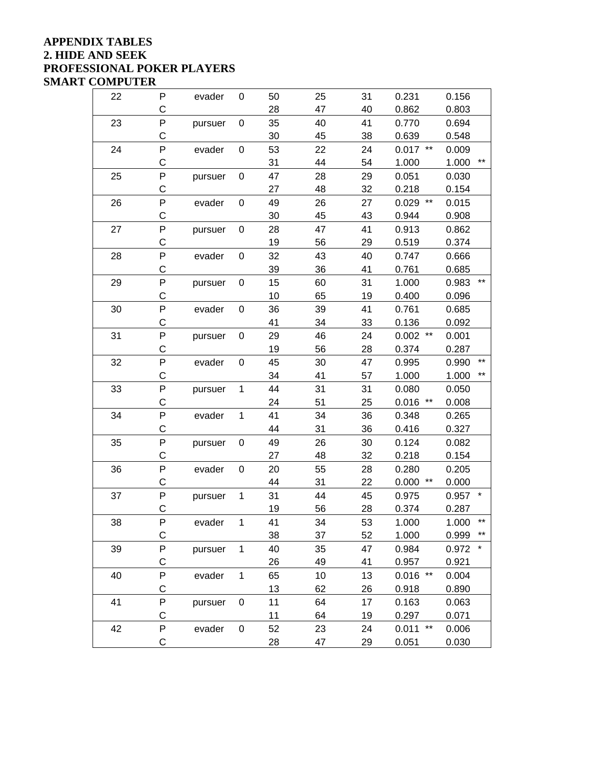### **APPENDIX TABLES 2. HIDE AND SEEK PROFESSIONAL POKER PLAYERS SMART COMPUTER**

| 22 | P           | evader  | 0            | 50 | 25 | 31 | 0.231          | 0.156                 |
|----|-------------|---------|--------------|----|----|----|----------------|-----------------------|
|    | C           |         |              | 28 | 47 | 40 | 0.862          | 0.803                 |
| 23 | P           | pursuer | 0            | 35 | 40 | 41 | 0.770          | 0.694                 |
|    | C           |         |              | 30 | 45 | 38 | 0.639          | 0.548                 |
| 24 | P           | evader  | $\pmb{0}$    | 53 | 22 | 24 | $0.017$ **     | 0.009                 |
|    | C           |         |              | 31 | 44 | 54 | 1.000          | $\star\star$<br>1.000 |
| 25 | P           | pursuer | 0            | 47 | 28 | 29 | 0.051          | 0.030                 |
|    | С           |         |              | 27 | 48 | 32 | 0.218          | 0.154                 |
| 26 | P           | evader  | 0            | 49 | 26 | 27 | $***$<br>0.029 | 0.015                 |
|    | Ċ           |         |              | 30 | 45 | 43 | 0.944          | 0.908                 |
| 27 | P           | pursuer | 0            | 28 | 47 | 41 | 0.913          | 0.862                 |
|    | C           |         |              | 19 | 56 | 29 | 0.519          | 0.374                 |
| 28 | P           | evader  | 0            | 32 | 43 | 40 | 0.747          | 0.666                 |
|    | $\mathsf C$ |         |              | 39 | 36 | 41 | 0.761          | 0.685                 |
| 29 | P           | pursuer | 0            | 15 | 60 | 31 | 1.000          | $***$<br>0.983        |
|    | C           |         |              | 10 | 65 | 19 | 0.400          | 0.096                 |
| 30 | P           | evader  | 0            | 36 | 39 | 41 | 0.761          | 0.685                 |
|    | C           |         |              | 41 | 34 | 33 | 0.136          | 0.092                 |
| 31 | P           | pursuer | 0            | 29 | 46 | 24 | $0.002$ **     | 0.001                 |
|    | C           |         |              | 19 | 56 | 28 | 0.374          | 0.287                 |
| 32 | P           | evader  | $\mathbf 0$  | 45 | 30 | 47 | 0.995          | $***$<br>0.990        |
|    | C           |         |              | 34 | 41 | 57 | 1.000          | $***$<br>1.000        |
| 33 | P           | pursuer | $\mathbf{1}$ | 44 | 31 | 31 | 0.080          | 0.050                 |
|    | C           |         |              | 24 | 51 | 25 | 0.016<br>$***$ | 0.008                 |
| 34 | P           | evader  | $\mathbf{1}$ | 41 | 34 | 36 | 0.348          | 0.265                 |
|    | C           |         |              | 44 | 31 | 36 | 0.416          | 0.327                 |
| 35 | P           | pursuer | 0            | 49 | 26 | 30 | 0.124          | 0.082                 |
|    | C           |         |              | 27 | 48 | 32 | 0.218          | 0.154                 |
| 36 | P           | evader  | 0            | 20 | 55 | 28 | 0.280          | 0.205                 |
|    | C           |         |              | 44 | 31 | 22 | 0.000<br>$***$ | 0.000                 |
| 37 | P           | pursuer | $\mathbf 1$  | 31 | 44 | 45 | 0.975          | $\star$<br>0.957      |
|    | C           |         |              | 19 | 56 | 28 | 0.374          | 0.287                 |
| 38 | P           | evader  | $\mathbf{1}$ | 41 | 34 | 53 | 1.000          | $***$<br>1.000        |
|    | C           |         |              | 38 | 37 | 52 | 1.000          | $***$<br>0.999        |
| 39 | P           | pursuer | $\mathbf{1}$ | 40 | 35 | 47 | 0.984          | 0.972                 |
|    | C           |         |              | 26 | 49 | 41 | 0.957          | 0.921                 |
| 40 | P           | evader  | $\mathbf 1$  | 65 | 10 | 13 | $0.016$ **     | 0.004                 |
|    | $\mathsf C$ |         |              | 13 | 62 | 26 | 0.918          | 0.890                 |
| 41 | P           | pursuer | 0            | 11 | 64 | 17 | 0.163          | 0.063                 |
|    | C           |         |              | 11 | 64 | 19 | 0.297          | 0.071                 |
| 42 | P           | evader  | 0            | 52 | 23 | 24 | $***$<br>0.011 | 0.006                 |
|    | C           |         |              | 28 | 47 | 29 | 0.051          | 0.030                 |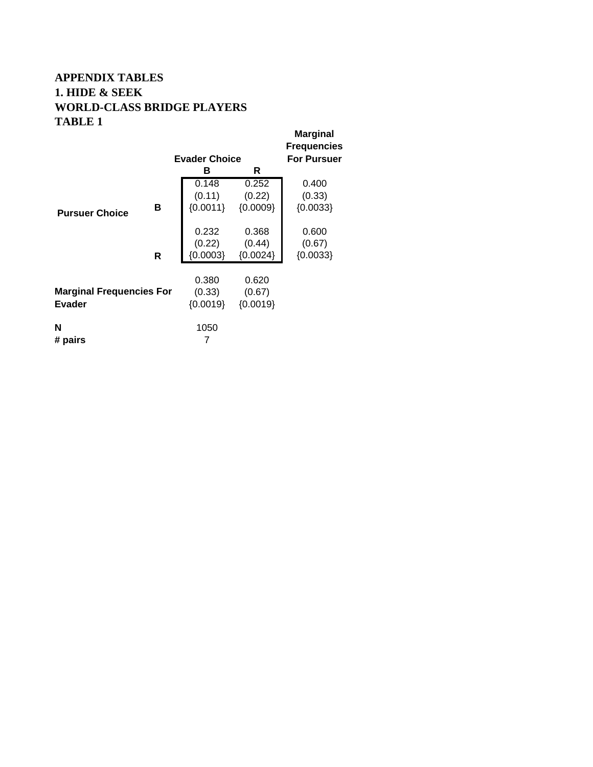# **APPENDIX TABLES 1. HIDE & SEEK WORLD-CLASS BRIDGE PLAYERS TABLE 1**

|                                 |   | <b>Evader Choice</b> |            | <b>Marginal</b><br><b>Frequencies</b><br><b>For Pursuer</b> |
|---------------------------------|---|----------------------|------------|-------------------------------------------------------------|
|                                 |   | в                    | R          |                                                             |
|                                 |   | 0.148                | 0.252      | 0.400                                                       |
|                                 |   | (0.11)               | (0.22)     | (0.33)                                                      |
| <b>Pursuer Choice</b>           | В | ${0.0011}$           | ${0.0009}$ | ${0.0033}$                                                  |
|                                 |   |                      |            |                                                             |
|                                 |   | 0.232                | 0.368      | 0.600                                                       |
|                                 |   | (0.22)               | (0.44)     | (0.67)                                                      |
|                                 | R | ${0.0003}$           | ${0.0024}$ | ${0.0033}$                                                  |
|                                 |   |                      |            |                                                             |
|                                 |   | 0.380                | 0.620      |                                                             |
| <b>Marginal Frequencies For</b> |   | (0.33)               | (0.67)     |                                                             |
| Evader                          |   | ${0.0019}$           | ${0.0019}$ |                                                             |
|                                 |   |                      |            |                                                             |
| N                               |   | 1050                 |            |                                                             |
| # pairs                         |   | 7                    |            |                                                             |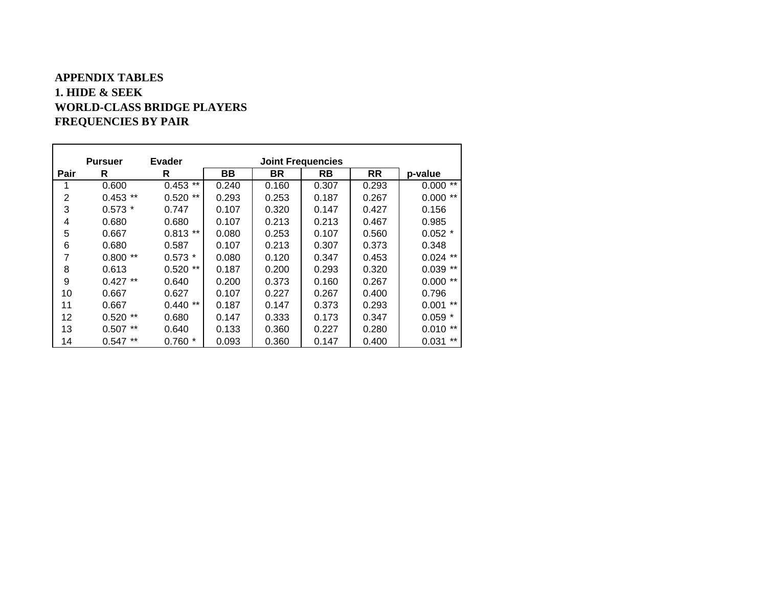## **APPENDIX TABLES 1. HIDE & SEEKWORLD-CLASS BRIDGE PLAYERS FREQUENCIES BY PAIR**

|      | <b>Pursuer</b> | Evader         | <b>Joint Frequencies</b> |       |       |           |                |  |
|------|----------------|----------------|--------------------------|-------|-------|-----------|----------------|--|
| Pair | R              | R              | BВ                       | BR    | RB    | <b>RR</b> | p-value        |  |
|      | 0.600          | $***$<br>0.453 | 0.240                    | 0.160 | 0.307 | 0.293     | $***$<br>0.000 |  |
| 2    | **<br>0.453    | **<br>0.520    | 0.293                    | 0.253 | 0.187 | 0.267     | $***$<br>0.000 |  |
| 3    | $0.573*$       | 0.747          | 0.107                    | 0.320 | 0.147 | 0.427     | 0.156          |  |
| 4    | 0.680          | 0.680          | 0.107                    | 0.213 | 0.213 | 0.467     | 0.985          |  |
| 5    | 0.667          | $0.813**$      | 0.080                    | 0.253 | 0.107 | 0.560     | $0.052$ *      |  |
| 6    | 0.680          | 0.587          | 0.107                    | 0.213 | 0.307 | 0.373     | 0.348          |  |
| 7    | **<br>0.800    | $0.573*$       | 0.080                    | 0.120 | 0.347 | 0.453     | $***$<br>0.024 |  |
| 8    | 0.613          | **<br>0.520    | 0.187                    | 0.200 | 0.293 | 0.320     | $***$<br>0.039 |  |
| 9    | $0.427**$      | 0.640          | 0.200                    | 0.373 | 0.160 | 0.267     | **<br>0.000    |  |
| 10   | 0.667          | 0.627          | 0.107                    | 0.227 | 0.267 | 0.400     | 0.796          |  |
| 11   | 0.667          | $***$<br>0.440 | 0.187                    | 0.147 | 0.373 | 0.293     | $***$<br>0.001 |  |
| 12   | $0.520**$      | 0.680          | 0.147                    | 0.333 | 0.173 | 0.347     | $0.059*$       |  |
| 13   | **<br>0.507    | 0.640          | 0.133                    | 0.360 | 0.227 | 0.280     | $***$<br>0.010 |  |
| 14   | **<br>0.547    | $0.760*$       | 0.093                    | 0.360 | 0.147 | 0.400     | $***$<br>0.031 |  |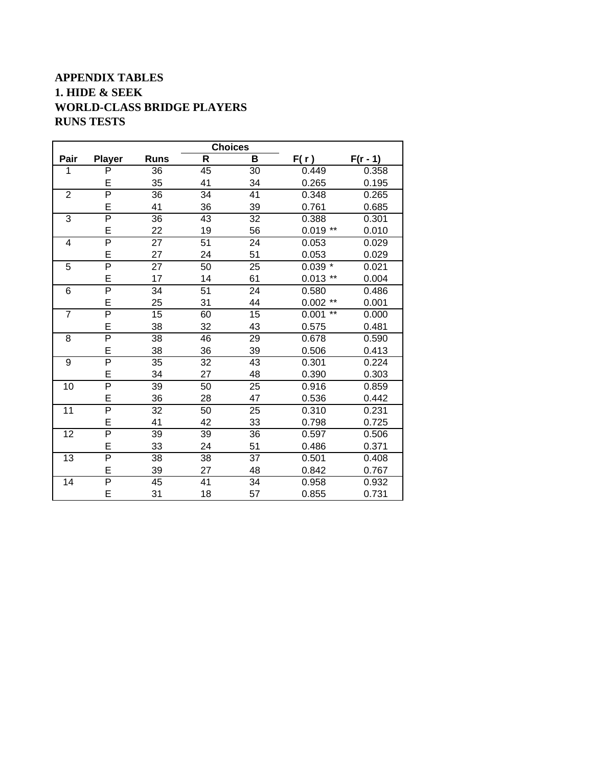# **APPENDIX TABLES 1. HIDE & SEEK WORLD-CLASS BRIDGE PLAYERS RUNS TESTS**

|                |                         |             | <b>Choices</b>  |                 |                |            |
|----------------|-------------------------|-------------|-----------------|-----------------|----------------|------------|
| Pair           | <b>Player</b>           | <b>Runs</b> | $\mathsf{R}$    | B               | F(r)           | $F(r - 1)$ |
| 1              | P                       | 36          | 45              | 30              | 0.449          | 0.358      |
|                | E                       | 35          | 41              | 34              | 0.265          | 0.195      |
| $\overline{c}$ | $\overline{\mathsf{P}}$ | 36          | 34              | 41              | 0.348          | 0.265      |
|                | E                       | 41          | 36              | 39              | 0.761          | 0.685      |
| 3              | $\overline{P}$          | 36          | 43              | 32              | 0.388          | 0.301      |
|                | E                       | 22          | 19              | 56              | $0.019**$      | 0.010      |
| 4              | $\overline{P}$          | 27          | 51              | 24              | 0.053          | 0.029      |
|                | E                       | 27          | 24              | 51              | 0.053          | 0.029      |
| 5              | $\overline{P}$          | 27          | 50              | 25              | $0.039*$       | 0.021      |
|                | E                       | 17          | 14              | 61              | $0.013$ **     | 0.004      |
| 6              | $\overline{P}$          | 34          | 51              | 24              | 0.580          | 0.486      |
|                | E                       | 25          | 31              | 44              | $0.002$ **     | 0.001      |
| $\overline{7}$ | $\overline{P}$          | 15          | 60              | 15              | $***$<br>0.001 | 0.000      |
|                | E                       | 38          | 32              | 43              | 0.575          | 0.481      |
| 8              | $\overline{\mathsf{P}}$ | 38          | 46              | 29              | 0.678          | 0.590      |
|                | E                       | 38          | 36              | 39              | 0.506          | 0.413      |
| $\overline{9}$ | $\overline{\mathsf{P}}$ | 35          | $\overline{32}$ | $\overline{43}$ | 0.301          | 0.224      |
|                | E                       | 34          | 27              | 48              | 0.390          | 0.303      |
| 10             | $\overline{\mathsf{P}}$ | 39          | 50              | 25              | 0.916          | 0.859      |
|                | E                       | 36          | 28              | 47              | 0.536          | 0.442      |
| 11             | $\overline{P}$          | 32          | 50              | 25              | 0.310          | 0.231      |
|                | E                       | 41          | 42              | 33              | 0.798          | 0.725      |
| 12             | $\overline{\mathsf{P}}$ | 39          | 39              | 36              | 0.597          | 0.506      |
|                | E                       | 33          | 24              | 51              | 0.486          | 0.371      |
| 13             | $\overline{\mathsf{P}}$ | 38          | 38              | 37              | 0.501          | 0.408      |
|                | E                       | 39          | 27              | 48              | 0.842          | 0.767      |
| 14             | $\overline{\mathsf{P}}$ | 45          | 41              | 34              | 0.958          | 0.932      |
|                | E                       | 31          | 18              | 57              | 0.855          | 0.731      |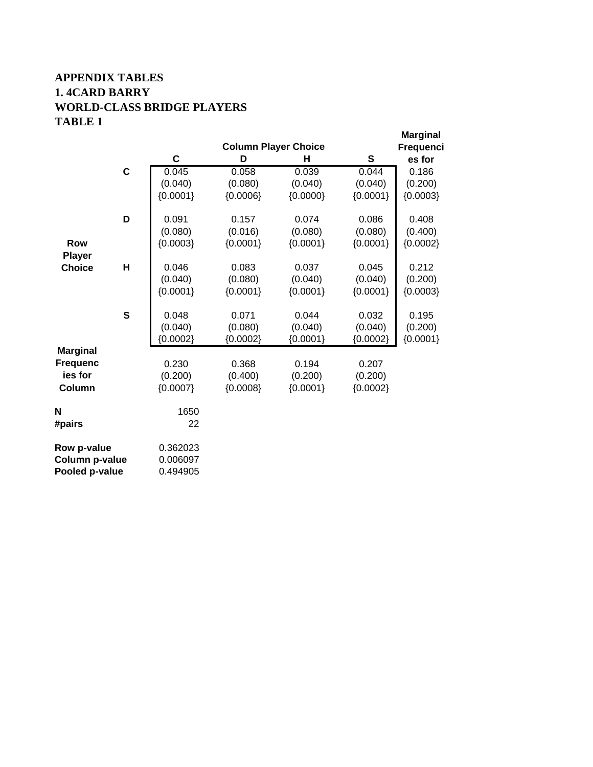# **APPENDIX TABLES 1. 4CARD BARRY WORLD-CLASS BRIDGE PLAYERS TABLE 1**

|                 |              |            | <b>Column Player Choice</b> |            |            | <b>Marginal</b><br>Frequenci |
|-----------------|--------------|------------|-----------------------------|------------|------------|------------------------------|
|                 |              | C          | D                           | н          | S          | es for                       |
|                 | $\mathbf c$  | 0.045      | 0.058                       | 0.039      | 0.044      | 0.186                        |
|                 |              | (0.040)    | (0.080)                     | (0.040)    | (0.040)    | (0.200)                      |
|                 |              | ${0.0001}$ | ${0.0006}$                  | ${0.0000}$ | ${0.0001}$ | ${0.0003}$                   |
|                 | D            | 0.091      | 0.157                       | 0.074      | 0.086      | 0.408                        |
|                 |              | (0.080)    | (0.016)                     | (0.080)    | (0.080)    | (0.400)                      |
| <b>Row</b>      |              | ${0.0003}$ |                             | ${0.0001}$ | ${0.0001}$ | ${0.0002}$                   |
| <b>Player</b>   |              |            | ${0.0001}$                  |            |            |                              |
| <b>Choice</b>   | Н            | 0.046      | 0.083                       | 0.037      | 0.045      | 0.212                        |
|                 |              | (0.040)    | (0.080)                     | (0.040)    | (0.040)    | (0.200)                      |
|                 |              | ${0.0001}$ | ${0.0001}$                  | ${0.0001}$ | ${0.0001}$ | ${0.0003}$                   |
|                 | $\mathbf{s}$ | 0.048      | 0.071                       | 0.044      | 0.032      | 0.195                        |
|                 |              | (0.040)    | (0.080)                     | (0.040)    | (0.040)    | (0.200)                      |
|                 |              | ${0.0002}$ | ${0.0002}$                  | ${0.0001}$ | ${0.0002}$ | ${0.0001}$                   |
| <b>Marginal</b> |              |            |                             |            |            |                              |
| <b>Frequenc</b> |              | 0.230      | 0.368                       | 0.194      | 0.207      |                              |
| ies for         |              | (0.200)    | (0.400)                     | (0.200)    | (0.200)    |                              |
| Column          |              | ${0.0007}$ | ${0.0008}$                  | ${0.0001}$ | ${0.0002}$ |                              |
| N               |              | 1650       |                             |            |            |                              |
| #pairs          |              | 22         |                             |            |            |                              |
| Row p-value     |              | 0.362023   |                             |            |            |                              |
| Column p-value  |              | 0.006097   |                             |            |            |                              |
| Pooled p-value  |              | 0.494905   |                             |            |            |                              |
|                 |              |            |                             |            |            |                              |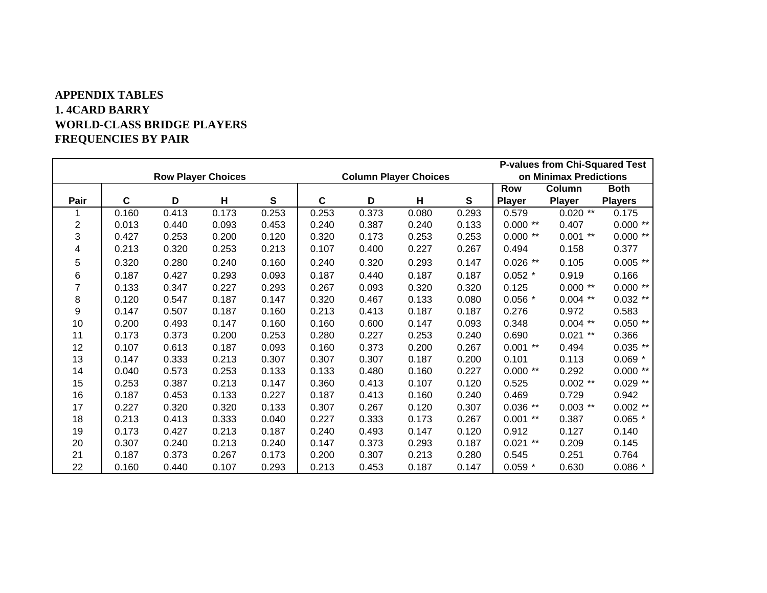## **APPENDIX TABLES 1. 4CARD BARRY WORLD-CLASS BRIDGE PLAYERS FREQUENCIES BY PAIR**

|                |       |       |                           |       |             |       |                              |              | <b>P-values from Chi-Squared Test</b> |                        |                |
|----------------|-------|-------|---------------------------|-------|-------------|-------|------------------------------|--------------|---------------------------------------|------------------------|----------------|
|                |       |       | <b>Row Player Choices</b> |       |             |       | <b>Column Player Choices</b> |              |                                       | on Minimax Predictions |                |
|                |       |       |                           |       |             |       |                              |              | Row                                   | Column                 | <b>Both</b>    |
| Pair           | C     | D     | H                         | S     | $\mathbf c$ | D     | н                            | $\mathbf{s}$ | <b>Player</b>                         | <b>Player</b>          | <b>Players</b> |
|                | 0.160 | 0.413 | 0.173                     | 0.253 | 0.253       | 0.373 | 0.080                        | 0.293        | 0.579                                 | $0.020**$              | 0.175          |
| 2              | 0.013 | 0.440 | 0.093                     | 0.453 | 0.240       | 0.387 | 0.240                        | 0.133        | $0.000**$                             | 0.407                  | $0.000**$      |
| 3              | 0.427 | 0.253 | 0.200                     | 0.120 | 0.320       | 0.173 | 0.253                        | 0.253        | $0.000**$                             | $0.001$ **             | $0.000**$      |
| 4              | 0.213 | 0.320 | 0.253                     | 0.213 | 0.107       | 0.400 | 0.227                        | 0.267        | 0.494                                 | 0.158                  | 0.377          |
| 5              | 0.320 | 0.280 | 0.240                     | 0.160 | 0.240       | 0.320 | 0.293                        | 0.147        | $0.026$ **                            | 0.105                  | $0.005$ **     |
| 6              | 0.187 | 0.427 | 0.293                     | 0.093 | 0.187       | 0.440 | 0.187                        | 0.187        | $0.052$ *                             | 0.919                  | 0.166          |
| $\overline{7}$ | 0.133 | 0.347 | 0.227                     | 0.293 | 0.267       | 0.093 | 0.320                        | 0.320        | 0.125                                 | $0.000**$              | $0.000**$      |
| 8              | 0.120 | 0.547 | 0.187                     | 0.147 | 0.320       | 0.467 | 0.133                        | 0.080        | $0.056*$                              | $0.004$ **             | $0.032$ **     |
| 9              | 0.147 | 0.507 | 0.187                     | 0.160 | 0.213       | 0.413 | 0.187                        | 0.187        | 0.276                                 | 0.972                  | 0.583          |
| 10             | 0.200 | 0.493 | 0.147                     | 0.160 | 0.160       | 0.600 | 0.147                        | 0.093        | 0.348                                 | $0.004$ **             | $0.050**$      |
| 11             | 0.173 | 0.373 | 0.200                     | 0.253 | 0.280       | 0.227 | 0.253                        | 0.240        | 0.690                                 | $0.021$ **             | 0.366          |
| 12             | 0.107 | 0.613 | 0.187                     | 0.093 | 0.160       | 0.373 | 0.200                        | 0.267        | $0.001$ **                            | 0.494                  | $0.035$ **     |
| 13             | 0.147 | 0.333 | 0.213                     | 0.307 | 0.307       | 0.307 | 0.187                        | 0.200        | 0.101                                 | 0.113                  | $0.069$ *      |
| 14             | 0.040 | 0.573 | 0.253                     | 0.133 | 0.133       | 0.480 | 0.160                        | 0.227        | $0.000**$                             | 0.292                  | $0.000**$      |
| 15             | 0.253 | 0.387 | 0.213                     | 0.147 | 0.360       | 0.413 | 0.107                        | 0.120        | 0.525                                 | $0.002$ **             | $0.029$ **     |
| 16             | 0.187 | 0.453 | 0.133                     | 0.227 | 0.187       | 0.413 | 0.160                        | 0.240        | 0.469                                 | 0.729                  | 0.942          |
| 17             | 0.227 | 0.320 | 0.320                     | 0.133 | 0.307       | 0.267 | 0.120                        | 0.307        | $0.036**$                             | $0.003$ **             | $0.002$ **     |
| 18             | 0.213 | 0.413 | 0.333                     | 0.040 | 0.227       | 0.333 | 0.173                        | 0.267        | $0.001$ **                            | 0.387                  | $0.065$ *      |
| 19             | 0.173 | 0.427 | 0.213                     | 0.187 | 0.240       | 0.493 | 0.147                        | 0.120        | 0.912                                 | 0.127                  | 0.140          |
| 20             | 0.307 | 0.240 | 0.213                     | 0.240 | 0.147       | 0.373 | 0.293                        | 0.187        | $0.021$ **                            | 0.209                  | 0.145          |
| 21             | 0.187 | 0.373 | 0.267                     | 0.173 | 0.200       | 0.307 | 0.213                        | 0.280        | 0.545                                 | 0.251                  | 0.764          |
| 22             | 0.160 | 0.440 | 0.107                     | 0.293 | 0.213       | 0.453 | 0.187                        | 0.147        | $0.059*$                              | 0.630                  | $0.086*$       |